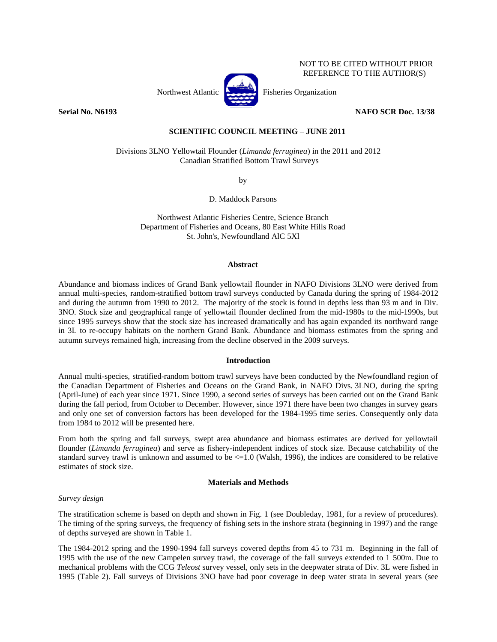

**Serial No. N6193 NAFO SCR Doc. 13/38**

NOT TO BE CITED WITHOUT PRIOR REFERENCE TO THE AUTHOR(S)

# **SCIENTIFIC COUNCIL MEETING – JUNE 2011**

Divisions 3LNO Yellowtail Flounder (*Limanda ferruginea*) in the 2011 and 2012 Canadian Stratified Bottom Trawl Surveys

by

D. Maddock Parsons

Northwest Atlantic Fisheries Centre, Science Branch Department of Fisheries and Oceans, 80 East White Hills Road St. John's, Newfoundland AlC 5Xl

## **Abstract**

Abundance and biomass indices of Grand Bank yellowtail flounder in NAFO Divisions 3LNO were derived from annual multi-species, random-stratified bottom trawl surveys conducted by Canada during the spring of 1984-2012 and during the autumn from 1990 to 2012. The majority of the stock is found in depths less than 93 m and in Div. 3NO. Stock size and geographical range of yellowtail flounder declined from the mid-1980s to the mid-1990s, but since 1995 surveys show that the stock size has increased dramatically and has again expanded its northward range in 3L to re-occupy habitats on the northern Grand Bank. Abundance and biomass estimates from the spring and autumn surveys remained high, increasing from the decline observed in the 2009 surveys.

## **Introduction**

Annual multi-species, stratified-random bottom trawl surveys have been conducted by the Newfoundland region of the Canadian Department of Fisheries and Oceans on the Grand Bank, in NAFO Divs. 3LNO, during the spring (April-June) of each year since 1971. Since 1990, a second series of surveys has been carried out on the Grand Bank during the fall period, from October to December. However, since 1971 there have been two changes in survey gears and only one set of conversion factors has been developed for the 1984-1995 time series. Consequently only data from 1984 to 2012 will be presented here.

From both the spring and fall surveys, swept area abundance and biomass estimates are derived for yellowtail flounder (*Limanda ferruginea*) and serve as fishery-independent indices of stock size. Because catchability of the standard survey trawl is unknown and assumed to be  $\leq$  1.0 (Walsh, 1996), the indices are considered to be relative estimates of stock size.

## **Materials and Methods**

# *Survey design*

The stratification scheme is based on depth and shown in Fig. 1 (see Doubleday, 1981, for a review of procedures). The timing of the spring surveys, the frequency of fishing sets in the inshore strata (beginning in 1997) and the range of depths surveyed are shown in Table 1.

The 1984-2012 spring and the 1990-1994 fall surveys covered depths from 45 to 731 m. Beginning in the fall of 1995 with the use of the new Campelen survey trawl, the coverage of the fall surveys extended to 1 500m. Due to mechanical problems with the CCG *Teleost* survey vessel, only sets in the deepwater strata of Div. 3L were fished in 1995 (Table 2). Fall surveys of Divisions 3NO have had poor coverage in deep water strata in several years (see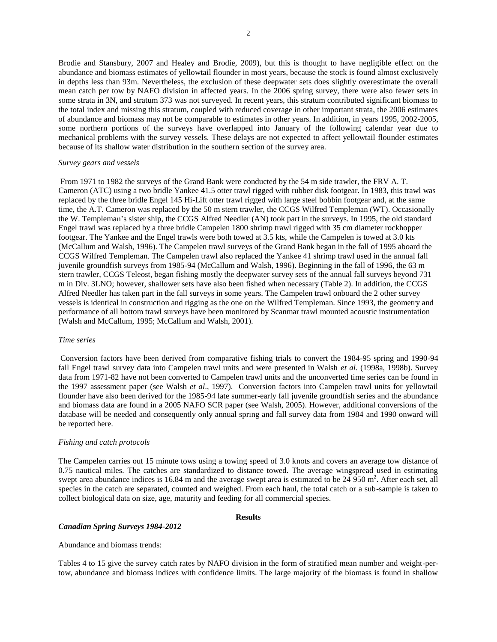Brodie and Stansbury, 2007 and Healey and Brodie, 2009), but this is thought to have negligible effect on the abundance and biomass estimates of yellowtail flounder in most years, because the stock is found almost exclusively in depths less than 93m. Nevertheless, the exclusion of these deepwater sets does slightly overestimate the overall mean catch per tow by NAFO division in affected years. In the 2006 spring survey, there were also fewer sets in some strata in 3N, and stratum 373 was not surveyed. In recent years, this stratum contributed significant biomass to the total index and missing this stratum, coupled with reduced coverage in other important strata, the 2006 estimates of abundance and biomass may not be comparable to estimates in other years. In addition, in years 1995, 2002-2005, some northern portions of the surveys have overlapped into January of the following calendar year due to mechanical problems with the survey vessels. These delays are not expected to affect yellowtail flounder estimates because of its shallow water distribution in the southern section of the survey area.

#### *Survey gears and vessels*

From 1971 to 1982 the surveys of the Grand Bank were conducted by the 54 m side trawler, the FRV A. T. Cameron (ATC) using a two bridle Yankee 41.5 otter trawl rigged with rubber disk footgear. In 1983, this trawl was replaced by the three bridle Engel 145 Hi-Lift otter trawl rigged with large steel bobbin footgear and, at the same time, the A.T. Cameron was replaced by the 50 m stern trawler, the CCGS Wilfred Templeman (WT). Occasionally the W. Templeman's sister ship, the CCGS Alfred Needler (AN) took part in the surveys. In 1995, the old standard Engel trawl was replaced by a three bridle Campelen 1800 shrimp trawl rigged with 35 cm diameter rockhopper footgear. The Yankee and the Engel trawls were both towed at 3.5 kts, while the Campelen is towed at 3.0 kts (McCallum and Walsh, 1996). The Campelen trawl surveys of the Grand Bank began in the fall of 1995 aboard the CCGS Wilfred Templeman. The Campelen trawl also replaced the Yankee 41 shrimp trawl used in the annual fall juvenile groundfish surveys from 1985-94 (McCallum and Walsh, 1996). Beginning in the fall of 1996, the 63 m stern trawler, CCGS Teleost, began fishing mostly the deepwater survey sets of the annual fall surveys beyond 731 m in Div. 3LNO; however, shallower sets have also been fished when necessary (Table 2). In addition, the CCGS Alfred Needler has taken part in the fall surveys in some years. The Campelen trawl onboard the 2 other survey vessels is identical in construction and rigging as the one on the Wilfred Templeman. Since 1993, the geometry and performance of all bottom trawl surveys have been monitored by Scanmar trawl mounted acoustic instrumentation (Walsh and McCallum, 1995; McCallum and Walsh, 2001).

#### *Time series*

Conversion factors have been derived from comparative fishing trials to convert the 1984-95 spring and 1990-94 fall Engel trawl survey data into Campelen trawl units and were presented in Walsh *et al.* (1998a, 1998b). Survey data from 1971-82 have not been converted to Campelen trawl units and the unconverted time series can be found in the 1997 assessment paper (see Walsh *et al*., 1997). Conversion factors into Campelen trawl units for yellowtail flounder have also been derived for the 1985-94 late summer-early fall juvenile groundfish series and the abundance and biomass data are found in a 2005 NAFO SCR paper (see Walsh, 2005). However, additional conversions of the database will be needed and consequently only annual spring and fall survey data from 1984 and 1990 onward will be reported here.

#### *Fishing and catch protocols*

The Campelen carries out 15 minute tows using a towing speed of 3.0 knots and covers an average tow distance of 0.75 nautical miles. The catches are standardized to distance towed. The average wingspread used in estimating swept area abundance indices is 16.84 m and the average swept area is estimated to be  $24\,950\,\text{m}^2$ . After each set, all species in the catch are separated, counted and weighed. From each haul, the total catch or a sub-sample is taken to collect biological data on size, age, maturity and feeding for all commercial species.

### **Results**

## *Canadian Spring Surveys 1984-2012*

Abundance and biomass trends:

Tables 4 to 15 give the survey catch rates by NAFO division in the form of stratified mean number and weight-pertow, abundance and biomass indices with confidence limits. The large majority of the biomass is found in shallow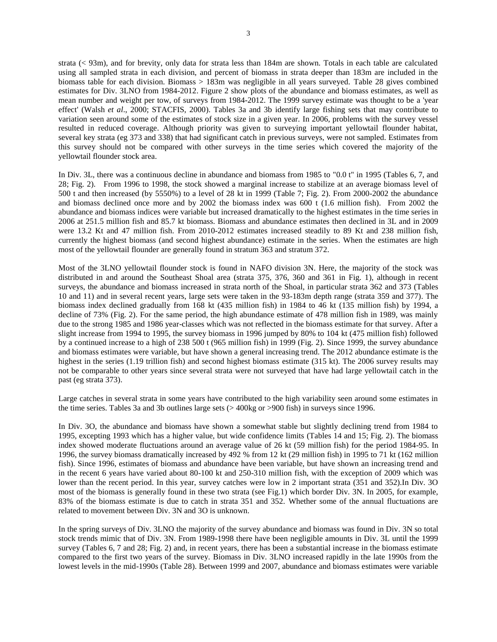strata (< 93m), and for brevity, only data for strata less than 184m are shown. Totals in each table are calculated using all sampled strata in each division, and percent of biomass in strata deeper than 183m are included in the biomass table for each division. Biomass > 183m was negligible in all years surveyed. Table 28 gives combined estimates for Div. 3LNO from 1984-2012. Figure 2 show plots of the abundance and biomass estimates, as well as mean number and weight per tow, of surveys from 1984-2012. The 1999 survey estimate was thought to be a 'year effect' (Walsh *et al*., 2000; STACFIS, 2000). Tables 3a and 3b identify large fishing sets that may contribute to variation seen around some of the estimates of stock size in a given year. In 2006, problems with the survey vessel resulted in reduced coverage. Although priority was given to surveying important yellowtail flounder habitat, several key strata (eg 373 and 338) that had significant catch in previous surveys, were not sampled. Estimates from this survey should not be compared with other surveys in the time series which covered the majority of the yellowtail flounder stock area.

In Div. 3L, there was a continuous decline in abundance and biomass from 1985 to "0.0 t" in 1995 (Tables 6, 7, and 28; Fig. 2). From 1996 to 1998, the stock showed a marginal increase to stabilize at an average biomass level of 500 t and then increased (by 5550%) to a level of 28 kt in 1999 (Table 7; Fig. 2). From 2000-2002 the abundance and biomass declined once more and by 2002 the biomass index was 600 t (1.6 million fish). From 2002 the abundance and biomass indices were variable but increased dramatically to the highest estimates in the time series in 2006 at 251.5 million fish and 85.7 kt biomass. Biomass and abundance estimates then declined in 3L and in 2009 were 13.2 Kt and 47 million fish. From 2010-2012 estimates increased steadily to 89 Kt and 238 million fish, currently the highest biomass (and second highest abundance) estimate in the series. When the estimates are high most of the yellowtail flounder are generally found in stratum 363 and stratum 372.

Most of the 3LNO yellowtail flounder stock is found in NAFO division 3N. Here, the majority of the stock was distributed in and around the Southeast Shoal area (strata 375, 376, 360 and 361 in Fig. 1), although in recent surveys, the abundance and biomass increased in strata north of the Shoal, in particular strata 362 and 373 (Tables 10 and 11) and in several recent years, large sets were taken in the 93-183m depth range (strata 359 and 377). The biomass index declined gradually from 168 kt (435 million fish) in 1984 to 46 kt (135 million fish) by 1994, a decline of 73% (Fig. 2). For the same period, the high abundance estimate of 478 million fish in 1989, was mainly due to the strong 1985 and 1986 year-classes which was not reflected in the biomass estimate for that survey. After a slight increase from 1994 to 1995, the survey biomass in 1996 jumped by 80% to 104 kt (475 million fish) followed by a continued increase to a high of 238 500 t (965 million fish) in 1999 (Fig. 2). Since 1999, the survey abundance and biomass estimates were variable, but have shown a general increasing trend. The 2012 abundance estimate is the highest in the series (1.19 trillion fish) and second highest biomass estimate (315 kt). The 2006 survey results may not be comparable to other years since several strata were not surveyed that have had large yellowtail catch in the past (eg strata 373).

Large catches in several strata in some years have contributed to the high variability seen around some estimates in the time series. Tables 3a and 3b outlines large sets (> 400kg or >900 fish) in surveys since 1996.

In Div. 3O, the abundance and biomass have shown a somewhat stable but slightly declining trend from 1984 to 1995, excepting 1993 which has a higher value, but wide confidence limits (Tables 14 and 15; Fig. 2). The biomass index showed moderate fluctuations around an average value of 26 kt (59 million fish) for the period 1984-95. In 1996, the survey biomass dramatically increased by 492 % from 12 kt (29 million fish) in 1995 to 71 kt (162 million fish). Since 1996, estimates of biomass and abundance have been variable, but have shown an increasing trend and in the recent 6 years have varied about 80-100 kt and 250-310 million fish, with the exception of 2009 which was lower than the recent period. In this year, survey catches were low in 2 important strata (351 and 352).In Div. 3O most of the biomass is generally found in these two strata (see Fig.1) which border Div. 3N. In 2005, for example, 83% of the biomass estimate is due to catch in strata 351 and 352. Whether some of the annual fluctuations are related to movement between Div. 3N and 3O is unknown.

In the spring surveys of Div. 3LNO the majority of the survey abundance and biomass was found in Div. 3N so total stock trends mimic that of Div. 3N. From 1989-1998 there have been negligible amounts in Div. 3L until the 1999 survey (Tables 6, 7 and 28; Fig. 2) and, in recent years, there has been a substantial increase in the biomass estimate compared to the first two years of the survey. Biomass in Div. 3LNO increased rapidly in the late 1990s from the lowest levels in the mid-1990s (Table 28). Between 1999 and 2007, abundance and biomass estimates were variable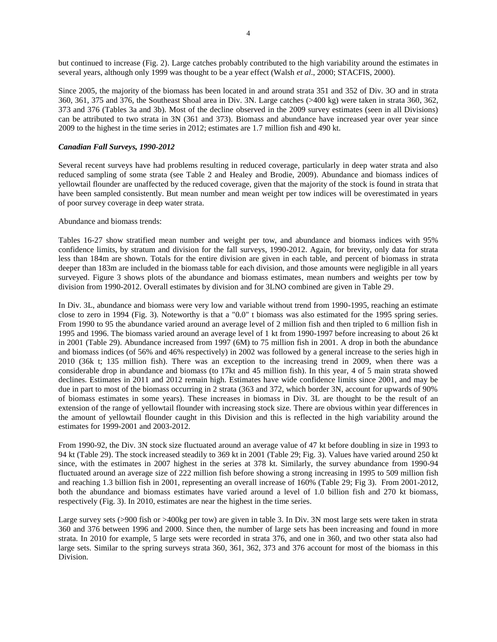but continued to increase (Fig. 2). Large catches probably contributed to the high variability around the estimates in several years, although only 1999 was thought to be a year effect (Walsh *et al*., 2000; STACFIS, 2000).

Since 2005, the majority of the biomass has been located in and around strata 351 and 352 of Div. 3O and in strata 360, 361, 375 and 376, the Southeast Shoal area in Div. 3N. Large catches (>400 kg) were taken in strata 360, 362, 373 and 376 (Tables 3a and 3b). Most of the decline observed in the 2009 survey estimates (seen in all Divisions) can be attributed to two strata in 3N (361 and 373). Biomass and abundance have increased year over year since 2009 to the highest in the time series in 2012; estimates are 1.7 million fish and 490 kt.

# *Canadian Fall Surveys, 1990-2012*

Several recent surveys have had problems resulting in reduced coverage, particularly in deep water strata and also reduced sampling of some strata (see Table 2 and Healey and Brodie, 2009). Abundance and biomass indices of yellowtail flounder are unaffected by the reduced coverage, given that the majority of the stock is found in strata that have been sampled consistently. But mean number and mean weight per tow indices will be overestimated in years of poor survey coverage in deep water strata.

## Abundance and biomass trends:

Tables 16-27 show stratified mean number and weight per tow, and abundance and biomass indices with 95% confidence limits, by stratum and division for the fall surveys, 1990-2012. Again, for brevity, only data for strata less than 184m are shown. Totals for the entire division are given in each table, and percent of biomass in strata deeper than 183m are included in the biomass table for each division, and those amounts were negligible in all years surveyed. Figure 3 shows plots of the abundance and biomass estimates, mean numbers and weights per tow by division from 1990-2012. Overall estimates by division and for 3LNO combined are given in Table 29.

In Div. 3L, abundance and biomass were very low and variable without trend from 1990-1995, reaching an estimate close to zero in 1994 (Fig. 3). Noteworthy is that a "0.0" t biomass was also estimated for the 1995 spring series. From 1990 to 95 the abundance varied around an average level of 2 million fish and then tripled to 6 million fish in 1995 and 1996. The biomass varied around an average level of 1 kt from 1990-1997 before increasing to about 26 kt in 2001 (Table 29). Abundance increased from 1997 (6M) to 75 million fish in 2001. A drop in both the abundance and biomass indices (of 56% and 46% respectively) in 2002 was followed by a general increase to the series high in 2010 (36k t; 135 million fish). There was an exception to the increasing trend in 2009, when there was a considerable drop in abundance and biomass (to 17kt and 45 million fish). In this year, 4 of 5 main strata showed declines. Estimates in 2011 and 2012 remain high. Estimates have wide confidence limits since 2001, and may be due in part to most of the biomass occurring in 2 strata (363 and 372, which border 3N, account for upwards of 90% of biomass estimates in some years). These increases in biomass in Div. 3L are thought to be the result of an extension of the range of yellowtail flounder with increasing stock size. There are obvious within year differences in the amount of yellowtail flounder caught in this Division and this is reflected in the high variability around the estimates for 1999-2001 and 2003-2012.

From 1990-92, the Div. 3N stock size fluctuated around an average value of 47 kt before doubling in size in 1993 to 94 kt (Table 29). The stock increased steadily to 369 kt in 2001 (Table 29; Fig. 3). Values have varied around 250 kt since, with the estimates in 2007 highest in the series at 378 kt. Similarly, the survey abundance from 1990-94 fluctuated around an average size of 222 million fish before showing a strong increasing in 1995 to 509 million fish and reaching 1.3 billion fish in 2001, representing an overall increase of 160% (Table 29; Fig 3). From 2001-2012, both the abundance and biomass estimates have varied around a level of 1.0 billion fish and 270 kt biomass, respectively (Fig. 3). In 2010, estimates are near the highest in the time series.

Large survey sets (>900 fish or >400kg per tow) are given in table 3. In Div. 3N most large sets were taken in strata 360 and 376 between 1996 and 2000. Since then, the number of large sets has been increasing and found in more strata. In 2010 for example, 5 large sets were recorded in strata 376, and one in 360, and two other stata also had large sets. Similar to the spring surveys strata 360, 361, 362, 373 and 376 account for most of the biomass in this Division.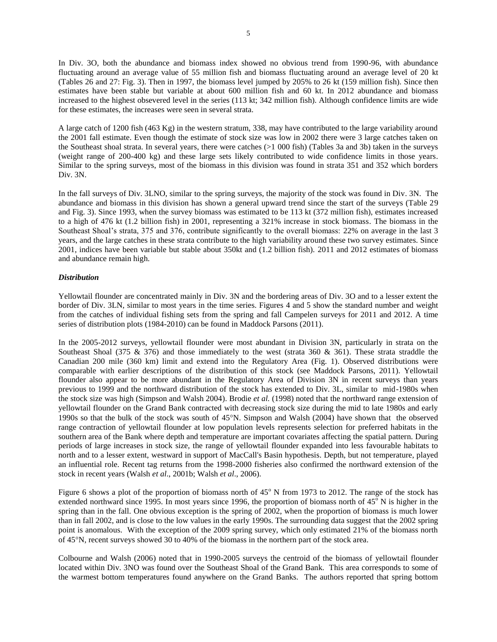In Div. 3O, both the abundance and biomass index showed no obvious trend from 1990-96, with abundance fluctuating around an average value of 55 million fish and biomass fluctuating around an average level of 20 kt (Tables 26 and 27: Fig. 3). Then in 1997, the biomass level jumped by 205% to 26 kt (159 million fish). Since then estimates have been stable but variable at about 600 million fish and 60 kt. In 2012 abundance and biomass increased to the highest obsevered level in the series (113 kt; 342 million fish). Although confidence limits are wide for these estimates, the increases were seen in several strata.

A large catch of 1200 fish (463 Kg) in the western stratum, 338, may have contributed to the large variability around the 2001 fall estimate. Even though the estimate of stock size was low in 2002 there were 3 large catches taken on the Southeast shoal strata. In several years, there were catches (>1 000 fish) (Tables 3a and 3b) taken in the surveys (weight range of 200-400 kg) and these large sets likely contributed to wide confidence limits in those years. Similar to the spring surveys, most of the biomass in this division was found in strata 351 and 352 which borders Div. 3N.

In the fall surveys of Div. 3LNO, similar to the spring surveys, the majority of the stock was found in Div. 3N. The abundance and biomass in this division has shown a general upward trend since the start of the surveys (Table 29 and Fig. 3). Since 1993, when the survey biomass was estimated to be 113 kt (372 million fish), estimates increased to a high of 476 kt (1.2 billion fish) in 2001, representing a 321% increase in stock biomass. The biomass in the Southeast Shoal's strata, 375 and 376, contribute significantly to the overall biomass: 22% on average in the last 3 years, and the large catches in these strata contribute to the high variability around these two survey estimates. Since 2001, indices have been variable but stable about 350kt and (1.2 billion fish). 2011 and 2012 estimates of biomass and abundance remain high.

## *Distribution*

Yellowtail flounder are concentrated mainly in Div. 3N and the bordering areas of Div. 3O and to a lesser extent the border of Div. 3LN, similar to most years in the time series. Figures 4 and 5 show the standard number and weight from the catches of individual fishing sets from the spring and fall Campelen surveys for 2011 and 2012. A time series of distribution plots (1984-2010) can be found in Maddock Parsons (2011).

In the 2005-2012 surveys, yellowtail flounder were most abundant in Division 3N, particularly in strata on the Southeast Shoal (375 & 376) and those immediately to the west (strata 360 & 361). These strata straddle the Canadian 200 mile (360 km) limit and extend into the Regulatory Area (Fig. 1). Observed distributions were comparable with earlier descriptions of the distribution of this stock (see Maddock Parsons, 2011). Yellowtail flounder also appear to be more abundant in the Regulatory Area of Division 3N in recent surveys than years previous to 1999 and the northward distribution of the stock has extended to Div. 3L, similar to mid-1980s when the stock size was high (Simpson and Walsh 2004). Brodie *et al.* (1998) noted that the northward range extension of yellowtail flounder on the Grand Bank contracted with decreasing stock size during the mid to late 1980s and early 1990s so that the bulk of the stock was south of 45N. Simpson and Walsh (2004) have shown that the observed range contraction of yellowtail flounder at low population levels represents selection for preferred habitats in the southern area of the Bank where depth and temperature are important covariates affecting the spatial pattern. During periods of large increases in stock size, the range of yellowtail flounder expanded into less favourable habitats to north and to a lesser extent, westward in support of MacCall's Basin hypothesis. Depth, but not temperature, played an influential role. Recent tag returns from the 1998-2000 fisheries also confirmed the northward extension of the stock in recent years (Walsh *et al*., 2001b; Walsh *et al*., 2006).

Figure 6 shows a plot of the proportion of biomass north of  $45^{\circ}$  N from 1973 to 2012. The range of the stock has extended northward since 1995. In most years since 1996, the proportion of biomass north of  $45^\circ$  N is higher in the spring than in the fall. One obvious exception is the spring of 2002, when the proportion of biomass is much lower than in fall 2002, and is close to the low values in the early 1990s. The surrounding data suggest that the 2002 spring point is anomalous. With the exception of the 2009 spring survey, which only estimated 21% of the biomass north of 45N, recent surveys showed 30 to 40% of the biomass in the northern part of the stock area.

Colbourne and Walsh (2006) noted that in 1990-2005 surveys the centroid of the biomass of yellowtail flounder located within Div. 3NO was found over the Southeast Shoal of the Grand Bank. This area corresponds to some of the warmest bottom temperatures found anywhere on the Grand Banks. The authors reported that spring bottom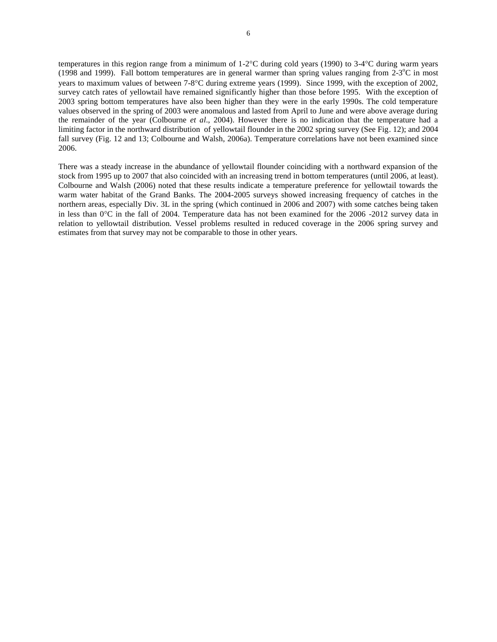temperatures in this region range from a minimum of  $1-2^{\circ}C$  during cold years (1990) to  $3-4^{\circ}C$  during warm years (1998 and 1999). Fall bottom temperatures are in general warmer than spring values ranging from  $2-3$ °C in most years to maximum values of between 7-8C during extreme years (1999). Since 1999, with the exception of 2002, survey catch rates of yellowtail have remained significantly higher than those before 1995. With the exception of 2003 spring bottom temperatures have also been higher than they were in the early 1990s. The cold temperature values observed in the spring of 2003 were anomalous and lasted from April to June and were above average during the remainder of the year (Colbourne *et al*., 2004). However there is no indication that the temperature had a limiting factor in the northward distribution of yellowtail flounder in the 2002 spring survey (See Fig. 12); and 2004 fall survey (Fig. 12 and 13; Colbourne and Walsh, 2006a). Temperature correlations have not been examined since 2006.

There was a steady increase in the abundance of yellowtail flounder coinciding with a northward expansion of the stock from 1995 up to 2007 that also coincided with an increasing trend in bottom temperatures (until 2006, at least). Colbourne and Walsh (2006) noted that these results indicate a temperature preference for yellowtail towards the warm water habitat of the Grand Banks. The 2004-2005 surveys showed increasing frequency of catches in the northern areas, especially Div. 3L in the spring (which continued in 2006 and 2007) with some catches being taken in less than  $0^{\circ}$ C in the fall of 2004. Temperature data has not been examined for the 2006 -2012 survey data in relation to yellowtail distribution. Vessel problems resulted in reduced coverage in the 2006 spring survey and estimates from that survey may not be comparable to those in other years.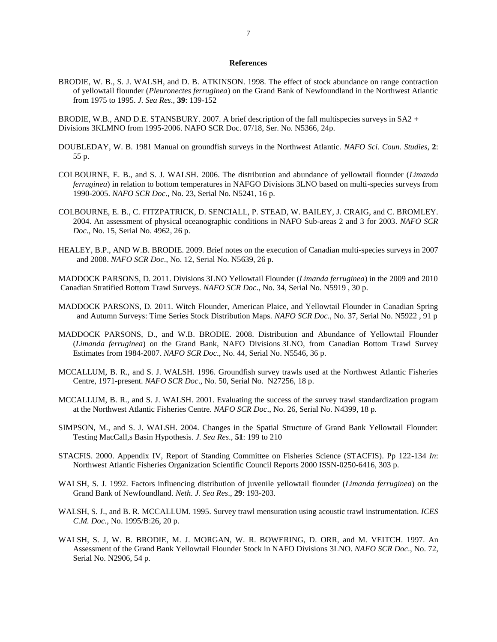#### **References**

BRODIE, W. B., S. J. WALSH, and D. B. ATKINSON. 1998. The effect of stock abundance on range contraction of yellowtail flounder (*Pleuronectes ferruginea*) on the Grand Bank of Newfoundland in the Northwest Atlantic from 1975 to 1995. *J. Sea Res*., **39**: 139-152

BRODIE, W.B., AND D.E. STANSBURY. 2007. A brief description of the fall multispecies surveys in SA2 + Divisions 3KLMNO from 1995-2006. NAFO SCR Doc. 07/18, Ser. No. N5366, 24p.

- DOUBLEDAY, W. B. 1981 Manual on groundfish surveys in the Northwest Atlantic. *NAFO Sci. Coun. Studies*, **2**: 55 p.
- COLBOURNE, E. B., and S. J. WALSH. 2006. The distribution and abundance of yellowtail flounder (*Limanda ferruginea*) in relation to bottom temperatures in NAFGO Divisions 3LNO based on multi-species surveys from 1990-2005. *NAFO SCR Doc*., No. 23, Serial No. N5241, 16 p.
- COLBOURNE, E. B., C. FITZPATRICK, D. SENCIALL, P. STEAD, W. BAILEY, J. CRAIG, and C. BROMLEY. 2004. An assessment of physical oceanographic conditions in NAFO Sub-areas 2 and 3 for 2003. *NAFO SCR Doc*., No. 15, Serial No. 4962, 26 p.
- HEALEY, B.P., AND W.B. BRODIE. 2009. Brief notes on the execution of Canadian multi-species surveys in 2007 and 2008. *NAFO SCR Doc*., No. 12, Serial No. N5639, 26 p.

MADDOCK PARSONS, D. 2011. Divisions 3LNO Yellowtail Flounder (*Limanda ferruginea*) in the 2009 and 2010 Canadian Stratified Bottom Trawl Surveys. *NAFO SCR Doc*., No. 34, Serial No. N5919 , 30 p.

- MADDOCK PARSONS, D. 2011. Witch Flounder, American Plaice, and Yellowtail Flounder in Canadian Spring and Autumn Surveys: Time Series Stock Distribution Maps. *NAFO SCR Doc*., No. 37, Serial No. N5922 , 91 p
- MADDOCK PARSONS, D., and W.B. BRODIE. 2008. Distribution and Abundance of Yellowtail Flounder (*Limanda ferruginea*) on the Grand Bank, NAFO Divisions 3LNO, from Canadian Bottom Trawl Survey Estimates from 1984-2007. *NAFO SCR Doc*., No. 44, Serial No. N5546, 36 p.
- MCCALLUM, B. R., and S. J. WALSH. 1996. Groundfish survey trawls used at the Northwest Atlantic Fisheries Centre, 1971-present. *NAFO SCR Doc*., No. 50, Serial No. N27256, 18 p.
- MCCALLUM, B. R., and S. J. WALSH. 2001. Evaluating the success of the survey trawl standardization program at the Northwest Atlantic Fisheries Centre. *NAFO SCR Doc*., No. 26, Serial No. N4399, 18 p.
- SIMPSON, M., and S. J. WALSH. 2004. Changes in the Spatial Structure of Grand Bank Yellowtail Flounder: Testing MacCall,s Basin Hypothesis. *J. Sea Res*., **51**: 199 to 210
- STACFIS. 2000. Appendix IV, Report of Standing Committee on Fisheries Science (STACFIS). Pp 122-134 *In*: Northwest Atlantic Fisheries Organization Scientific Council Reports 2000 ISSN-0250-6416, 303 p.
- WALSH, S. J. 1992. Factors influencing distribution of juvenile yellowtail flounder (*Limanda ferruginea*) on the Grand Bank of Newfoundland. *Neth. J. Sea Res*., **29**: 193-203.
- WALSH, S. J., and B. R. MCCALLUM. 1995. Survey trawl mensuration using acoustic trawl instrumentation. *ICES C.M. Doc.*, No. 1995/B:26, 20 p.
- WALSH, S. J, W. B. BRODIE, M. J. MORGAN, W. R. BOWERING, D. ORR, and M. VEITCH. 1997. An Assessment of the Grand Bank Yellowtail Flounder Stock in NAFO Divisions 3LNO. *NAFO SCR Doc*., No. 72, Serial No. N2906, 54 p.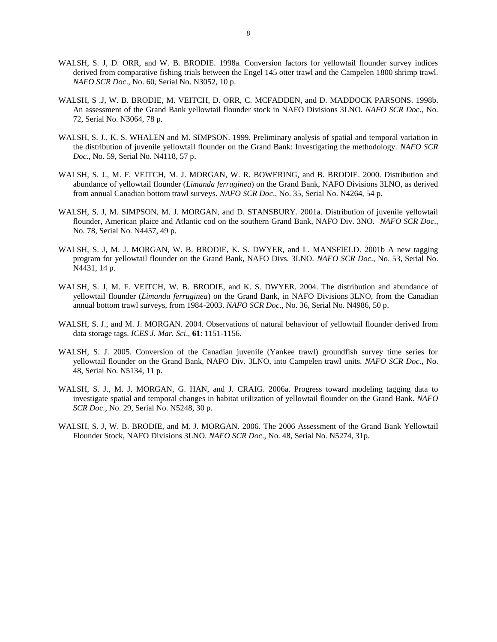- WALSH, S. J, D. ORR, and W. B. BRODIE. 1998a. Conversion factors for yellowtail flounder survey indices derived from comparative fishing trials between the Engel 145 otter trawl and the Campelen 1800 shrimp trawl. *NAFO SCR Doc*., No. 60, Serial No. N3052, 10 p.
- WALSH, S .J, W. B. BRODIE, M. VEITCH, D. ORR, C. MCFADDEN, and D. MADDOCK PARSONS. 1998b. An assessment of the Grand Bank yellowtail flounder stock in NAFO Divisions 3LNO. *NAFO SCR Doc*., No. 72, Serial No. N3064, 78 p.
- WALSH, S. J., K. S. WHALEN and M. SIMPSON. 1999. Preliminary analysis of spatial and temporal variation in the distribution of juvenile yellowtail flounder on the Grand Bank: Investigating the methodology. *NAFO SCR Doc*., No. 59, Serial No. N4118, 57 p.
- WALSH, S. J., M. F. VEITCH, M. J. MORGAN, W. R. BOWERING, and B. BRODIE. 2000. Distribution and abundance of yellowtail flounder (*Limanda ferruginea*) on the Grand Bank, NAFO Divisions 3LNO, as derived from annual Canadian bottom trawl surveys. *NAFO SCR Doc*., No. 35, Serial No. N4264, 54 p.
- WALSH, S. J, M. SIMPSON, M. J. MORGAN, and D. STANSBURY. 2001a. Distribution of juvenile yellowtail flounder, American plaice and Atlantic cod on the southern Grand Bank, NAFO Div. 3NO. *NAFO SCR Doc*., No. 78, Serial No. N4457, 49 p.
- WALSH, S. J, M. J. MORGAN, W. B. BRODIE, K. S. DWYER, and L. MANSFIELD. 2001b A new tagging program for yellowtail flounder on the Grand Bank, NAFO Divs. 3LNO. *NAFO SCR Doc*., No. 53, Serial No. N4431, 14 p.
- WALSH, S. J, M. F. VEITCH, W. B. BRODIE, and K. S. DWYER. 2004. The distribution and abundance of yellowtail flounder (*Limanda ferruginea*) on the Grand Bank, in NAFO Divisions 3LNO, from the Canadian annual bottom trawl surveys, from 1984-2003. *NAFO SCR Doc*., No. 36, Serial No. N4986, 50 p.
- WALSH, S. J., and M. J. MORGAN. 2004. Observations of natural behaviour of yellowtail flounder derived from data storage tags. *ICES J. Mar. Sci*., **61**: 1151-1156.
- WALSH, S. J. 2005. Conversion of the Canadian juvenile (Yankee trawl) groundfish survey time series for yellowtail flounder on the Grand Bank, NAFO Div. 3LNO, into Campelen trawl units. *NAFO SCR Doc*., No. 48, Serial No. N5134, 11 p.
- WALSH, S. J., M. J. MORGAN, G. HAN, and J. CRAIG. 2006a. Progress toward modeling tagging data to investigate spatial and temporal changes in habitat utilization of yellowtail flounder on the Grand Bank. *NAFO SCR Doc*., No. 29, Serial No. N5248, 30 p.
- WALSH, S. J, W. B. BRODIE, and M. J. MORGAN. 2006. The 2006 Assessment of the Grand Bank Yellowtail Flounder Stock, NAFO Divisions 3LNO. *NAFO SCR Doc*., No. 48, Serial No. N5274, 31p.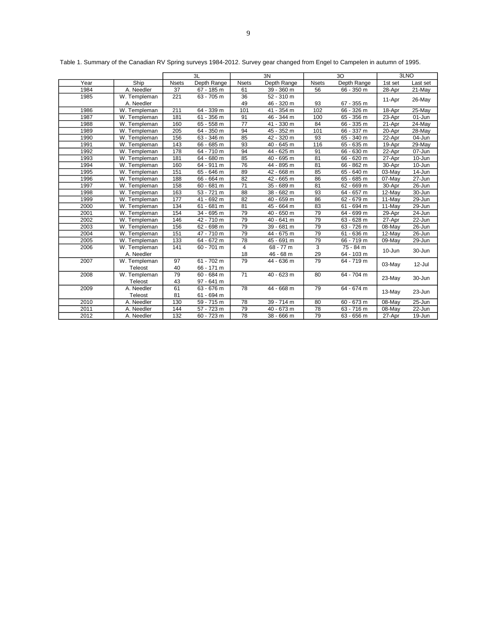|      |              |                 | 3L           |                 | 3N              |               | 3O              |         | 3LNO       |
|------|--------------|-----------------|--------------|-----------------|-----------------|---------------|-----------------|---------|------------|
| Year | Ship         | <b>Nsets</b>    | Depth Range  | <b>Nsets</b>    | Depth Range     | <b>N</b> sets | Depth Range     | 1st set | Last set   |
| 1984 | A. Needler   | $\overline{37}$ | 67 - 185 m   | 61              | 39 - 360 m      | 56            | 66 - 350 m      | 28-Apr  | 21-May     |
| 1985 | W. Templeman | 221             | 63 - 705 m   | 36              | $52 - 310$ m    |               |                 |         |            |
|      | A. Needler   |                 |              | 49              | 46 - 320 m      | 93            | 67 - 355 m      | 11-Apr  | 26-May     |
| 1986 | W. Templeman | 211             | 64 - 339 m   | 101             | $41 - 354$ m    | 102           | 66 - 326 m      | 18-Apr  | 25-May     |
| 1987 | W. Templeman | 181             | 61 - 356 m   | 91              | 46 - 344 m      | 100           | 65 - 356 m      | 23-Apr  | 01-Jun     |
| 1988 | W. Templeman | 160             | $65 - 558$ m | $\overline{77}$ | 41 - 330 m      | 84            | 66 - 335 m      | 21-Apr  | 24-May     |
| 1989 | W. Templeman | 205             | 64 - 350 m   | 94              | 45 - 352 m      | 101           | 66 - 337 m      | 20-Apr  | 28-May     |
| 1990 | W. Templeman | 156             | 63 - 346 m   | 85              | 42 - 320 m      | 93            | 340 m<br>$65 -$ | 22-Apr  | 04-Jun     |
| 1991 | W. Templeman | 143             | 66 - 685 m   | 93              | 40 - 645 m      | 116           | 65 - 635 m      | 19-Apr  | 29-May     |
| 1992 | W. Templeman | 178             | $64 - 710$ m | 94              | 44 - 625 m      | 91            | 66 - 630 m      | 22-Apr  | 07-Jun     |
| 1993 | W. Templeman | 181             | 64 - 680 m   | 85              | 40 - 695 m      | 81            | 66 - 620 m      | 27-Apr  | 10-Jun     |
| 1994 | W. Templeman | 160             | $64 - 911 m$ | 76              | 44 - 895 m      | 81            | 66 - 862 m      | 30-Apr  | 10-Jun     |
| 1995 | W. Templeman | 151             | 65 - 646 m   | 89              | 42 - 668 m      | 85            | 65 - 640 m      | 03-May  | 14-Jun     |
| 1996 | W. Templeman | 188             | 66 - 664 m   | 82              | 665 m<br>$42 -$ | 86            | 65 - 685 m      | 07-May  | 27-Jun     |
| 1997 | W. Templeman | 158             | 60 - 681 m   | $\overline{71}$ | 689 m<br>$35 -$ | 81            | 62 - 669 m      | 30-Apr  | 26-Jun     |
| 1998 | W. Templeman | 163             | 53 - 721 m   | 88              | $38 -$<br>682 m | 93            | $64 -$<br>657 m | 12-May  | 30-Jun     |
| 1999 | W. Templeman | 177             | 41 - 692 m   | 82              | 40 - 659 m      | 86            | $62 - 679$ m    | 11-May  | 29-Jun     |
| 2000 | W. Templeman | 134             | 61 - 681 m   | 81              | 45 - 664 m      | 83            | 61 - 694 m      | 11-May  | 29-Jun     |
| 2001 | W. Templeman | 154             | 34 - 695 m   | 79              | 40 - 650 m      | 79            | 64 - 699 m      | 29-Apr  | 24-Jun     |
| 2002 | W. Templeman | 146             | 42 - 710 m   | 79              | 40 - 641 m      | 79            | 63 - 628 m      | 27-Apr  | 22-Jun     |
| 2003 | W. Templeman | 156             | 62 - 698 m   | 79              | 39 - 681 m      | 79            | $63 - 726$ m    | 08-May  | 26-Jun     |
| 2004 | W. Templeman | 151             | 47 - 710 m   | 79              | 44 - 675 m      | 79            | $61 - 636$ m    | 12-May  | $26 - Jun$ |
| 2005 | W. Templeman | 133             | 64 - 672 m   | 78              | 45 - 691 m      | 79            | 66 - 719 m      | 09-May  | 29-Jun     |
| 2006 | W. Templeman | 141             | $60 - 701$ m | 4               | $68 - 77 m$     | 3             | $75 - 84 m$     | 10-Jun  | 30-Jun     |
|      | A. Needler   |                 |              | 18              | 46 - 68 m       | 29            | 64 - 103 m      |         |            |
| 2007 | W. Templeman | 97              | $61 - 702$ m | 79              | 44 - 636 m      | 79            | 64 - 719 m      | 03-May  | 12-Jul     |
|      | Teleost      | 40              | 66 - 171 m   |                 |                 |               |                 |         |            |
| 2008 | W. Templeman | 79              | $60 - 684$ m | $\overline{71}$ | 40 - 623 m      | 80            | 64 - 704 m      | 23-May  | 30-Jun     |
|      | Teleost      | 43              | 97 - 641 m   |                 |                 |               |                 |         |            |
| 2009 | A. Needler   | 61              | 63 - 676 m   | 78              | 44 - 668 m      | 79            | 64 - 674 m      | 13-May  | 23-Jun     |
|      | Teleost      | 81              | 61 - 694 m   |                 |                 |               |                 |         |            |
| 2010 | A. Needler   | 130             | $59 - 715$ m | 78              | $39 - 714$ m    | 80            | $60 - 673 m$    | 08-May  | 25-Jun     |
| 2011 | A. Needler   | 144             | 57 - 723 m   | 79              | $40 - 673$ m    | 78            | $63 - 716$ m    | 08-May  | $22$ -Jun  |
| 2012 | A. Needler   | 132             | $60 - 723$ m | 78              | $38 - 666$ m    | 79            | 63 - 656 m      | 27-Apr  | 19-Jun     |

Table 1. Summary of the Canadian RV Spring surveys 1984-2012. Survey gear changed from Engel to Campelen in autumn of 1995.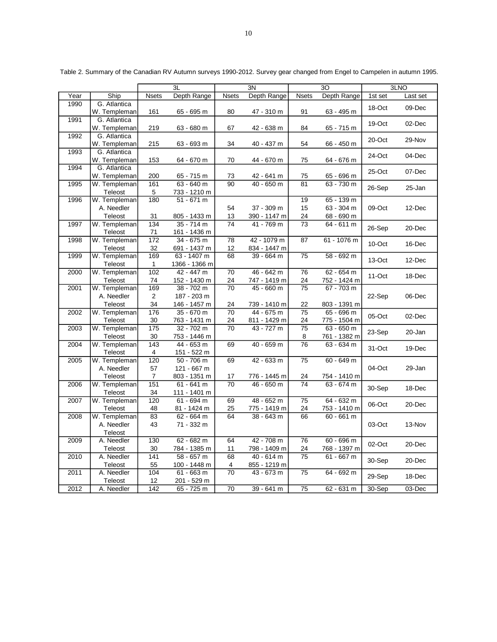|      |              |                  | 3L            |                 | 3N           |                 | 3O           |         | 3LNO     |
|------|--------------|------------------|---------------|-----------------|--------------|-----------------|--------------|---------|----------|
| Year | Ship         | <b>Nsets</b>     | Depth Range   | <b>Nsets</b>    | Depth Range  | <b>Nsets</b>    | Depth Range  | 1st set | Last set |
| 1990 | G. Atlantica |                  |               |                 |              |                 |              |         |          |
|      | W. Templeman | 161              | 65 - 695 m    | 80              | 47 - 310 m   | 91              | 63 - 495 m   | 18-Oct  | 09-Dec   |
| 1991 | G. Atlantica |                  |               |                 |              |                 |              |         |          |
|      | W. Templeman | 219              | 63 - 680 m    | 67              | 42 - 638 m   | 84              | 65 - 715 m   | 19-Oct  | 02-Dec   |
| 1992 | G. Atlantica |                  |               |                 |              |                 |              |         |          |
|      | W. Templeman | 215              | 63 - 693 m    | 34              | 40 - 437 m   | 54              | 66 - 450 m   | 20-Oct  | 29-Nov   |
| 1993 | G. Atlantica |                  |               |                 |              |                 |              |         |          |
|      | W. Templeman | 153              | 64 - 670 m    | 70              | 44 - 670 m   | 75              | 64 - 676 m   | 24-Oct  | 04-Dec   |
| 1994 | G. Atlantica |                  |               |                 |              |                 |              | 25-Oct  | 07-Dec   |
|      | W. Templeman | 200              | 65 - 715 m    | 73              | 42 - 641 m   | 75              | 65 - 696 m   |         |          |
| 1995 | W. Templeman | 161              | 63 - 640 m    | 90              | 40 - 650 m   | 81              | 63 - 730 m   |         |          |
|      | Teleost      | 5                | 733 - 1210 m  |                 |              |                 |              | 26-Sep  | 25-Jan   |
| 1996 | W. Templeman | 180              | $51 - 671$ m  |                 |              | 19              | 65 - 139 m   |         |          |
|      | A. Needler   |                  |               | 54              | 37 - 309 m   | 15              | 63 - 304 m   | 09-Oct  | 12-Dec   |
|      | Teleost      | 31               | 805 - 1433 m  | 13              | 390 - 1147 m | 24              | 68 - 690 m   |         |          |
| 1997 | W. Templeman | 134              | $35 - 714$ m  | 74              | 41 - 769 m   | 73              | 64 - 611 m   |         |          |
|      | Teleost      | 71               | 161 - 1436 m  |                 |              |                 |              | 26-Sep  | 20-Dec   |
| 1998 | W. Templeman | 172              | 34 - 675 m    | 78              | 42 - 1079 m  | 87              | 61 - 1076 m  | 10-Oct  | 16-Dec   |
|      | Teleost      | 32               | 691 - 1437 m  | 12              | 834 - 1447 m |                 |              |         |          |
| 1999 | W. Templeman | 169              | 63 - 1407 m   | 68              | $39 - 664$ m | 75              | $58 - 692$ m | 13-Oct  | 12-Dec   |
|      | Teleost      | 1                | 1366 - 1366 m |                 |              |                 |              |         |          |
| 2000 | W. Templeman | 102              | 42 - 447 m    | 70              | 46 - 642 m   | 76              | 62 - 654 m   | 11-Oct  | 18-Dec   |
|      | Teleost      | 74               | 152 - 1430 m  | 24              | 747 - 1419 m | 24              | 752 - 1424 m |         |          |
| 2001 | W. Templeman | 169              | 38 - 702 m    | 70              | 45 - 660 m   | 75              | 67 - 703 m   |         |          |
|      | A. Needler   | $\mathbf{2}$     | 187 - 203 m   |                 |              |                 |              | 22-Sep  | 06-Dec   |
|      | Teleost      | 34               | 146 - 1457 m  | 24              | 739 - 1410 m | 22              | 803 - 1391 m |         |          |
| 2002 | W. Templeman | 176              | 35 - 670 m    | 70              | 44 - 675 m   | 75              | 65 - 696 m   |         |          |
|      | Teleost      | 30               | 763 - 1431 m  | 24              | 811 - 1429 m | 24              | 775 - 1504 m | 05-Oct  | 02-Dec   |
| 2003 | W. Templeman | 175              | $32 - 702$ m  | 70              | 43 - 727 m   | $\overline{75}$ | 63 - 650 m   | 23-Sep  |          |
|      | Teleost      | 30               | 753 - 1446 m  |                 |              | 8               | 761 - 1382 m |         | 20-Jan   |
| 2004 | W. Templeman | 143              | 44 - 653 m    | 69              | 40 - 659 m   | 76              | 63 - 634 m   | 31-Oct  | 19-Dec   |
|      | Teleost      | 4                | 151 - 522 m   |                 |              |                 |              |         |          |
| 2005 | W. Templeman | 120              | $50 - 706$ m  | 69              | 42 - 633 m   | $\overline{75}$ | $60 - 649$ m |         |          |
|      | A. Needler   | 57               | 121 - 667 m   |                 |              |                 |              | 04-Oct  | 29-Jan   |
|      | Teleost      | $\overline{7}$   | 803 - 1351 m  | 17              | 776 - 1445 m | 24              | 754 - 1410 m |         |          |
| 2006 | W. Templeman | 151              | $61 - 641$ m  | $\overline{70}$ | 46 - 650 m   | $\overline{74}$ | 63 - 674 m   | 30-Sep  | 18-Dec   |
|      | Teleost      | 34               | 111 - 1401 m  |                 |              |                 |              |         |          |
| 2007 | W. Templeman | 120              | 61 - 694 m    | 69              | 48 - 652 m   | 75              | 64 - 632 m   | 06-Oct  | 20-Dec   |
|      | Teleost      | 48               | 81 - 1424 m   | 25              | 775 - 1419 m | 24              | 753 - 1410 m |         |          |
| 2008 | W. Templeman | 83               | 62 - 664 m    | 64              | 38 - 643 m   | 66              | $60 - 661$ m |         |          |
|      | A. Needler   | 43               | 71 - 332 m    |                 |              |                 |              | 03-Oct  | 13-Nov   |
|      | Teleost      |                  |               |                 |              |                 |              |         |          |
| 2009 | A. Needler   | 130              | 62 - 682 m    | 64              | 42 - 708 m   | 76              | 60 - 696 m   | 02-Oct  | 20-Dec   |
|      | Teleost      | 30               | 784 - 1385 m  | 11              | 798 - 1409 m | 24              | 768 - 1397 m |         |          |
| 2010 | A. Needler   | 141              | 58 - 657 m    | 68              | 40 - 614 m   | 75              | 61 - 667 m   | 30-Sep  | 20-Dec   |
|      | Teleost      | 55               | 100 - 1448 m  | 4               | 855 - 1219 m |                 |              |         |          |
| 2011 | A. Needler   | 104              | $61 - 663$ m  | 70              | 43 - 673 m   | 75              | 64 - 692 m   | 29-Sep  | 18-Dec   |
|      | Teleost      | 12               | 201 - 529 m   |                 |              |                 |              |         |          |
| 2012 | A. Needler   | $\overline{142}$ | 65 - 725 m    | 70              | 39 - 641 m   | $\overline{75}$ | 62 - 631 m   | 30-Sep  | 03-Dec   |

Table 2. Summary of the Canadian RV Autumn surveys 1990-2012. Survey gear changed from Engel to Campelen in autumn 1995.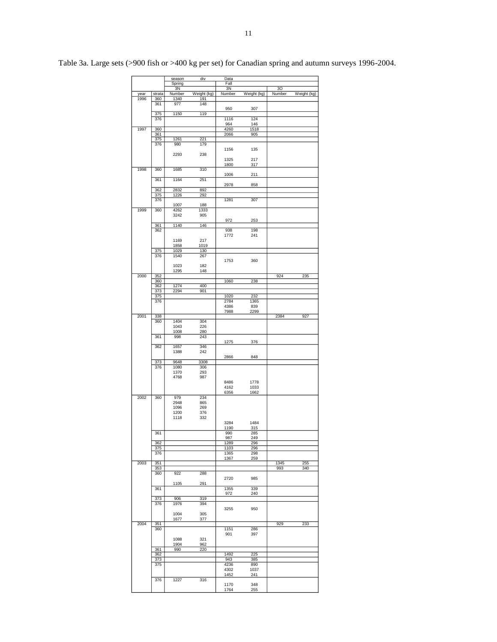|      |            | season       | div         | Data         |             |        |             |
|------|------------|--------------|-------------|--------------|-------------|--------|-------------|
|      |            | Spring       |             | Fall         |             |        |             |
|      |            | 3N           |             | 3N           |             | 30     |             |
| year | strata     | Number       | Weight (kg) | Number       | Weight (kg) | Number | Weight (kg) |
| 1996 | 360        | 1340         | 191         |              |             |        |             |
|      | 361        | 977          | 148         | 950          | 307         |        |             |
|      | 375        | 1150         | 119         |              |             |        |             |
|      | 376        |              |             | 1116         | 124         |        |             |
|      |            |              |             | 964          | 146         |        |             |
| 1997 | 360        |              |             | 4260         | 1518        |        |             |
|      | 361        |              |             | 2066         | 905         |        |             |
|      | 375<br>376 | 1261<br>980  | 221<br>179  |              |             |        |             |
|      |            |              |             | 1156         | 135         |        |             |
|      |            | 2293         | 238         |              |             |        |             |
|      |            |              |             | 1325         | 217         |        |             |
|      |            |              |             | 1800         | 317         |        |             |
| 1998 | 360        | 1685         | 310         |              |             |        |             |
|      | 361        | 1164         | 251         | 1006         | 211         |        |             |
|      |            |              |             | 2978         | 858         |        |             |
|      | 362        | 2832         | 892         |              |             |        |             |
|      | 375        | 1226         | 292         |              |             |        |             |
|      | 376        |              |             | 1281         | 307         |        |             |
|      |            | 1007         | 188         |              |             |        |             |
| 1999 | 360        | 4262         | 1333        |              |             |        |             |
|      |            | 3242         | 905         | 972          | 253         |        |             |
|      | 361        | 1140         | 146         |              |             |        |             |
|      | 362        |              |             | 938          | 198         |        |             |
|      |            |              |             | 1772         | 241         |        |             |
|      |            | 1169         | 217         |              |             |        |             |
|      |            | 1858         | 1019        |              |             |        |             |
|      | 375<br>376 | 1029<br>1540 | 130<br>267  |              |             |        |             |
|      |            |              |             | 1753         | 360         |        |             |
|      |            | 1023         | 182         |              |             |        |             |
|      |            | 1295         | 148         |              |             |        |             |
| 2000 | 352        |              |             |              |             | 924    | 235         |
|      | 360        |              |             | 1060         | 238         |        |             |
|      | 362        | 1274         | 400         |              |             |        |             |
|      | 373<br>375 | 2294         | 901         | 1020         | 232         |        |             |
|      | 376        |              |             | 2784         | 1365        |        |             |
|      |            |              |             | 4386         | 839         |        |             |
|      |            |              |             | 7988         | 2299        |        |             |
| 2001 | 338        |              |             |              |             | 2384   | 927         |
|      | 360        | 1404         | 304         |              |             |        |             |
|      |            | 1043         | 226         |              |             |        |             |
|      | 361        | 1008<br>998  | 280<br>243  |              |             |        |             |
|      |            |              |             | 1275         | 376         |        |             |
|      | 362        | 1657         | 346         |              |             |        |             |
|      |            | 1388         | 242         |              |             |        |             |
|      |            |              |             | 2866         | 848         |        |             |
|      | 373        | 9648         | 3308        |              |             |        |             |
|      | 376        | 1080<br>1370 | 306<br>293  |              |             |        |             |
|      |            | 4768         | 987         |              |             |        |             |
|      |            |              |             | 8486         | 1778        |        |             |
|      |            |              |             | 4162         | 1033        |        |             |
|      |            |              |             | 6356         | 1662        |        |             |
| 2002 | 360        | 979          | 234         |              |             |        |             |
|      |            | 2948         | 865         |              |             |        |             |
|      |            | 1096<br>1200 | 269<br>376  |              |             |        |             |
|      |            | 1118         | 332         |              |             |        |             |
|      |            |              |             | 3284         | 1484        |        |             |
|      |            |              |             | 1190         | 315         |        |             |
|      | 361        |              |             | 990          | 285         |        |             |
|      |            |              |             | 987          | 249         |        |             |
|      | 362<br>375 |              |             | 1289<br>1103 | 296<br>296  |        |             |
|      | 376        |              |             | 1365         | 298         |        |             |
|      |            |              |             | 1367         | 259         |        |             |
| 2003 | 351        |              |             |              |             | 1345   | 255         |
|      | 353        |              |             |              |             | 993    | 340         |
|      | 360        | 922          | 288         |              |             |        |             |
|      |            | 1105         | 291         | 2720         | 985         |        |             |
|      | 361        |              |             | 1355         | 339         |        |             |
|      |            |              |             | 972          | 240         |        |             |
|      | 373        | 906          | 319         |              |             |        |             |
|      | 376        | 1976         | 394         |              |             |        |             |
|      |            |              |             | 3255         | 950         |        |             |
|      |            | 1004<br>1677 | 305<br>377  |              |             |        |             |
| 2004 | 351        |              |             |              |             | 929    | 233         |
|      | 360        |              |             | 1151         | 286         |        |             |
|      |            |              |             | 901          | 397         |        |             |
|      |            | 1088         | 321         |              |             |        |             |
|      |            | 1904         | 962         |              |             |        |             |
|      | 361        | 990          | 220         |              |             |        |             |
|      | 362<br>373 |              |             | 1492<br>943  | 225<br>385  |        |             |
|      | 375        |              |             | 4236         | 890         |        |             |
|      |            |              |             | 4302         | 1037        |        |             |
|      |            |              |             | 1452         | 241         |        |             |
|      | 376        | 1227         | 316         |              |             |        |             |
|      |            |              |             | 1170         | 348         |        |             |
|      |            |              |             | 1764         | 255         |        |             |

Table 3a. Large sets (>900 fish or >400 kg per set) for Canadian spring and autumn surveys 1996-2004.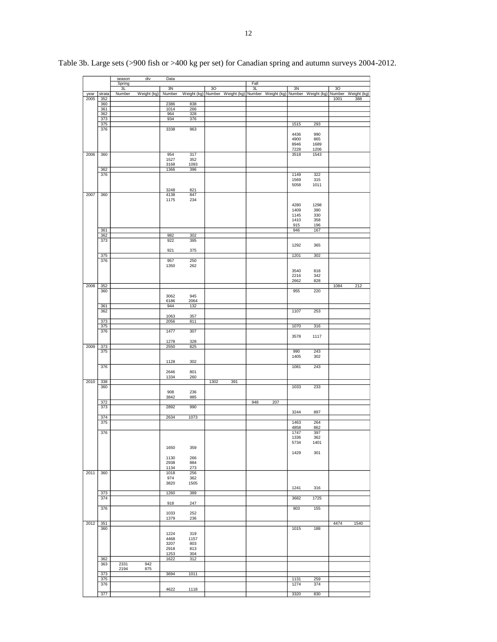|      |            | season       | div         | Data         |             |                    |            |                    |              |                    |      |                    |
|------|------------|--------------|-------------|--------------|-------------|--------------------|------------|--------------------|--------------|--------------------|------|--------------------|
|      |            | Spring<br>3L |             | 3N           |             | 30                 | Fall<br>3L |                    | 3N           |                    | 30   |                    |
| year | strata     | Number       | Weight (kg) | Number       | Weight (kg) | Number Weight (kg) |            | Number Weight (kg) |              | Number Weight (kg) |      | Number Weight (kg) |
| 2005 | 352        |              |             |              |             |                    |            |                    |              |                    | 1001 | 388                |
|      | 360<br>361 |              |             | 2386<br>1014 | 838<br>266  |                    |            |                    |              |                    |      |                    |
|      | 362        |              |             | 964          | 328         |                    |            |                    |              |                    |      |                    |
|      | 373        |              |             | 934          | 376         |                    |            |                    |              |                    |      |                    |
|      | 375<br>376 |              |             | 3338         | 963         |                    |            |                    | 1515         | 293                |      |                    |
|      |            |              |             |              |             |                    |            |                    | 4436         | 990                |      |                    |
|      |            |              |             |              |             |                    |            |                    | 4900         | 865                |      |                    |
|      |            |              |             |              |             |                    |            |                    | 8946         | 1689               |      |                    |
| 2006 | 360        |              |             | 954          | 317         |                    |            |                    | 7228<br>3518 | 1206<br>1543       |      |                    |
|      |            |              |             | 1527         | 352         |                    |            |                    |              |                    |      |                    |
|      |            |              |             | 3168         | 1093        |                    |            |                    |              |                    |      |                    |
|      | 362<br>376 |              |             | 1366         | 396         |                    |            |                    | 1149         | 322                |      |                    |
|      |            |              |             |              |             |                    |            |                    | 1569         | 315                |      |                    |
|      |            |              |             |              |             |                    |            |                    | 5058         | 1011               |      |                    |
|      |            |              |             | 3248         | 821         |                    |            |                    |              |                    |      |                    |
| 2007 | 360        |              |             | 4138<br>1175 | 847<br>234  |                    |            |                    |              |                    |      |                    |
|      |            |              |             |              |             |                    |            |                    | 4280         | 1298               |      |                    |
|      |            |              |             |              |             |                    |            |                    | 1409         | 390                |      |                    |
|      |            |              |             |              |             |                    |            |                    | 1145<br>1410 | 330<br>358         |      |                    |
|      |            |              |             |              |             |                    |            |                    | 915          | 196                |      |                    |
|      | 361        |              |             |              |             |                    |            |                    | 946          | 167                |      |                    |
|      | 362<br>373 |              |             | 982<br>922   | 302<br>395  |                    |            |                    |              |                    |      |                    |
|      |            |              |             |              |             |                    |            |                    | 1292         | 365                |      |                    |
|      |            |              |             | 921          | 375         |                    |            |                    |              |                    |      |                    |
|      | 375        |              |             |              |             |                    |            |                    | 1201         | 302                |      |                    |
|      | 376        |              |             | 957<br>1350  | 250<br>262  |                    |            |                    |              |                    |      |                    |
|      |            |              |             |              |             |                    |            |                    | 3540         | 818                |      |                    |
|      |            |              |             |              |             |                    |            |                    | 2216         | 342                |      |                    |
| 2008 | 352        |              |             |              |             |                    |            |                    | 2662         | 828                | 1084 | 212                |
|      | 360        |              |             |              |             |                    |            |                    | 955          | 220                |      |                    |
|      |            |              |             | 3062         | 945         |                    |            |                    |              |                    |      |                    |
|      |            |              |             | 6186         | 2064        |                    |            |                    |              |                    |      |                    |
|      | 361<br>362 |              |             | 944          | 132         |                    |            |                    | 1107         | 253                |      |                    |
|      |            |              |             | 1063         | 357         |                    |            |                    |              |                    |      |                    |
|      | 373        |              |             | 2056         | 811         |                    |            |                    |              |                    |      |                    |
|      | 375        |              |             | 1477         | 307         |                    |            |                    | 1070         | 316                |      |                    |
|      | 376        |              |             |              |             |                    |            |                    | 3578         | 1117               |      |                    |
|      |            |              |             | 1278         | 328         |                    |            |                    |              |                    |      |                    |
| 2009 | 373        |              |             | 2550         | 825         |                    |            |                    |              |                    |      |                    |
|      | 375        |              |             |              |             |                    |            |                    | 990<br>1405  | 243<br>302         |      |                    |
|      |            |              |             | 1128         | 302         |                    |            |                    |              |                    |      |                    |
|      | 376        |              |             |              |             |                    |            |                    | 1081         | 243                |      |                    |
|      |            |              |             | 2646<br>1334 | 801<br>260  |                    |            |                    |              |                    |      |                    |
| 2010 | 338        |              |             |              |             | 1302<br>391        |            |                    |              |                    |      |                    |
|      | 360        |              |             |              |             |                    |            |                    | 1033         | 233                |      |                    |
|      |            |              |             | 908          | 236         |                    |            |                    |              |                    |      |                    |
|      | 372        |              |             | 3842         | 985         |                    | 948        | 207                |              |                    |      |                    |
|      | 373        |              |             | 2892         | 990         |                    |            |                    |              |                    |      |                    |
|      |            |              |             |              |             |                    |            |                    | 3244         | 897                |      |                    |
|      | 374<br>375 |              |             | 2634         | 1073        |                    |            |                    | 1463         | 264                |      |                    |
|      |            |              |             |              |             |                    |            |                    | 4858         | 862                |      |                    |
|      | 376        |              |             |              |             |                    |            |                    | 1747         | 397                |      |                    |
|      |            |              |             |              |             |                    |            |                    | 1330<br>5734 | 362<br>1401        |      |                    |
|      |            |              |             | 1650         | 359         |                    |            |                    |              |                    |      |                    |
|      |            |              |             |              |             |                    |            |                    | 1429         | 301                |      |                    |
|      |            |              |             | 1130<br>2938 | 266<br>884  |                    |            |                    |              |                    |      |                    |
|      |            |              |             | 1134         | 273         |                    |            |                    |              |                    |      |                    |
| 2011 | 360        |              |             | 1018         | 256         |                    |            |                    |              |                    |      |                    |
|      |            |              |             | 974          | 362         |                    |            |                    |              |                    |      |                    |
|      |            |              |             | 3820         | 1505        |                    |            |                    | 1241         | 316                |      |                    |
|      | 373        |              |             | 1260         | 389         |                    |            |                    |              |                    |      |                    |
|      | 374        |              |             |              |             |                    |            |                    | 3682         | 1725               |      |                    |
|      | 376        |              |             | 918          | 247         |                    |            |                    | 903          | 155                |      |                    |
|      |            |              |             | 1033         | 252         |                    |            |                    |              |                    |      |                    |
|      |            |              |             | 1379         | 236         |                    |            |                    |              |                    |      |                    |
| 2012 | 351        |              |             |              |             |                    |            |                    |              |                    | 4474 | 1540               |
|      | 360        |              |             | 1224         | 319         |                    |            |                    | 1015         | 188                |      |                    |
|      |            |              |             | 4468         | 1157        |                    |            |                    |              |                    |      |                    |
|      |            |              |             | 3207         | 803         |                    |            |                    |              |                    |      |                    |
|      |            |              |             | 2918         | 813         |                    |            |                    |              |                    |      |                    |
|      | 362        |              |             | 1253<br>1622 | 304<br>312  |                    |            |                    |              |                    |      |                    |
|      | 363        | 2331         | 942         |              |             |                    |            |                    |              |                    |      |                    |
|      |            | 2194         | 875         |              |             |                    |            |                    |              |                    |      |                    |
|      | 373<br>375 |              |             | 3694         | 1011        |                    |            |                    | 1131         | 259                |      |                    |
|      | 376        |              |             |              |             |                    |            |                    | 1274         | 374                |      |                    |
|      |            |              |             | 4622         | 1118        |                    |            |                    |              |                    |      |                    |
|      | 377        |              |             |              |             |                    |            |                    | 3320         | 830                |      |                    |

Table 3b. Large sets (>900 fish or >400 kg per set) for Canadian spring and autumn surveys 2004-2012.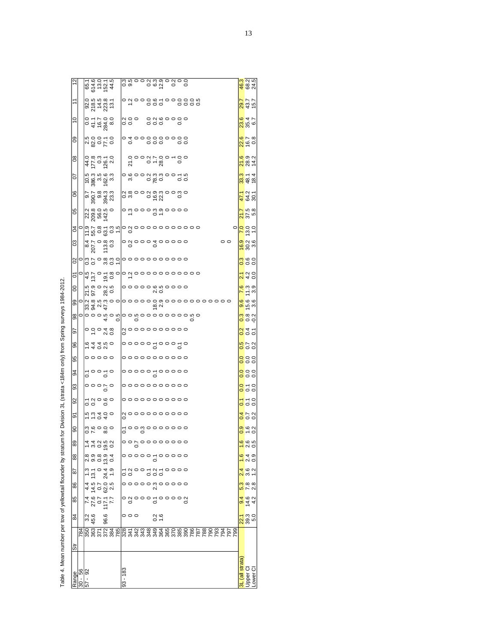| į<br>İ                              |
|-------------------------------------|
|                                     |
|                                     |
| í<br>l                              |
|                                     |
|                                     |
| ļ                                   |
| I                                   |
|                                     |
|                                     |
|                                     |
|                                     |
| i<br>ׇ֚֘֝֕<br>i<br>l                |
| ì<br>j<br>í                         |
| í<br>ı<br>i<br>$\tau_{\text{able}}$ |

|                            |    |                                           |             | 65.1<br>614.6<br>614.9<br>65.1<br>65.1    |     |                                                                                                                                                                                                                                  | on ond o o<br>Uniooduoodoo   |            |              |  |                                                         |  |  |                                                            |  |  |         |               |   | 46.3<br>68.2<br>24.5                                                                              |  |
|----------------------------|----|-------------------------------------------|-------------|-------------------------------------------|-----|----------------------------------------------------------------------------------------------------------------------------------------------------------------------------------------------------------------------------------|------------------------------|------------|--------------|--|---------------------------------------------------------|--|--|------------------------------------------------------------|--|--|---------|---------------|---|---------------------------------------------------------------------------------------------------|--|
| $\tilde{t}$                |    |                                           |             | 025<br>0255<br>02537<br>025               |     |                                                                                                                                                                                                                                  |                              |            |              |  |                                                         |  |  |                                                            |  |  |         |               |   | 29.7<br>43.7<br>15.7                                                                              |  |
| $\overline{0}$             |    |                                           |             |                                           |     |                                                                                                                                                                                                                                  |                              |            | a o o<br>o o |  | $\begin{array}{c} 0.000000 \\ 0.000000 \\ \end{array}$  |  |  |                                                            |  |  |         |               |   | $\frac{8}{354}$                                                                                   |  |
| 80                         |    |                                           |             | 0:0<br>0:08<br>0:08                       |     |                                                                                                                                                                                                                                  |                              |            |              |  | o to o co co co<br>O todo co                            |  |  |                                                            |  |  |         |               |   | $\frac{28}{16}$ 7<br>0.8                                                                          |  |
| $\infty$                   |    |                                           |             | 472 020<br>472 020                        |     |                                                                                                                                                                                                                                  |                              |            |              |  | 50000750000                                             |  |  |                                                            |  |  |         |               |   | 21832<br>2832                                                                                     |  |
| $\overline{0}$             |    |                                           |             | ပ်<br>၁ အိမ္မသို့<br>၁ အိမ္မသို့          |     |                                                                                                                                                                                                                                  |                              |            |              |  | a a oko<br>odoowindoo in                                |  |  |                                                            |  |  |         |               |   | <mark>ಜ</mark> ್ಯ 4<br>ಜ್ಞೆ ಕೆ ಕ                                                                  |  |
| $\mathcal{S}$              |    | $\frac{55}{90}$                           |             |                                           |     |                                                                                                                                                                                                                                  |                              |            |              |  |                                                         |  |  |                                                            |  |  |         |               |   | $rac{1}{4}$ $rac{1}{6}$ $rac{3}{5}$                                                               |  |
| 80                         |    |                                           |             | 23805<br>238542<br>23854                  |     |                                                                                                                                                                                                                                  |                              |            |              |  | o di o o o o o o o o o<br>O di o o o o o o o o o        |  |  |                                                            |  |  |         |               |   | $\frac{27}{275}$<br>$\frac{27}{27}$                                                               |  |
| $\overline{5}$             |    |                                           |             |                                           |     |                                                                                                                                                                                                                                  |                              |            |              |  |                                                         |  |  | <b>SERO SOLO</b><br>Oloir a Luido do o o o o o o o o o o o |  |  |         |               |   | a <mark>lo</mark> d'ai<br>al <mark>o</mark> d'ai                                                  |  |
| $\boldsymbol{\mathcal{S}}$ |    |                                           |             | $207.7$<br>207.7<br>113.8                 | 0.3 |                                                                                                                                                                                                                                  | $\overline{a}$               |            |              |  |                                                         |  |  |                                                            |  |  | $\circ$ |               |   | 00<br>000<br>000                                                                                  |  |
| $\mathbf{S}$               |    |                                           |             |                                           |     | Occupacion control de control de la control de la control de la control de la control de la control de la cont<br>Occupación de la control de la control de la control de la control de la control de la control de la control d |                              |            |              |  |                                                         |  |  |                                                            |  |  |         |               |   | ngeo                                                                                              |  |
| 5                          |    |                                           |             |                                           |     |                                                                                                                                                                                                                                  |                              |            |              |  |                                                         |  |  |                                                            |  |  |         |               |   | $\frac{1}{2}$ $\frac{1}{2}$ $\frac{1}{2}$ $\frac{1}{2}$ $\frac{1}{2}$ $\frac{1}{2}$ $\frac{1}{2}$ |  |
| 8                          |    |                                           |             | 52<br>1920<br>1920                        |     |                                                                                                                                                                                                                                  |                              |            |              |  |                                                         |  |  |                                                            |  |  |         |               |   | r i a<br><mark>o</mark> i a                                                                       |  |
| 8                          |    | oly a ri ci<br>Si si ci ci<br>Oly a ri ci |             |                                           |     |                                                                                                                                                                                                                                  |                              |            |              |  |                                                         |  |  |                                                            |  |  |         |               |   | <mark>ဇ္</mark> ဂိုဇ္ဂိုဇ္ဂို<br>စစ္ဂြ                                                            |  |
| $\frac{8}{3}$              |    |                                           |             |                                           |     |                                                                                                                                                                                                                                  |                              |            |              |  |                                                         |  |  | olooowowoowooooooowo                                       |  |  |         |               |   | <mark>္</mark> ကို ေပါ့<br><mark>၀</mark> ၀၀                                                      |  |
| 56                         |    |                                           |             | 0.5048                                    |     |                                                                                                                                                                                                                                  | a  0 0 0 0 0 0 0 0 0 0<br> 0 |            |              |  |                                                         |  |  |                                                            |  |  |         |               |   | $\frac{2}{0}$ $\frac{4}{5}$ $\frac{1}{2}$                                                         |  |
| 96                         |    | $-400$<br>$-400$                          |             |                                           |     |                                                                                                                                                                                                                                  |                              |            |              |  |                                                         |  |  |                                                            |  |  |         |               |   | $rac{16}{100}$                                                                                    |  |
| 95                         |    |                                           |             | $\circ \circ \circ \circ \circ$           |     |                                                                                                                                                                                                                                  |                              |            |              |  |                                                         |  |  |                                                            |  |  |         |               |   | $\frac{8}{5}$                                                                                     |  |
| 8                          |    |                                           |             | 50050                                     |     |                                                                                                                                                                                                                                  |                              |            |              |  | $\frac{1}{2}$                                           |  |  |                                                            |  |  |         |               |   | ooo<br>ooo                                                                                        |  |
| 93                         |    |                                           |             | $\circ \circ \circ \circ \circ$           |     |                                                                                                                                                                                                                                  |                              |            |              |  |                                                         |  |  |                                                            |  |  |         |               |   | $\frac{8}{5}$ $\frac{1}{5}$ $\frac{1}{5}$                                                         |  |
| 92                         |    |                                           |             | ca<br>Cacco                               |     |                                                                                                                                                                                                                                  |                              |            |              |  | $\circ \circ \circ \circ \circ \circ \circ \circ \circ$ |  |  |                                                            |  |  |         |               |   | $\frac{7}{6}$ $\frac{7}{6}$ $\frac{8}{6}$                                                         |  |
| 5                          |    | 5.504                                     |             |                                           |     |                                                                                                                                                                                                                                  | a 000000000<br> 0            |            |              |  |                                                         |  |  |                                                            |  |  |         |               |   | 0000                                                                                              |  |
| 8                          |    |                                           |             | 0.0000<br>0.000                           |     |                                                                                                                                                                                                                                  |                              |            |              |  | 500 00000000                                            |  |  |                                                            |  |  |         |               |   | $\frac{1}{\alpha}$ is $\frac{\alpha}{\alpha}$                                                     |  |
| 89                         |    |                                           |             | 4 4 9 5 9 9<br>4 4 9 5 9 9                |     |                                                                                                                                                                                                                                  |                              |            |              |  | °°°°°°°                                                 |  |  |                                                            |  |  |         |               |   | $\frac{6}{20}$                                                                                    |  |
| 88                         |    |                                           |             | 이 이 이 이 <i>식</i><br>이 이 이 이 이             |     |                                                                                                                                                                                                                                  |                              |            |              |  | $\circ \circ \circ \circ \circ \circ \circ \circ \circ$ |  |  |                                                            |  |  |         |               |   | نې نه<br>N O                                                                                      |  |
| 59                         |    |                                           | 13.1        | $049$<br>04.9                             |     |                                                                                                                                                                                                                                  |                              | 5 3<br>0 9 |              |  | °°535                                                   |  |  |                                                            |  |  |         |               |   | $\frac{6}{3}$ $\frac{2}{1}$                                                                       |  |
| 86                         |    |                                           |             | 4 ti 0 ci 0<br>4 ti 0 ci 0<br>4 ti 0 ci 0 |     |                                                                                                                                                                                                                                  |                              |            |              |  | ooooomooooo<br>N                                        |  |  |                                                            |  |  |         |               |   | $\frac{8}{2}$                                                                                     |  |
| 85                         |    |                                           |             | 170717<br>170717                          |     |                                                                                                                                                                                                                                  |                              |            | °왕°°°동       |  |                                                         |  |  |                                                            |  |  |         |               | တ | $4.3 + 4.2$                                                                                       |  |
| 84                         |    |                                           | 3.2<br>45.6 | 96.6                                      |     |                                                                                                                                                                                                                                  |                              | 000        |              |  | $\frac{2}{1.6}$                                         |  |  |                                                            |  |  |         |               |   | $\frac{7}{8}$ $\frac{3}{8}$ $\frac{3}{8}$                                                         |  |
|                            |    |                                           |             |                                           |     |                                                                                                                                                                                                                                  |                              |            |              |  |                                                         |  |  |                                                            |  |  |         | $\frac{1}{4}$ |   |                                                                                                   |  |
| <b>Str</b>                 |    |                                           |             |                                           |     |                                                                                                                                                                                                                                  |                              |            |              |  |                                                         |  |  |                                                            |  |  |         |               |   |                                                                                                   |  |
| Range                      | 30 | $\frac{6}{9}$<br>57                       |             |                                           |     |                                                                                                                                                                                                                                  | 93 - 183                     |            |              |  |                                                         |  |  |                                                            |  |  |         |               |   | 3L (all strata)<br>Jpper Cl<br>Jower Cl                                                           |  |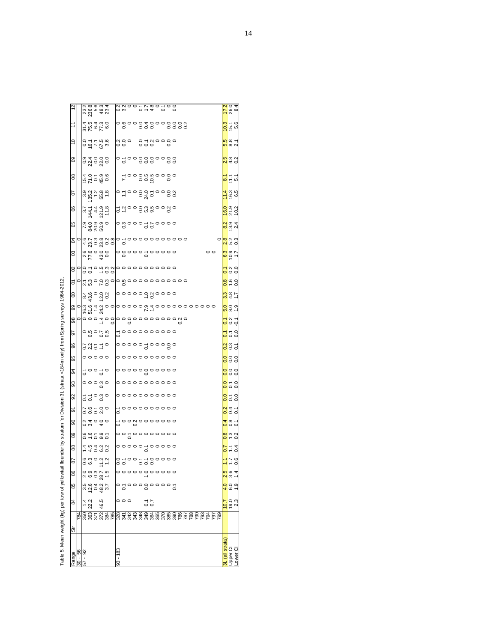|                 |                           |                                                                                 |             |                                   |                                                         |                            |                         |  |  | 08 01180100                                                                                      |  |  |  |                                                                                                                                                                                                                                                                                                                                                                                                                                                                             |                                      |         | $\frac{170}{260}$                                                |  |
|-----------------|---------------------------|---------------------------------------------------------------------------------|-------------|-----------------------------------|---------------------------------------------------------|----------------------------|-------------------------|--|--|--------------------------------------------------------------------------------------------------|--|--|--|-----------------------------------------------------------------------------------------------------------------------------------------------------------------------------------------------------------------------------------------------------------------------------------------------------------------------------------------------------------------------------------------------------------------------------------------------------------------------------|--------------------------------------|---------|------------------------------------------------------------------|--|
|                 |                           |                                                                                 |             |                                   |                                                         |                            |                         |  |  |                                                                                                  |  |  |  |                                                                                                                                                                                                                                                                                                                                                                                                                                                                             |                                      |         |                                                                  |  |
| $\overline{1}$  |                           |                                                                                 |             | 914<br>254<br>254                 |                                                         |                            |                         |  |  |                                                                                                  |  |  |  |                                                                                                                                                                                                                                                                                                                                                                                                                                                                             |                                      |         | $\frac{10.3}{15.6}$                                              |  |
| ă               |                           | 0.57588                                                                         |             |                                   |                                                         | ago gragogo<br>Ngo gragogo |                         |  |  |                                                                                                  |  |  |  |                                                                                                                                                                                                                                                                                                                                                                                                                                                                             |                                      |         | <mark>ທ</mark> ∞ ←<br>စံ ∞ လ                                     |  |
| 8               |                           |                                                                                 |             | ด <del>ง</del> ๐ ๐ ๐<br>๐ ส ๐ ส ๐ |                                                         |                            |                         |  |  |                                                                                                  |  |  |  |                                                                                                                                                                                                                                                                                                                                                                                                                                                                             |                                      |         | $\frac{16}{2}$ $\frac{16}{2}$ $\frac{16}{2}$                     |  |
| 80              |                           | 570 00<br>1670 00<br>1670 00                                                    |             |                                   |                                                         |                            |                         |  |  | 50000000000                                                                                      |  |  |  |                                                                                                                                                                                                                                                                                                                                                                                                                                                                             |                                      |         | $\frac{87}{11}$ 5.7                                              |  |
| 5               |                           | 3.879888                                                                        |             |                                   |                                                         |                            |                         |  |  |                                                                                                  |  |  |  |                                                                                                                                                                                                                                                                                                                                                                                                                                                                             |                                      |         | $\frac{1}{4}$ (g) $\frac{1}{4}$                                  |  |
| 80              |                           | $\frac{4}{9}$ $\frac{4}{4}$ $\frac{4}{9}$ $\frac{5}{9}$ $\frac{1}{8}$           |             |                                   |                                                         | ct oodwoodo                |                         |  |  |                                                                                                  |  |  |  |                                                                                                                                                                                                                                                                                                                                                                                                                                                                             |                                      |         | $\frac{160}{27.2}$                                               |  |
| 80              |                           | 0,0,0,0,0<br>  0,0,0,0,0<br>  0,0,0,0,0                                         |             |                                   |                                                         |                            |                         |  |  |                                                                                                  |  |  |  |                                                                                                                                                                                                                                                                                                                                                                                                                                                                             |                                      |         | $\frac{1}{8}$ $\frac{1}{8}$ $\frac{1}{9}$ $\frac{1}{4}$          |  |
| S4              |                           |                                                                                 |             |                                   |                                                         |                            |                         |  |  |                                                                                                  |  |  |  |                                                                                                                                                                                                                                                                                                                                                                                                                                                                             |                                      | $\circ$ | R R R S<br>R R S O                                               |  |
| CO <sub>3</sub> |                           | asooo<br>asooo                                                                  |             |                                   |                                                         |                            |                         |  |  |                                                                                                  |  |  |  |                                                                                                                                                                                                                                                                                                                                                                                                                                                                             | $\circ$                              |         | $rac{3}{6}$<br>$rac{3}{6}$                                       |  |
| $\infty$        |                           |                                                                                 |             |                                   | 00500000                                                |                            |                         |  |  |                                                                                                  |  |  |  |                                                                                                                                                                                                                                                                                                                                                                                                                                                                             |                                      |         | $\frac{7}{6}$ $\frac{8}{6}$                                      |  |
| δ               |                           |                                                                                 |             |                                   |                                                         |                            |                         |  |  |                                                                                                  |  |  |  |                                                                                                                                                                                                                                                                                                                                                                                                                                                                             |                                      |         | $\frac{8}{0}$ $\frac{6}{0}$                                      |  |
| 00              |                           | $\frac{8400000}{600000}$                                                        |             |                                   |                                                         |                            |                         |  |  |                                                                                                  |  |  |  |                                                                                                                                                                                                                                                                                                                                                                                                                                                                             |                                      |         | $\frac{3}{5}$<br>$\frac{3}{5}$<br>$\frac{3}{5}$<br>$\frac{3}{5}$ |  |
| 86              |                           |                                                                                 |             |                                   |                                                         |                            |                         |  |  |                                                                                                  |  |  |  | $\circ \begin{array}{c} \circ \stackrel{\mathsf{in}}{\circ} \mathsf{in} \ \circ \mathsf{in} \ \circ \mathsf{in} \ \mathsf{in} \ \mathsf{in} \ \mathsf{in} \ \mathsf{in} \ \mathsf{in} \ \mathsf{in} \ \mathsf{in} \ \mathsf{in} \ \mathsf{in} \ \mathsf{in} \ \mathsf{in} \ \mathsf{in} \ \mathsf{in} \ \mathsf{in} \ \mathsf{in} \ \mathsf{in} \ \mathsf{in} \ \mathsf{in} \ \mathsf{in} \ \mathsf{in} \ \mathsf{in} \ \mathsf{in} \ \mathsf{in} \ \mathsf{in} \ \mathsf{$ |                                      |         | <mark>ဝ</mark> ဝ ၈<br><mark>ပ</mark> ထ –                         |  |
| 86              |                           |                                                                                 |             |                                   | $\circ$ $\circ$ $\circ$ $\circ$ $\circ$ $\circ$ $\circ$ |                            |                         |  |  |                                                                                                  |  |  |  |                                                                                                                                                                                                                                                                                                                                                                                                                                                                             |                                      |         | $\frac{1}{2}$ $\frac{1}{2}$                                      |  |
| 26              |                           | $\begin{array}{ccc} \circ & \circ & \circ \\ \circ & \circ & \circ \end{array}$ |             |                                   |                                                         |                            |                         |  |  | — 0000000000<br>0                                                                                |  |  |  |                                                                                                                                                                                                                                                                                                                                                                                                                                                                             |                                      |         | $\frac{7}{6}$ $\frac{6}{6}$ $\frac{6}{6}$                        |  |
| 96              |                           | 0.0570                                                                          |             |                                   |                                                         |                            |                         |  |  |                                                                                                  |  |  |  |                                                                                                                                                                                                                                                                                                                                                                                                                                                                             |                                      |         | <mark>a</mark> nt                                                |  |
| 95              |                           | 00000                                                                           |             |                                   |                                                         |                            |                         |  |  |                                                                                                  |  |  |  |                                                                                                                                                                                                                                                                                                                                                                                                                                                                             |                                      |         | o o o<br>o o o                                                   |  |
| 34              |                           |                                                                                 |             | 등이 등이                             |                                                         |                            |                         |  |  |                                                                                                  |  |  |  |                                                                                                                                                                                                                                                                                                                                                                                                                                                                             |                                      |         | ooo<br>ooo                                                       |  |
| 93              |                           | $\circ \circ \circ \circ \circ$                                                 |             |                                   |                                                         |                            |                         |  |  | $\begin{array}{c} \circ \circ \circ \circ \circ \circ \circ \circ \circ \circ \circ \end{array}$ |  |  |  |                                                                                                                                                                                                                                                                                                                                                                                                                                                                             |                                      |         | $\frac{1}{0}$ $\frac{1}{0}$ $\frac{1}{0}$                        |  |
| 92              |                           |                                                                                 |             | 570 00<br>2000                    |                                                         |                            |                         |  |  | $\circ \circ \circ \circ \circ \circ \circ \circ \circ$                                          |  |  |  |                                                                                                                                                                                                                                                                                                                                                                                                                                                                             |                                      |         | $\frac{8}{6}$ $\frac{6}{6}$ $\frac{6}{6}$                        |  |
| ଚ               |                           |                                                                                 |             | 00100<br>2000                     |                                                         |                            |                         |  |  | -0000000000<br>0                                                                                 |  |  |  |                                                                                                                                                                                                                                                                                                                                                                                                                                                                             |                                      |         | $\frac{2}{0}$ $\frac{4}{0}$ $\frac{1}{0}$                        |  |
| ဓ               |                           | $0.4000$<br>$0.4000$                                                            |             |                                   |                                                         |                            |                         |  |  | coovooooooo<br>Loovooooooo                                                                       |  |  |  |                                                                                                                                                                                                                                                                                                                                                                                                                                                                             |                                      |         | $\frac{1}{4}$ $\frac{1}{8}$ $\frac{1}{2}$                        |  |
| 88              |                           |                                                                                 |             | 0.9797                            |                                                         |                            |                         |  |  | $\circ \circ \frac{1}{6}$                                                                        |  |  |  |                                                                                                                                                                                                                                                                                                                                                                                                                                                                             |                                      |         | $\frac{8}{0}$ $\frac{8}{1}$ $\frac{8}{0}$                        |  |
| 88              |                           |                                                                                 |             | イム<br>イラム<br>イライン                 |                                                         |                            |                         |  |  |                                                                                                  |  |  |  |                                                                                                                                                                                                                                                                                                                                                                                                                                                                             |                                      |         | $\frac{6}{10}$ = 4                                               |  |
| 78              |                           | 600000000                                                                       |             |                                   |                                                         |                            |                         |  |  | 0-00--00000<br>00 000                                                                            |  |  |  |                                                                                                                                                                                                                                                                                                                                                                                                                                                                             |                                      |         | $\frac{1}{2}$ $\frac{1}{2}$ $\frac{1}{2}$                        |  |
| 86              |                           |                                                                                 |             | o ๑ ๓ Ⴡ ๒<br>๗ ๒ ๐ ๗ <del>Ⴡ</del> |                                                         |                            |                         |  |  | o o o o o o o o o o                                                                              |  |  |  |                                                                                                                                                                                                                                                                                                                                                                                                                                                                             |                                      |         | $\frac{1}{2}$ is $\frac{1}{2}$                                   |  |
| 85              |                           |                                                                                 |             | n g q q n<br>n g q q n            |                                                         |                            |                         |  |  |                                                                                                  |  |  |  |                                                                                                                                                                                                                                                                                                                                                                                                                                                                             |                                      |         | $rac{1}{6}$                                                      |  |
| 84              |                           |                                                                                 | 1.4<br>22.2 | 46.5                              |                                                         |                            | $\circ$ $\circ$ $\circ$ |  |  | $\frac{7}{0.7}$                                                                                  |  |  |  |                                                                                                                                                                                                                                                                                                                                                                                                                                                                             |                                      |         |                                                                  |  |
|                 | 784                       |                                                                                 |             |                                   |                                                         |                            |                         |  |  |                                                                                                  |  |  |  |                                                                                                                                                                                                                                                                                                                                                                                                                                                                             | $8885888788788888888888888888785555$ |         |                                                                  |  |
| 11S             |                           |                                                                                 |             |                                   |                                                         |                            |                         |  |  |                                                                                                  |  |  |  |                                                                                                                                                                                                                                                                                                                                                                                                                                                                             |                                      |         |                                                                  |  |
| Range           | $\frac{30 - 56}{57 - 92}$ |                                                                                 |             |                                   |                                                         | 93 - 183                   |                         |  |  |                                                                                                  |  |  |  |                                                                                                                                                                                                                                                                                                                                                                                                                                                                             |                                      |         | <mark>JL (all strata)</mark><br>Jpper Cl<br>Lower Cl             |  |

Table 5. Mean weight (kg) per tow of yellowtail flounder by stratum for Division 3L (strata <184m only) from Spring surveys 1984-2012. Table 5. Mean weight (kg) per tow of yellowtail flounder by stratum for Division 3L (strata <184m only) from Spring surveys 1984-2012.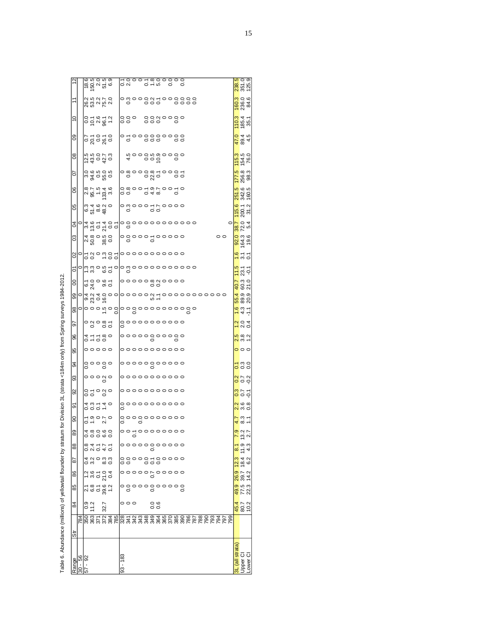|                |                                                                                                |      |               |                                                                                                                                     |      |                                                                                                                                               |                 |            |           |  |                                                                                            |         |               |  |               |  |  |                 |         |                             | 238.5<br>351.0<br>125.9                                 |      |
|----------------|------------------------------------------------------------------------------------------------|------|---------------|-------------------------------------------------------------------------------------------------------------------------------------|------|-----------------------------------------------------------------------------------------------------------------------------------------------|-----------------|------------|-----------|--|--------------------------------------------------------------------------------------------|---------|---------------|--|---------------|--|--|-----------------|---------|-----------------------------|---------------------------------------------------------|------|
|                |                                                                                                |      |               |                                                                                                                                     |      | 26.275.0<br>28.275.07<br>28.275.07                                                                                                            |                 |            |           |  |                                                                                            |         |               |  |               |  |  |                 |         |                             | $\frac{160.3}{236.0}$                                   |      |
| $\frac{1}{2}$  |                                                                                                |      |               |                                                                                                                                     |      | 0 = 0 = 0<br>0 = 0 = 0                                                                                                                        |                 |            | 880<br>88 |  |                                                                                            | 8880080 |               |  |               |  |  |                 |         |                             | <mark>0.3</mark><br>88.5                                |      |
| 8              |                                                                                                |      |               |                                                                                                                                     |      |                                                                                                                                               |                 |            |           |  |                                                                                            |         |               |  |               |  |  |                 |         |                             |                                                         |      |
|                |                                                                                                |      |               |                                                                                                                                     |      | $\frac{25}{30}$                                                                                                                               |                 |            |           |  |                                                                                            |         |               |  |               |  |  |                 |         |                             | $\frac{480}{645}$                                       |      |
| 80             |                                                                                                |      |               |                                                                                                                                     |      |                                                                                                                                               |                 |            |           |  | $4$ $\circ$ $\circ$ $\circ$ $\circ$ $\circ$ $\circ$ $\circ$                                |         |               |  |               |  |  |                 |         |                             | 1 <mark>53</mark><br>154.0<br>76.0                      |      |
| 5              |                                                                                                |      |               |                                                                                                                                     |      | 0.9.9.9.9<br> 0.9.9.9.9<br> 0.9.9                                                                                                             |                 |            |           |  |                                                                                            |         |               |  |               |  |  |                 |         |                             | $\frac{5}{12883}$                                       |      |
| S              |                                                                                                |      |               |                                                                                                                                     |      | 875338                                                                                                                                        |                 |            |           |  | os<br>coccárooro<br>coccárooro                                                             |         |               |  |               |  |  |                 |         |                             | <mark>3513</mark><br>3426<br>1603                       |      |
| 8              |                                                                                                |      |               | $67990$<br>$62990$                                                                                                                  |      |                                                                                                                                               |                 |            |           |  |                                                                                            |         |               |  |               |  |  |                 |         |                             | $\frac{156}{200.1}$                                     |      |
|                | $a _{\alpha}$    $a _{\alpha}$ $a _{\alpha}$ $a _{\alpha}$<br> 2   $a _{\alpha}$ $a _{\alpha}$ |      |               |                                                                                                                                     |      |                                                                                                                                               |                 |            |           |  |                                                                                            |         |               |  | 000000000000  |  |  |                 | $\circ$ |                             | $\frac{87}{720}$<br>54                                  |      |
| පි             |                                                                                                |      |               |                                                                                                                                     |      | $\frac{480000}{1000000}$                                                                                                                      |                 |            |           |  | °°°°°°°                                                                                    |         |               |  |               |  |  | $\circ$ $\circ$ |         |                             | 82.3                                                    | 19.6 |
| 8              | $\circ$ $\overline{5}$ $\overline{3}$ $\circ$ $\overline{2}$ $\overline{3}$ $\overline{5}$     |      |               |                                                                                                                                     |      |                                                                                                                                               |                 |            |           |  | $\circ \circ \circ \circ \circ \circ \circ \circ \circ$                                    |         |               |  |               |  |  |                 |         |                             | $\frac{1}{2}$ $\frac{1}{2}$ $\frac{1}{2}$               |      |
| δ              |                                                                                                |      |               |                                                                                                                                     |      | $\circ$ $\stackrel{1}{\sim}$ $\stackrel{2}{\sim}$ $\stackrel{3}{\sim}$ $\stackrel{6}{\sim}$ $\stackrel{6}{\sim}$ $\stackrel{6}{\sim}$ $\circ$ |                 |            |           |  |                                                                                            |         |               |  | 0000000000000 |  |  |                 |         |                             | $\frac{15}{2}$ $\frac{1}{2}$ $\frac{1}{2}$              |      |
| 8              |                                                                                                | 64.0 |               |                                                                                                                                     |      | ဝ ဖ -<br>၁ စ် ၁                                                                                                                               |                 |            |           |  | ooooomaoooo<br>oo                                                                          |         |               |  |               |  |  |                 |         | 40.7                        | 60.3<br>21.0                                            |      |
| 8              |                                                                                                |      |               | $\frac{64}{9}$ $\frac{83}{9}$ $\frac{6}{9}$ $\frac{6}{9}$                                                                           |      |                                                                                                                                               | $\circ$ $\circ$ |            |           |  |                                                                                            |         |               |  |               |  |  |                 |         |                             | 56.9<br>88.93                                           |      |
| 8              |                                                                                                |      |               |                                                                                                                                     |      | $\circ$ o o o no o o                                                                                                                          |                 |            |           |  |                                                                                            |         |               |  | 000000000000  |  |  |                 |         |                             | 4.3                                                     |      |
| 5              |                                                                                                |      |               | $\overline{\phantom{a}}^{\circ}$ $\overline{\phantom{a}}^{\circ}$ $\overline{\phantom{a}}^{\circ}$ $\overline{\phantom{a}}^{\circ}$ |      |                                                                                                                                               |                 |            |           |  | <br>  <br> <br> <br>                                                                       |         |               |  |               |  |  |                 |         |                             | $\frac{1}{2}$ of $\frac{4}{2}$                          |      |
| 8              |                                                                                                |      |               | 0.7580                                                                                                                              |      |                                                                                                                                               |                 |            |           |  |                                                                                            |         |               |  |               |  |  |                 |         |                             | $\frac{5}{10}$ $\frac{8}{10}$ $\frac{2}{10}$            |      |
| မ္တ            |                                                                                                |      |               | $\circ \circ \circ \circ \circ$                                                                                                     |      |                                                                                                                                               |                 |            |           |  |                                                                                            |         |               |  |               |  |  |                 |         |                             | $\circ \circ$                                           |      |
| रू             |                                                                                                |      |               | 。。。。<br>。。。                                                                                                                         |      |                                                                                                                                               |                 |            |           |  |                                                                                            |         |               |  |               |  |  |                 |         |                             | $\frac{7}{6}$ $\frac{8}{6}$ $\frac{8}{6}$               |      |
| ဌ              |                                                                                                |      |               | $\circ \circ \circ \circ \circ$                                                                                                     |      |                                                                                                                                               |                 |            |           |  | $\begin{array}{c} \circ \circ \circ \circ \circ \circ \circ \circ \circ \circ \end{array}$ |         |               |  |               |  |  |                 |         |                             | ara<br>Soo                                              |      |
| 8              |                                                                                                |      |               | 0.7080                                                                                                                              |      |                                                                                                                                               |                 |            |           |  | °°°°°°°°°°                                                                                 |         |               |  |               |  |  |                 |         |                             | n b o<br><mark>S</mark> b o                             |      |
| ᡖ              |                                                                                                |      |               | 00010<br>00010                                                                                                                      |      |                                                                                                                                               |                 |            |           |  | <br>  0<br> <br>0                                                                          |         |               |  |               |  |  |                 |         |                             | $\frac{2}{10}$ $\frac{2}{10}$ $\frac{2}{10}$            |      |
| ၶ              |                                                                                                |      |               | 1.90<br>0.10<br>0.10                                                                                                                |      |                                                                                                                                               |                 |            |           |  | °°°°°°°°°°°                                                                                |         |               |  |               |  |  |                 |         |                             | $\frac{3}{6}$<br>$\frac{3}{1}$                          |      |
| 89             |                                                                                                |      |               |                                                                                                                                     |      |                                                                                                                                               |                 |            |           |  |                                                                                            |         |               |  |               |  |  |                 |         |                             | $\frac{1}{2}$ $\frac{1}{2}$ $\frac{1}{2}$ $\frac{1}{2}$ |      |
| 88             |                                                                                                |      |               | 0 4 5 4 9<br>0 4 9 4 9                                                                                                              |      |                                                                                                                                               |                 |            |           |  |                                                                                            |         |               |  |               |  |  |                 |         | $\infty$                    |                                                         |      |
| ౚ              |                                                                                                |      |               | 0. 80<br>4. vi 0. 3. 9.                                                                                                             |      |                                                                                                                                               |                 |            |           |  | 88888588888<br>888888                                                                      |         |               |  |               |  |  |                 |         |                             | $\frac{123}{184}$                                       | 6.2  |
| 86             |                                                                                                |      |               |                                                                                                                                     |      | 1<br>00104<br>0020                                                                                                                            |                 |            |           |  | ,,,,,,,,,                                                                                  |         |               |  |               |  |  |                 |         | 26.9                        | 39.7                                                    | 14.2 |
| 85             |                                                                                                |      |               |                                                                                                                                     |      | <sub>그 영 그</sub> 영 이<br>지 ७ 0 g 그                                                                                                             |                 |            |           |  | ㅇ응ㅇㅇㅇ응ㅇ                                                                                    |         | $\frac{1}{2}$ |  |               |  |  |                 |         | 49.9                        | 77.5                                                    | 22.3 |
| 84             |                                                                                                |      | $0.9$<br>11.2 |                                                                                                                                     | 32.7 |                                                                                                                                               |                 |            | 000       |  |                                                                                            | 0.6     |               |  |               |  |  |                 |         |                             | $\frac{45.7}{80.7}$                                     |      |
| $\overline{5}$ |                                                                                                |      |               |                                                                                                                                     |      |                                                                                                                                               |                 |            |           |  |                                                                                            |         |               |  |               |  |  |                 |         |                             |                                                         |      |
|                |                                                                                                |      |               |                                                                                                                                     |      |                                                                                                                                               |                 |            |           |  |                                                                                            |         |               |  |               |  |  |                 |         | strata                      |                                                         |      |
|                | Range<br>30 - 56<br>7 - 92                                                                     |      |               |                                                                                                                                     |      |                                                                                                                                               |                 | $93 - 183$ |           |  |                                                                                            |         |               |  |               |  |  |                 |         | $\overline{\mathbb{I}}$ all | Diper CI<br>Lower CI                                    |      |
|                |                                                                                                |      |               |                                                                                                                                     |      |                                                                                                                                               |                 |            |           |  |                                                                                            |         |               |  |               |  |  |                 |         |                             |                                                         |      |

Table 6. Abundance (millions) of yellowtail flounder by stratum for Division 3L (strata <184m only) from Spring surveys 1984-2012. Table 6. Abundance (millions) of the original flow of the stratum of the strategies of the survey of crossing surveys where the coronal flow of  $\alpha$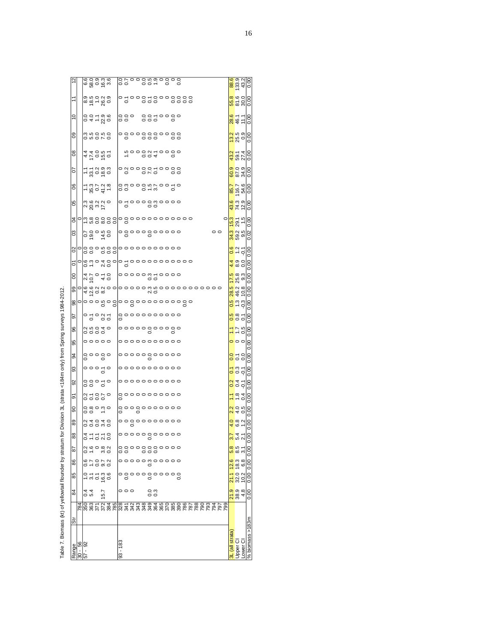| 85<br>84      | 0 - - - - - - -<br>- - - - - -<br>$\frac{6}{4}$                      | 15.7 |  | 000       |  |                                                                                                                                                                                                                                                                                  | $\overline{0}$<br>0.3 |  |  |  |  |                                                                                                                                                                                                                                 |                 |                                                 | $32.0$<br>10.2<br><mark>್ಷ್</mark> ಶಿ<br><mark>ನ</mark> ಜಿ <sub>4</sub> |                                      | 0.00<br>0.00                 |  |
|---------------|----------------------------------------------------------------------|------|--|-----------|--|----------------------------------------------------------------------------------------------------------------------------------------------------------------------------------------------------------------------------------------------------------------------------------|-----------------------|--|--|--|--|---------------------------------------------------------------------------------------------------------------------------------------------------------------------------------------------------------------------------------|-----------------|-------------------------------------------------|-------------------------------------------------------------------------|--------------------------------------|------------------------------|--|
| 86            | 87078<br>00070                                                       |      |  |           |  |                                                                                                                                                                                                                                                                                  |                       |  |  |  |  |                                                                                                                                                                                                                                 |                 |                                                 | $\frac{3}{8}$                                                           |                                      | 0.00                         |  |
| 78            | sie også<br>Sie også                                                 |      |  |           |  | oooooooooo<br>oo ooo                                                                                                                                                                                                                                                             |                       |  |  |  |  |                                                                                                                                                                                                                                 |                 |                                                 | $\frac{1}{8}$ 5 $\frac{1}{2}$                                           |                                      | 0.00                         |  |
| 88            | 0.7570                                                               |      |  |           |  | 00000000000                                                                                                                                                                                                                                                                      |                       |  |  |  |  |                                                                                                                                                                                                                                 |                 |                                                 |                                                                         | <mark>3.</mark> 4<br>5. 4            | $\overline{\mathsf{C}}$<br>ö |  |
| 89            | ooowo<br>Naoao                                                       |      |  |           |  | 00000000000                                                                                                                                                                                                                                                                      |                       |  |  |  |  |                                                                                                                                                                                                                                 |                 |                                                 |                                                                         | $\frac{4}{6}$ @ $\frac{6}{6}$        | 0.00                         |  |
| 8             | $\begin{array}{ccc} 0 & 0 & 0 \\ 0 & 0 & 0 \\ 0 & 0 & 0 \end{array}$ |      |  |           |  | 00000000000<br>0000000000                                                                                                                                                                                                                                                        |                       |  |  |  |  |                                                                                                                                                                                                                                 |                 |                                                 | $\frac{2}{10}$ and $\frac{1}{10}$                                       |                                      | 0.00                         |  |
| ଚ             | 0.7800000                                                            |      |  |           |  | 0000000000<br>  0                                                                                                                                                                                                                                                                |                       |  |  |  |  |                                                                                                                                                                                                                                 |                 |                                                 | $\frac{1}{1}$ $\frac{1}{8}$ $\frac{3}{4}$                               |                                      | 0.00                         |  |
| 92            | $\circ \circ \circ \circ$<br>00070<br>00070                          |      |  |           |  | 00000000000                                                                                                                                                                                                                                                                      |                       |  |  |  |  |                                                                                                                                                                                                                                 |                 |                                                 | <mark>ភ</mark> ្នួង<br>$\frac{5}{9}$ o o                                |                                      | 0.00<br>0.00                 |  |
| 3<br>33       | $\frac{1}{6}$                                                        |      |  |           |  | 00000000000<br>0000000000                                                                                                                                                                                                                                                        |                       |  |  |  |  |                                                                                                                                                                                                                                 |                 |                                                 | $rac{8}{5}$ $rac{6}{5}$                                                 |                                      | 0.00                         |  |
| 95            | 00000                                                                |      |  |           |  | 00000000000                                                                                                                                                                                                                                                                      |                       |  |  |  |  |                                                                                                                                                                                                                                 |                 |                                                 | $\circ \circ$                                                           |                                      | 0.00                         |  |
| 96            | 0.000000                                                             |      |  |           |  |                                                                                                                                                                                                                                                                                  |                       |  |  |  |  |                                                                                                                                                                                                                                 |                 |                                                 | $\frac{1}{2}$ $\frac{1}{2}$ $\frac{1}{2}$                               |                                      | 0.00                         |  |
| 5             | $^{\circ}$ $\frac{5}{\circ}$ $\frac{35}{\circ}$                      |      |  |           |  | <br>  0<br>  0<br>  0                                                                                                                                                                                                                                                            |                       |  |  |  |  |                                                                                                                                                                                                                                 |                 |                                                 | ng<br>ooo                                                               |                                      | 0.00                         |  |
| 88            |                                                                      |      |  |           |  |                                                                                                                                                                                                                                                                                  |                       |  |  |  |  |                                                                                                                                                                                                                                 |                 |                                                 | $\frac{3}{1}$                                                           |                                      | 0.00                         |  |
| 8             |                                                                      |      |  |           |  |                                                                                                                                                                                                                                                                                  |                       |  |  |  |  | d a vion de la conseile de la conseile de la conseile de la conseile de la conseile de la conseile de la conse<br>O de la viole de la conseile de la conseile de la conseile de la conseile de la conseile de la conseile de la |                 |                                                 | 8998                                                                    |                                      | 0.00                         |  |
| $\circ$       | 470.40                                                               |      |  |           |  | °°°°°°°°                                                                                                                                                                                                                                                                         |                       |  |  |  |  |                                                                                                                                                                                                                                 |                 |                                                 | $\frac{5}{25}$<br>25.3                                                  |                                      | 0.00                         |  |
| δ             |                                                                      |      |  |           |  |                                                                                                                                                                                                                                                                                  |                       |  |  |  |  |                                                                                                                                                                                                                                 |                 |                                                 | $\frac{4}{4}$ ග ට                                                       |                                      | 0.00                         |  |
| 8             | olooonoolooooooooooo<br>Ooo oool                                     |      |  |           |  |                                                                                                                                                                                                                                                                                  |                       |  |  |  |  |                                                                                                                                                                                                                                 |                 |                                                 | <mark>ိုး</mark><br>မိုင်္ဂ                                             |                                      | 0.00                         |  |
| CS            | $\frac{6000000}{600000000}$                                          |      |  |           |  |                                                                                                                                                                                                                                                                                  |                       |  |  |  |  |                                                                                                                                                                                                                                 | $\circ$ $\circ$ |                                                 | <mark>ო</mark> ი ს<br><mark>ქ</mark> თ თ<br><mark>ე</mark> თ            |                                      | 0.02                         |  |
| \$            | Le nomool o<br>Owwoooooooooooooo                                     |      |  |           |  |                                                                                                                                                                                                                                                                                  |                       |  |  |  |  |                                                                                                                                                                                                                                 |                 | <mark>ូកូ</mark> ដ៍ ដូ<br><mark>កូ</mark> ដ៍ ដូ |                                                                         |                                      | 0.00                         |  |
| S             | $\frac{366}{28}$ $\frac{37}{2}$                                      |      |  |           |  |                                                                                                                                                                                                                                                                                  |                       |  |  |  |  |                                                                                                                                                                                                                                 |                 |                                                 |                                                                         | 43.3<br>74.9                         | 0.00                         |  |
| 8             | $-8025$<br>$-2027$                                                   |      |  |           |  | og orw o                                                                                                                                                                                                                                                                         |                       |  |  |  |  |                                                                                                                                                                                                                                 |                 |                                                 |                                                                         | 85.7<br>54.7<br>84.7                 | $\frac{8}{10}$               |  |
| 50            | $-5.3993$                                                            |      |  |           |  |                                                                                                                                                                                                                                                                                  |                       |  |  |  |  |                                                                                                                                                                                                                                 |                 |                                                 |                                                                         | oo oo<br><mark>0</mark> 0 0<br>6 2 3 | 0.00                         |  |
| $\frac{8}{2}$ | 47050<br>47050                                                       |      |  |           |  | $\ddot{h}$ $\ddot{h}$ $\ddot{h}$ $\ddot{h}$ $\ddot{h}$ $\ddot{h}$ $\ddot{h}$ $\ddot{h}$ $\ddot{h}$ $\ddot{h}$ $\ddot{h}$ $\ddot{h}$ $\ddot{h}$ $\ddot{h}$ $\ddot{h}$ $\ddot{h}$ $\ddot{h}$ $\ddot{h}$ $\ddot{h}$ $\ddot{h}$ $\ddot{h}$ $\ddot{h}$ $\ddot{h}$ $\ddot{h}$ $\ddot{$ |                       |  |  |  |  |                                                                                                                                                                                                                                 |                 |                                                 | $\frac{2}{3}$<br>59.14                                                  |                                      | 0.00                         |  |
| 80            | o no no<br>o no no                                                   |      |  |           |  |                                                                                                                                                                                                                                                                                  |                       |  |  |  |  |                                                                                                                                                                                                                                 |                 |                                                 | <mark>ပ္</mark> ကို တဲ့<br>၁၉                                           |                                      | 0.00                         |  |
| $\approx$     | 697786                                                               |      |  | 000<br>00 |  | 0050000<br>000                                                                                                                                                                                                                                                                   |                       |  |  |  |  |                                                                                                                                                                                                                                 |                 |                                                 | 28.5<br>46.1                                                            |                                      | 0.00                         |  |
|               | 0<br>0 0 0 0 0<br>0 0 0 0 0<br>0 0 0 0 0                             |      |  |           |  |                                                                                                                                                                                                                                                                                  |                       |  |  |  |  |                                                                                                                                                                                                                                 |                 |                                                 |                                                                         | 88.0<br>81.00                        | 0.00                         |  |
|               | ဖြစ္ပစ္ပစ္ပဲ<br>မြန္မာဝန္ထား                                         |      |  |           |  |                                                                                                                                                                                                                                                                                  |                       |  |  |  |  |                                                                                                                                                                                                                                 |                 |                                                 |                                                                         |                                      |                              |  |

Table 7. Biomass (kt) of yellowtail flounder by stratum for Division 3L (strata < f84m only) from Spring surveys 1984-2012. The Pass (kt) of your of the View of Arm on the Section Suppliers of Division 3L (stratum Spring Spring Spring Spring Spring Spring Spring Spring Spring Spring Spring Spring Spring Spring Spring Spring Spring Spring Spring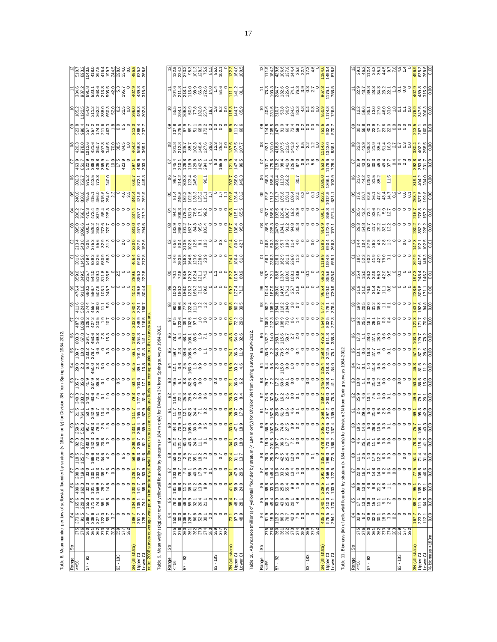Table 8. Mean number per tow of yellowtail flounder by stratum (< 184 m only) for Division 3N from Spring surveys 1984-2012. Table 8. Mean number per tow of yellowtail flounder by stratum (< 184 m only) for Division 3N from Spring surveys 1984-2012.

| S<br>830.8<br>240.0<br>465.8<br>2.3<br>421.9<br>262.9<br>315.6<br>254.0<br>342.4<br>456.0<br>415.1<br>S4<br>768.7<br>55.4<br>225.3<br>357.7<br>217.2<br>470.3<br>307.9<br>$\circ$<br>286.2<br>287.4<br>472.4<br>g<br>1092.6<br>467.6<br>294.5<br>381.0<br>263.2<br>526.2<br>279.7<br>395.0<br>273.6<br>600.<br>243.8<br>730.8<br>S<br>287.5<br>152.6<br>$\overline{2.0}$<br>375.3<br>55.6<br>32.9<br>220.0<br>213.4<br>313<br>301.6<br>145.8<br>δ<br>660.0<br>272.8<br>639.2<br>522.6<br>680.9<br>88.3<br>466.4<br>549.4<br>$\infty$<br>349.5<br>356.3<br>222.8<br>225.5<br>289.6<br>311.8<br>359.0<br>544.0<br>215.7<br>519.1<br>499.8<br>8<br>911.0<br>680.3<br>507.9<br>586.7<br>248.7<br>304.4<br>476.4<br>402.1<br>103.<br>8<br>411.6<br>524.8<br>58<br>1567<br>374.4<br>455.7<br>300.0<br>324.1<br>1029.8<br>126.2<br>50<br>487.2<br>233.2<br>349.9<br>116.5<br>427.2<br>210.5<br>67.8<br>96<br>169.3<br>453.6<br>7.8<br>15.3<br>198.0<br>254.8<br>603.3<br>364.7<br>$\circ$<br>141.1<br>95<br>10.8<br>31.3<br>276.7<br>133.2<br>101.0<br>139.7<br>66.1<br>2.3<br>13.8<br>3<br>6.8<br>451.0<br>29.0<br>51.5<br>89.1<br>S<br>237.9<br>35.0<br>41.9<br>86.8<br>103.6<br>60.4<br>135.7<br>17.1<br>31.6<br>$\approx$<br>63.6<br>127.0<br>340.3<br>183.7<br>140.2<br>7.5<br>$\frac{0}{1}$<br>79.3<br>21.5<br>57.9<br>242.9<br>53.7<br>13.4<br>$\circ$<br>δ<br>111.7<br>764.1<br>165.4<br>$\frac{1}{50}$<br>$rac{521.3}{91.7}$<br>8035<br>293.3<br>ඉ<br>œ<br>$\circ$<br>2.5<br>206.4<br>9.4<br>133.1<br>521<br>58.9 208.4<br>82.3<br>480.3<br>142.3<br>89<br>977.0<br>50.9<br>20.8<br>335.7<br>86.3<br>88<br>166.6<br>31.6<br>118.5<br>125.7<br>6.5<br>73.3<br>34.6<br>719.6<br>87<br>208.3<br>33.0<br>202.2<br>53.9<br>03.3<br>128<br>162.3<br>86<br>409.6<br>32.3<br>141.7<br>58.3<br>59.9<br>104.6 100.0<br>28.2<br>$\frac{4}{5}$<br>135.1<br>165.6<br>220.3<br>85<br>155.3<br>71.0<br>74.4<br>38.5<br>c<br>74.1<br>58.1 | g<br>302.3<br>753.7<br>975.2<br>$\frac{443.5}{773.8}$<br>449.3<br>240.0<br>660.7<br>872.1 | $\overline{6}$<br>$\frac{10.0}{17.3}$<br>851.7<br>$406.8$<br>$365.9$<br>$679.1$<br>490.9<br>463.9<br>522.9<br>386.0<br>303.4<br>397.1 | 8<br>420.3<br>38.5<br>84.5<br>878.0<br>012.6<br>421.6<br>350.7<br>464.2<br>407.8<br>346.5<br>70.0<br>$\overline{0}$<br>559.3<br>369. | 8<br>211.6<br>$\frac{8}{1}$<br>0.5<br>523.8<br>357.2<br>$\overline{0}$<br>996.4<br>357.2<br>174.3<br>313.0<br>237.7<br>388.4 | $\approx$<br>1122.5<br>185.2<br>754.9<br>$6.2$<br>22.5<br>489.3<br>212<br>2823<br>2850<br>52.0<br>0.0<br>302.8<br>396.0 | 334.6<br>937.2<br>526<br>2013 85<br>2013 84<br>$\circ$<br>402.9<br>691.8<br>5.3<br>195.7<br>489.8<br>315.9<br>comaparable to other survey years<br>results are likely not<br>and<br>ote: 2006 survey coverage was poor in important yellowtail flounder strata |
|-----------------------------------------------------------------------------------------------------------------------------------------------------------------------------------------------------------------------------------------------------------------------------------------------------------------------------------------------------------------------------------------------------------------------------------------------------------------------------------------------------------------------------------------------------------------------------------------------------------------------------------------------------------------------------------------------------------------------------------------------------------------------------------------------------------------------------------------------------------------------------------------------------------------------------------------------------------------------------------------------------------------------------------------------------------------------------------------------------------------------------------------------------------------------------------------------------------------------------------------------------------------------------------------------------------------------------------------------------------------------------------------------------------------------------------------------------------------------------------------------------------------------------------------------------------------------------------------------------------------------------------------------------------------------------------------------------------------------------------------------------------------------------------------------------------------------------------------------------------------------------------------------------------------------------|-------------------------------------------------------------------------------------------|---------------------------------------------------------------------------------------------------------------------------------------|--------------------------------------------------------------------------------------------------------------------------------------|------------------------------------------------------------------------------------------------------------------------------|-------------------------------------------------------------------------------------------------------------------------|----------------------------------------------------------------------------------------------------------------------------------------------------------------------------------------------------------------------------------------------------------------|
|                                                                                                                                                                                                                                                                                                                                                                                                                                                                                                                                                                                                                                                                                                                                                                                                                                                                                                                                                                                                                                                                                                                                                                                                                                                                                                                                                                                                                                                                                                                                                                                                                                                                                                                                                                                                                                                                                                                             |                                                                                           |                                                                                                                                       |                                                                                                                                      |                                                                                                                              |                                                                                                                         |                                                                                                                                                                                                                                                                |
|                                                                                                                                                                                                                                                                                                                                                                                                                                                                                                                                                                                                                                                                                                                                                                                                                                                                                                                                                                                                                                                                                                                                                                                                                                                                                                                                                                                                                                                                                                                                                                                                                                                                                                                                                                                                                                                                                                                             |                                                                                           |                                                                                                                                       |                                                                                                                                      |                                                                                                                              |                                                                                                                         |                                                                                                                                                                                                                                                                |
|                                                                                                                                                                                                                                                                                                                                                                                                                                                                                                                                                                                                                                                                                                                                                                                                                                                                                                                                                                                                                                                                                                                                                                                                                                                                                                                                                                                                                                                                                                                                                                                                                                                                                                                                                                                                                                                                                                                             |                                                                                           |                                                                                                                                       |                                                                                                                                      |                                                                                                                              |                                                                                                                         |                                                                                                                                                                                                                                                                |
|                                                                                                                                                                                                                                                                                                                                                                                                                                                                                                                                                                                                                                                                                                                                                                                                                                                                                                                                                                                                                                                                                                                                                                                                                                                                                                                                                                                                                                                                                                                                                                                                                                                                                                                                                                                                                                                                                                                             |                                                                                           |                                                                                                                                       |                                                                                                                                      |                                                                                                                              |                                                                                                                         |                                                                                                                                                                                                                                                                |
|                                                                                                                                                                                                                                                                                                                                                                                                                                                                                                                                                                                                                                                                                                                                                                                                                                                                                                                                                                                                                                                                                                                                                                                                                                                                                                                                                                                                                                                                                                                                                                                                                                                                                                                                                                                                                                                                                                                             |                                                                                           |                                                                                                                                       |                                                                                                                                      |                                                                                                                              |                                                                                                                         |                                                                                                                                                                                                                                                                |
|                                                                                                                                                                                                                                                                                                                                                                                                                                                                                                                                                                                                                                                                                                                                                                                                                                                                                                                                                                                                                                                                                                                                                                                                                                                                                                                                                                                                                                                                                                                                                                                                                                                                                                                                                                                                                                                                                                                             |                                                                                           |                                                                                                                                       |                                                                                                                                      |                                                                                                                              |                                                                                                                         |                                                                                                                                                                                                                                                                |
|                                                                                                                                                                                                                                                                                                                                                                                                                                                                                                                                                                                                                                                                                                                                                                                                                                                                                                                                                                                                                                                                                                                                                                                                                                                                                                                                                                                                                                                                                                                                                                                                                                                                                                                                                                                                                                                                                                                             |                                                                                           |                                                                                                                                       |                                                                                                                                      |                                                                                                                              |                                                                                                                         |                                                                                                                                                                                                                                                                |
|                                                                                                                                                                                                                                                                                                                                                                                                                                                                                                                                                                                                                                                                                                                                                                                                                                                                                                                                                                                                                                                                                                                                                                                                                                                                                                                                                                                                                                                                                                                                                                                                                                                                                                                                                                                                                                                                                                                             |                                                                                           |                                                                                                                                       |                                                                                                                                      |                                                                                                                              |                                                                                                                         |                                                                                                                                                                                                                                                                |
|                                                                                                                                                                                                                                                                                                                                                                                                                                                                                                                                                                                                                                                                                                                                                                                                                                                                                                                                                                                                                                                                                                                                                                                                                                                                                                                                                                                                                                                                                                                                                                                                                                                                                                                                                                                                                                                                                                                             |                                                                                           |                                                                                                                                       |                                                                                                                                      |                                                                                                                              |                                                                                                                         |                                                                                                                                                                                                                                                                |
|                                                                                                                                                                                                                                                                                                                                                                                                                                                                                                                                                                                                                                                                                                                                                                                                                                                                                                                                                                                                                                                                                                                                                                                                                                                                                                                                                                                                                                                                                                                                                                                                                                                                                                                                                                                                                                                                                                                             |                                                                                           |                                                                                                                                       |                                                                                                                                      |                                                                                                                              |                                                                                                                         |                                                                                                                                                                                                                                                                |
|                                                                                                                                                                                                                                                                                                                                                                                                                                                                                                                                                                                                                                                                                                                                                                                                                                                                                                                                                                                                                                                                                                                                                                                                                                                                                                                                                                                                                                                                                                                                                                                                                                                                                                                                                                                                                                                                                                                             |                                                                                           |                                                                                                                                       |                                                                                                                                      |                                                                                                                              |                                                                                                                         |                                                                                                                                                                                                                                                                |
|                                                                                                                                                                                                                                                                                                                                                                                                                                                                                                                                                                                                                                                                                                                                                                                                                                                                                                                                                                                                                                                                                                                                                                                                                                                                                                                                                                                                                                                                                                                                                                                                                                                                                                                                                                                                                                                                                                                             |                                                                                           |                                                                                                                                       |                                                                                                                                      |                                                                                                                              |                                                                                                                         |                                                                                                                                                                                                                                                                |
|                                                                                                                                                                                                                                                                                                                                                                                                                                                                                                                                                                                                                                                                                                                                                                                                                                                                                                                                                                                                                                                                                                                                                                                                                                                                                                                                                                                                                                                                                                                                                                                                                                                                                                                                                                                                                                                                                                                             |                                                                                           |                                                                                                                                       |                                                                                                                                      |                                                                                                                              |                                                                                                                         |                                                                                                                                                                                                                                                                |
|                                                                                                                                                                                                                                                                                                                                                                                                                                                                                                                                                                                                                                                                                                                                                                                                                                                                                                                                                                                                                                                                                                                                                                                                                                                                                                                                                                                                                                                                                                                                                                                                                                                                                                                                                                                                                                                                                                                             |                                                                                           |                                                                                                                                       |                                                                                                                                      |                                                                                                                              |                                                                                                                         |                                                                                                                                                                                                                                                                |
|                                                                                                                                                                                                                                                                                                                                                                                                                                                                                                                                                                                                                                                                                                                                                                                                                                                                                                                                                                                                                                                                                                                                                                                                                                                                                                                                                                                                                                                                                                                                                                                                                                                                                                                                                                                                                                                                                                                             |                                                                                           |                                                                                                                                       |                                                                                                                                      |                                                                                                                              |                                                                                                                         |                                                                                                                                                                                                                                                                |
|                                                                                                                                                                                                                                                                                                                                                                                                                                                                                                                                                                                                                                                                                                                                                                                                                                                                                                                                                                                                                                                                                                                                                                                                                                                                                                                                                                                                                                                                                                                                                                                                                                                                                                                                                                                                                                                                                                                             |                                                                                           |                                                                                                                                       |                                                                                                                                      |                                                                                                                              |                                                                                                                         |                                                                                                                                                                                                                                                                |
|                                                                                                                                                                                                                                                                                                                                                                                                                                                                                                                                                                                                                                                                                                                                                                                                                                                                                                                                                                                                                                                                                                                                                                                                                                                                                                                                                                                                                                                                                                                                                                                                                                                                                                                                                                                                                                                                                                                             |                                                                                           |                                                                                                                                       |                                                                                                                                      |                                                                                                                              |                                                                                                                         |                                                                                                                                                                                                                                                                |
|                                                                                                                                                                                                                                                                                                                                                                                                                                                                                                                                                                                                                                                                                                                                                                                                                                                                                                                                                                                                                                                                                                                                                                                                                                                                                                                                                                                                                                                                                                                                                                                                                                                                                                                                                                                                                                                                                                                             |                                                                                           |                                                                                                                                       |                                                                                                                                      |                                                                                                                              |                                                                                                                         |                                                                                                                                                                                                                                                                |
|                                                                                                                                                                                                                                                                                                                                                                                                                                                                                                                                                                                                                                                                                                                                                                                                                                                                                                                                                                                                                                                                                                                                                                                                                                                                                                                                                                                                                                                                                                                                                                                                                                                                                                                                                                                                                                                                                                                             |                                                                                           |                                                                                                                                       |                                                                                                                                      |                                                                                                                              |                                                                                                                         |                                                                                                                                                                                                                                                                |

Table 9. Mean weight (kg) per tow of yellowtail flounder by stratum (< 184 m only) for Division 3N from Spring surveys 1984-2012. The 9. Mean weight (kg) per tow of your personal flow of the stratum (cg) per toward the Division 3 of Division 3 of Division 3 of Division 3 of Division 3 of Division 3 of Division 3 of Division 3 of Division 3 of Divisio

| 5,             |                |                    |                    |                  |                                                                                                   |                       |                                                                                                                                                                                                                                                                                                                     |         |              |              |         | 132.2<br>164.0 |                                         | 100.5           |
|----------------|----------------|--------------------|--------------------|------------------|---------------------------------------------------------------------------------------------------|-----------------------|---------------------------------------------------------------------------------------------------------------------------------------------------------------------------------------------------------------------------------------------------------------------------------------------------------------------|---------|--------------|--------------|---------|----------------|-----------------------------------------|-----------------|
|                | 104.6          |                    |                    |                  |                                                                                                   |                       | $\frac{1}{2}$ $\frac{1}{2}$ $\frac{1}{2}$ $\frac{1}{2}$ $\frac{1}{2}$ $\frac{1}{2}$ $\frac{1}{2}$ $\frac{1}{2}$ $\frac{1}{2}$ $\frac{1}{2}$ $\frac{1}{2}$ $\frac{1}{2}$ $\frac{1}{2}$ $\frac{1}{2}$ $\frac{1}{2}$ $\frac{1}{2}$ $\frac{1}{2}$ $\frac{1}{2}$ $\frac{1}{2}$ $\frac{1}{2}$ $\frac{1}{2}$ $\frac{1}{2}$ |         |              |              |         |                |                                         |                 |
| $\tilde{=}$    |                | 55.5<br>284.1      |                    |                  |                                                                                                   |                       |                                                                                                                                                                                                                                                                                                                     |         |              |              |         |                |                                         |                 |
| පී             | 137.8          |                    |                    |                  |                                                                                                   |                       | $\frac{275.5}{27.9}$<br>$\frac{27.5}{27.9}$<br>$\frac{27.5}{27.9}$<br>$\frac{27.5}{27.9}$<br>$\frac{27.5}{27.9}$<br>$\frac{27.5}{27.9}$                                                                                                                                                                             |         |              |              |         |                | 88.9<br>111.2                           | 66.6            |
| $\frac{8}{2}$  | 101.8          | 212.8              |                    |                  |                                                                                                   |                       | 00<br>8503 4608<br>8602 5608 670<br>8602 5608 670                                                                                                                                                                                                                                                                   |         |              |              |         | 137.6<br>167.5 |                                         | 107.7           |
| 5              | 145.4          | 210.1              |                    |                  |                                                                                                   |                       | 1203<br>1203<br>1204<br>1204 1204                                                                                                                                                                                                                                                                                   |         | 6.3<br>165.9 |              |         | 121.9          | 147.4                                   | 96.5            |
| 8              |                |                    |                    |                  |                                                                                                   |                       | $-0.1$                                                                                                                                                                                                                                                                                                              |         |              |              |         |                | 203.7<br>258.0                          | 149.3           |
| 8              | $rac{4}{8}$    |                    |                    |                  |                                                                                                   |                       |                                                                                                                                                                                                                                                                                                                     |         |              | $\ddot{ }$ : | Ξ       |                | 136.4                                   | 83.2            |
| $\overline{6}$ |                | 94.2<br>209.3      |                    |                  |                                                                                                   |                       | $78.58$<br>$78.58$<br>$78.78$<br>$78.30$                                                                                                                                                                                                                                                                            |         | P            |              | $\circ$ | 90.3           |                                         | $115.5$<br>65.5 |
| g              |                |                    |                    |                  |                                                                                                   |                       | 339<br><u>28612</u><br>2862382                                                                                                                                                                                                                                                                                      |         | $\circ$      |              | $\circ$ |                | $\frac{116.7}{138.4}$                   |                 |
| 8              |                |                    |                    |                  |                                                                                                   |                       |                                                                                                                                                                                                                                                                                                                     |         | $\circ$      | 0.3          |         |                | 61.4<br>80.0                            | 42.7            |
| δ              |                |                    |                    |                  | ទុក្ខនេះ មិន ១<br>ចំនួន មិន ១ ១<br>ចំនួន មិន ១                                                    |                       |                                                                                                                                                                                                                                                                                                                     | $\circ$ | P            |              | $\circ$ | 124.1          | 186.4                                   | 61.8            |
| 8              |                |                    |                    |                  |                                                                                                   |                       |                                                                                                                                                                                                                                                                                                                     |         | Ξ            |              |         |                | 82.5<br>103.5                           | 60.9            |
| ඉ              | 100.2          | 150.2              |                    |                  | 0<br>1000<br>1000<br>1000                                                                         |                       |                                                                                                                                                                                                                                                                                                                     |         |              |              |         |                | 8043<br>8043                            |                 |
| 8              |                |                    |                    |                  | 8 8 8 7 2 <del>1</del><br>8 8 7 2 1 1<br>8 8 7 2 1                                                |                       | 320<br>340                                                                                                                                                                                                                                                                                                          |         | $\circ$      | $\circ$      | $\circ$ |                | <mark>စ္</mark> တို့ ၁<br>၁၉<br>၁၉      |                 |
| 5              |                |                    |                    |                  |                                                                                                   |                       | ត្ត<br>កំព <u>ើមពី ដូ</u> ក្នុង<br>ដូចទី ដូចទី ខ                                                                                                                                                                                                                                                                    |         | $\circ$      | $\circ$      |         |                | <mark>ទ</mark><br><mark>ភ</mark> ្នួង ឌ |                 |
| 96             | 78.7<br>5.4    |                    |                    |                  | င္း - - - - -<br>အင္တိုက္သံ - -<br>အင္တိုက္သံ - -                                                 |                       | $\overline{71}$                                                                                                                                                                                                                                                                                                     | $\circ$ |              |              |         | 43.3           | 54.0                                    | 32.6            |
| 95             |                | 59.7<br>2.8        |                    | 99<br>990<br>900 |                                                                                                   | $\circ$ $\frac{1}{2}$ |                                                                                                                                                                                                                                                                                                                     | $\circ$ |              |              |         | 24.1           | <b>36.3</b>                             |                 |
| रु             |                | $\frac{12.6}{0.6}$ |                    |                  | 0<br>0 0 0 0<br>0 0 0 0                                                                           |                       |                                                                                                                                                                                                                                                                                                                     | $\circ$ |              |              |         | 18.9           | 33.2                                    | 4.6             |
| 3              | 49.5           | 51                 |                    |                  | စီးပို့ ၁၀<br>အက္က ၁၀                                                                             |                       |                                                                                                                                                                                                                                                                                                                     | $\circ$ | 0.3          |              |         | 21.1           | 36.2                                    |                 |
| 8              | 18.4           | 22.4               |                    |                  | ကြီး ဇာတ္ ဇာတ္<br>လူ ၈ လုံး ၁ ဝ                                                                   |                       |                                                                                                                                                                                                                                                                                                                     | $\circ$ |              |              |         | 20.8           | 33.2                                    | $\frac{3}{2}$   |
| 5              | $\frac{1}{11}$ |                    |                    |                  | $\frac{1}{2}$ $\frac{1}{2}$ $\frac{1}{2}$ $\frac{3}{2}$ $\frac{4}{3}$ $\frac{7}{2}$ $\frac{3}{2}$ |                       |                                                                                                                                                                                                                                                                                                                     | $\circ$ | $\circ$      | $\circ$      | $\circ$ | 28.8           | <b>S9.7</b>                             | 17.9            |
| န္တု           | 84.3           |                    |                    |                  |                                                                                                   |                       | $\frac{1}{2}$ $\frac{1}{2}$ $\frac{1}{2}$ $\frac{1}{2}$ $\frac{1}{2}$ $\frac{1}{2}$ $\frac{1}{2}$ $\frac{1}{2}$ $\frac{1}{2}$ $\frac{1}{2}$ $\frac{1}{2}$ $\frac{1}{2}$ $\frac{1}{2}$ $\frac{1}{2}$ $\frac{1}{2}$ $\frac{1}{2}$ $\frac{1}{2}$ $\frac{1}{2}$ $\frac{1}{2}$ $\frac{1}{2}$ $\frac{1}{2}$ $\frac{1}{2}$ |         |              |              |         |                | 33.0                                    | 18.9            |
| 89             |                |                    |                    | ତ -<br>ଜୟ        | 24.6                                                                                              |                       |                                                                                                                                                                                                                                                                                                                     |         |              |              |         | 34.1           |                                         |                 |
| 88             | 50.6           | 12.6               | 2.5                |                  |                                                                                                   |                       |                                                                                                                                                                                                                                                                                                                     |         |              |              |         |                |                                         |                 |
| ౚ<br>86        | 03.8           | 78.7               |                    |                  | 40.3                                                                                              | 17.8                  | 4.3                                                                                                                                                                                                                                                                                                                 |         |              |              |         |                | 47.8                                    |                 |
| 85             | 181.6          | 66.8               | 11.2               | 38.3             |                                                                                                   |                       |                                                                                                                                                                                                                                                                                                                     |         |              |              |         |                | 58.9                                    |                 |
| 84             | 78.2           | 66.8               | 46.3               | 59.9             | 32.1<br>26.4                                                                                      |                       |                                                                                                                                                                                                                                                                                                                     |         |              |              |         |                | 48.7                                    | 28.7            |
|                | 375            | 30.0<br>376        | 06.6<br>360<br>361 | 126.7            | 86.8<br>52.9                                                                                      |                       | 30.1<br>374                                                                                                                                                                                                                                                                                                         | 383     |              |              | 382     | 73.1           | 97.3                                    | 48.9            |
|                |                |                    |                    |                  | 362                                                                                               | 373                   |                                                                                                                                                                                                                                                                                                                     |         | 359          |              |         |                |                                         |                 |
| 5 <sup>1</sup> | 56             |                    | 92                 |                  |                                                                                                   |                       |                                                                                                                                                                                                                                                                                                                     |         | $93 - 183$   |              |         | strata)        | pper                                    | ower            |

Table 10. Abundance (millions) of yellowtail flounder by stratum (< 184 m only) for Division 3N from Spring surveys 1984-2012. Table 10. Abundance (millions) of yellowtail flounder by stratum (< 184 m only) for Division 3N from Spring surveys 1984-2012.

| $rac{1}{\sqrt{2}}$<br>Range                                                   |     | $^{84}$     | 85    | 86             | 87                | 88         | 89             | 8              | ଚ             | ္တ               | င္တ               | ट्ठ                                       | 95               | 96            | ඝ<br>5         | ၜ                    | g     | δ                                                       | 8              | g                       | 3                      | 8              | 8              | 5                         | 80                                   | 8         | ₽                                                    |                              |                                                                                                                                                                                                                                                                                                                                                                                                                                     |
|-------------------------------------------------------------------------------|-----|-------------|-------|----------------|-------------------|------------|----------------|----------------|---------------|------------------|-------------------|-------------------------------------------|------------------|---------------|----------------|----------------------|-------|---------------------------------------------------------|----------------|-------------------------|------------------------|----------------|----------------|---------------------------|--------------------------------------|-----------|------------------------------------------------------|------------------------------|-------------------------------------------------------------------------------------------------------------------------------------------------------------------------------------------------------------------------------------------------------------------------------------------------------------------------------------------------------------------------------------------------------------------------------------|
| 56                                                                            | 375 | 81.9        | 36.3  | 89.8           | 45.6              | 26.0       | $\frac{80}{3}$ | ය              | $\frac{7}{4}$ | 74.6             | 29.7              | 30.6<br>$\frac{4}{6}$                     | 132.2            | 106.8         | $\frac{30}{2}$ | 104.4                | 78.7  | $\ddot{\mathbf{g}}$                                     | 46.8           | 86.6                    | 62.7                   | 52.6           | 66.3           | 101.7                     | $\sim$                               | 14.8      | 40.6                                                 | 73.3                         |                                                                                                                                                                                                                                                                                                                                                                                                                                     |
|                                                                               | 376 | 18.9        | 45.4  | 33.5           | 148.4             | 25.9       | 201.5          | ပ္ပ<br>107     | 157.6         | 37.9             | 7.2               | 0.5                                       | 14.0<br>2.2      | 212.3         | 108.2          | 187.9                | 72.1  | 236.3                                                   | 50.3           | 225.3                   | 158.5                  | 171.3          | 155.4          | 175.6                     | 181.0                                | 205.5     | 231.5                                                | 193.3                        | 184.2                                                                                                                                                                                                                                                                                                                                                                                                                               |
| $\overline{9}$<br>- 19                                                        | 360 | 19.2        | 63.9  | 13.3           | 13.6              |            | 197.7          | 37.7           | 20.6          | 57.7             | 17.2              | 54.8<br>70.5<br>2.8                       | $\frac{150}{2}$  | 51.9          | 154.           | 280.0                | 88.8  | 226.1                                                   | 300.8          | 247.0                   | 193.6                  | 191.7          | 401.4          |                           | 416.8                                | 147.0     |                                                      |                              |                                                                                                                                                                                                                                                                                                                                                                                                                                     |
|                                                                               | 361 | 86.3        | 43.6  | 25.8           | 33.2              | 42.5       | 36.3           | $4.8$<br>7.5 0 | 61.9          | 16.2             | 60.6              | 15.0                                      | 115.6            | 08.9          | 16.2           | 149.5                | 138.7 | 162.9                                                   | 95.7<br>19.3   | 134.1                   | 20028<br>10028<br>1002 | 105.8          | 113.0<br>268.2 |                           |                                      |           |                                                      |                              |                                                                                                                                                                                                                                                                                                                                                                                                                                     |
|                                                                               | 362 | 78.7        |       | 55.4           | 35.8              | 25.4       |                |                | 18.6          | 8<br>0<br>0<br>0 | $\overline{30.1}$ | $\frac{8}{1}$                             | 58.7             | $\frac{5}{2}$ | 04.0           | I76.                 | 180.0 |                                                         |                |                         |                        | 158.1<br>109.4 |                |                           |                                      |           |                                                      |                              |                                                                                                                                                                                                                                                                                                                                                                                                                                     |
|                                                                               | 373 | 42.3        |       | 9.8            | ě                 | $^{12.0}$  |                |                | 4.6           |                  |                   | $\frac{0}{1}$                             | $\overline{2.7}$ | °°            | 38             |                      | 108.7 | $\begin{array}{c} 1.1 \\ 2.3 \\ 1.3 \\ 1.3 \end{array}$ | $\frac{4}{11}$ | ್ಲ 3<br>5 ತೆ ಪೆ<br>3 ಶೆ |                        |                |                |                           |                                      |           |                                                      |                              |                                                                                                                                                                                                                                                                                                                                                                                                                                     |
|                                                                               | 374 | 7.6         |       | $\overline{a}$ |                   |            |                | $\overline{0}$ |               |                  |                   | $\circ$                                   |                  |               | न              | 35.7<br>37.8<br>37.0 | 28.9  |                                                         | 4.0            |                         |                        | 32.5           | 30.7           | 21<br>28110809<br>2812809 | <b><i><u><b>phitides</b></u></i></b> | 388800000 | 2009 000 000 000<br>2009 000 000 000<br>2009 000 000 | 2847<br>28486469<br>28486900 | $\begin{array}{c}\n 456 \\  466 \\  \hline\n 664 \\  \hline\n 664 \\  \hline\n 664 \\  \hline\n 674 \\  \hline\n 674 \\  \hline\n 674 \\  \hline\n 674 \\  \hline\n 674 \\  \hline\n 674 \\  \hline\n 674 \\  \hline\n 674 \\  \hline\n 674 \\  \hline\n 674 \\  \hline\n 674 \\  \hline\n 674 \\  \hline\n 674 \\  \hline\n 674 \\  \hline\n 674 \\  \hline\n 674 \\  \hline\n 674 \\  \hline\n 674 \\  \hline\n 674 \\  \hline\n$ |
|                                                                               | 383 | 0.3         |       |                |                   |            |                | $\circ$        | $\circ$       | $\circ$          | $\circ$           | $\circ$                                   | $\circ$          | $\circ$       | $\circ$        |                      |       |                                                         | $\circ$        |                         |                        | 0.2            |                |                           |                                      |           |                                                      |                              |                                                                                                                                                                                                                                                                                                                                                                                                                                     |
| $93 - 183$                                                                    | 359 |             |       |                |                   |            |                |                |               | $\circ$          |                   |                                           | $\circ$          |               |                | $\circ$              | ဲ     |                                                         |                |                         |                        |                |                | $\frac{0}{1}$             | 2200                                 |           |                                                      |                              |                                                                                                                                                                                                                                                                                                                                                                                                                                     |
|                                                                               | 277 |             |       |                |                   |            |                | $\circ$        |               | $\circ$          |                   |                                           | $\circ$          |               |                | $\circ$              |       |                                                         | 0.0            |                         |                        | $\dot{\circ}$  |                | 5.8                       |                                      |           |                                                      |                              |                                                                                                                                                                                                                                                                                                                                                                                                                                     |
|                                                                               | 382 |             |       |                |                   |            |                |                |               |                  |                   |                                           |                  |               | $\circ$        |                      |       |                                                         | $\circ$        |                         |                        | $\frac{3}{2}$  |                | $\circ$                   |                                      | $\circ$   |                                                      | $\circ$                      | $\circ$                                                                                                                                                                                                                                                                                                                                                                                                                             |
| 3N (all strata)                                                               |     | 435.3 240.1 |       | 229.5          | 291.0 135.3 478.3 |            |                | 305.5          | <b>268.1</b>  | 189.2            | 126.4<br>145.0    | 158.8                                     | 475.3            | 554.9         | 5772           | 965.4                | 695.3 | 1119.9                                                  | 528.3          | 914.9                   | 690.1                  | 822.0          | 1035.0         | 953.5                     | 1114.6                               | 751.6     | 950.9                                                | 967.3                        | 1184.6                                                                                                                                                                                                                                                                                                                                                                                                                              |
| Upper Cl                                                                      |     | 576.5       | 310.0 | 325.1          | 459.6             | 198.0      | 770.4          | $\frac{6}{3}$  | 397.2         | 303.0            | 248.8             | 242.5<br>218.8                            | 611.8            | 832.5         | 778.1          | 1200.0               | 855.6 | 1584.8                                                  | 690.4          | 122.6                   | 858.8                  | 1012.9         | 1366.1         | 178.6                     | 1343                                 | 932.5     | 174.8                                                | 176.                         | 1490                                                                                                                                                                                                                                                                                                                                                                                                                                |
| O<br>Lower                                                                    |     | 294.1       | 120.1 | 133.9          | 122.5             | 72.5 186.2 |                | Ă<br>137.      | 139.0         | 75.3             | 41.1              | 75.<br>34.0                               | 338.8            | 277.3         | 376.4          | 730.9                | 535.0 | 655.                                                    | 366.3          | 707.1                   | 521.4                  | 631.           | 703.9          | 728.4                     | 886.                                 | 570.7     | 726.                                                 | 758.5                        | 878.8                                                                                                                                                                                                                                                                                                                                                                                                                               |
| Table 11. Biomass (kt) of yellowtail flounder by stratum (< 184 m only) for I |     |             |       |                |                   |            |                |                |               |                  |                   | Division 3N from Spring surveys 1984-2012 |                  |               |                |                      |       |                                                         |                |                         |                        |                |                |                           |                                      |           |                                                      |                              |                                                                                                                                                                                                                                                                                                                                                                                                                                     |

Table 11. Biomass (kt) of yellowtail flounder by stratum (< 184 m only) for Division 3N from Spring surveys 1984-2012.

| 5<br>Rance     | -56<br>>                                                                                                                                                                                                                                      |                                                                                                                                                                                                                                                                                                                            | ္တ<br>57 - |      |                   |                                                                                                                                                                                                                                                                                                                                          |         |         | $93 - 183$                                                                    |                     |                                                                                          | strata<br>al   | Joper CI                                             | _ower           | biomass > 183m         |
|----------------|-----------------------------------------------------------------------------------------------------------------------------------------------------------------------------------------------------------------------------------------------|----------------------------------------------------------------------------------------------------------------------------------------------------------------------------------------------------------------------------------------------------------------------------------------------------------------------------|------------|------|-------------------|------------------------------------------------------------------------------------------------------------------------------------------------------------------------------------------------------------------------------------------------------------------------------------------------------------------------------------------|---------|---------|-------------------------------------------------------------------------------|---------------------|------------------------------------------------------------------------------------------|----------------|------------------------------------------------------|-----------------|------------------------|
|                | 375<br>376                                                                                                                                                                                                                                    |                                                                                                                                                                                                                                                                                                                            | 360<br>361 |      | 362               | 373                                                                                                                                                                                                                                                                                                                                      | 374     | 383     | 359                                                                           | 277                 | 382                                                                                      |                |                                                      |                 |                        |
| 34             |                                                                                                                                                                                                                                               | 6.2                                                                                                                                                                                                                                                                                                                        | 43.9       | 32.3 | $\overline{30.1}$ |                                                                                                                                                                                                                                                                                                                                          |         |         |                                                                               |                     |                                                                                          | 88.2<br>167.7  | 11.9<br>223.2                                        | 64.5<br>ä,      | 0.00                   |
| 85             |                                                                                                                                                                                                                                               | 13.8                                                                                                                                                                                                                                                                                                                       | 19.0       | 15.3 |                   |                                                                                                                                                                                                                                                                                                                                          |         |         |                                                                               |                     |                                                                                          |                |                                                      | 55              |                        |
| 86             | 39.8                                                                                                                                                                                                                                          | 13.8                                                                                                                                                                                                                                                                                                                       |            |      |                   |                                                                                                                                                                                                                                                                                                                                          |         |         |                                                                               |                     |                                                                                          | 77.5<br>95.1   | 108.5<br>135.2                                       |                 | 0.00<br>80             |
| 67             | 22.8                                                                                                                                                                                                                                          | 16.2                                                                                                                                                                                                                                                                                                                       | 5          |      |                   |                                                                                                                                                                                                                                                                                                                                          |         |         |                                                                               |                     |                                                                                          | 51.4           |                                                      | 46.6            |                        |
| 88             |                                                                                                                                                                                                                                               |                                                                                                                                                                                                                                                                                                                            | 25.1       |      |                   |                                                                                                                                                                                                                                                                                                                                          |         |         |                                                                               |                     |                                                                                          | 78.3           |                                                      |                 |                        |
| 8              | $\frac{1}{8}$ $\frac{1}{8}$ $\frac{1}{8}$ $\frac{1}{8}$ $\frac{1}{8}$ $\frac{1}{8}$ $\frac{1}{8}$ $\frac{1}{8}$ $\frac{1}{8}$ $\frac{1}{8}$ $\frac{1}{8}$ $\frac{1}{8}$ $\frac{1}{8}$ $\frac{1}{8}$                                           |                                                                                                                                                                                                                                                                                                                            |            | Ξ    |                   |                                                                                                                                                                                                                                                                                                                                          |         |         |                                                                               |                     |                                                                                          |                | $\frac{75.7}{08.1}$                                  |                 | 0.00                   |
|                |                                                                                                                                                                                                                                               |                                                                                                                                                                                                                                                                                                                            |            |      |                   |                                                                                                                                                                                                                                                                                                                                          |         |         |                                                                               |                     |                                                                                          |                |                                                      |                 | 0.00<br>$\overline{6}$ |
| ଚ              |                                                                                                                                                                                                                                               | 6466222                                                                                                                                                                                                                                                                                                                    |            |      |                   |                                                                                                                                                                                                                                                                                                                                          |         |         |                                                                               | $\circ$             |                                                                                          |                | 49.6<br>89.3<br>85.3                                 | ġ               | 0.00                   |
| 92             | 10.8                                                                                                                                                                                                                                          | <u>님</u> ㅎㅎㅎㅎ                                                                                                                                                                                                                                                                                                              |            |      |                   |                                                                                                                                                                                                                                                                                                                                          |         | $\circ$ | $\circ$                                                                       | $\circ$             | $\circ$                                                                                  |                | <mark>ន</mark><br>នូង ក្នុ                           |                 | 0.00                   |
| ္တ             |                                                                                                                                                                                                                                               |                                                                                                                                                                                                                                                                                                                            |            |      |                   |                                                                                                                                                                                                                                                                                                                                          | $\circ$ |         | $\overline{0}$ .                                                              | $\circ$             |                                                                                          |                | 46.3                                                 |                 | 8.00                   |
| 2              |                                                                                                                                                                                                                                               | 준이 아이가 있습니다.<br>그 사이 어디 있습니다.<br>r 10 a a a<br>20 10 a a a                                                                                                                                                                                                                                                                 |            |      |                   |                                                                                                                                                                                                                                                                                                                                          |         | $\circ$ |                                                                               |                     |                                                                                          |                | 00 28<br>00 28<br>00 28                              | 11.2            | 0.00                   |
| 95             | 17.3                                                                                                                                                                                                                                          | T 0.79990                                                                                                                                                                                                                                                                                                                  |            |      |                   |                                                                                                                                                                                                                                                                                                                                          |         |         | ∣∘                                                                            | $\circ$             |                                                                                          | 103.9          | 129.7                                                | 78.2            | 0.00                   |
| န္တ            |                                                                                                                                                                                                                                               |                                                                                                                                                                                                                                                                                                                            |            |      |                   |                                                                                                                                                                                                                                                                                                                                          |         |         |                                                                               | $\circ \circ \circ$ |                                                                                          |                | $\frac{5}{12}$<br>$\frac{12}{12}$<br>$\frac{12}{12}$ |                 | 0.00                   |
| 5              |                                                                                                                                                                                                                                               | ត្ត<br>តំនាំក្នុំ ដូច ខ្ញុំ<br>តំនាំ ដូច ខ្ញុំ                                                                                                                                                                                                                                                                             |            |      |                   |                                                                                                                                                                                                                                                                                                                                          |         |         | $\circ$                                                                       | $\circ$             |                                                                                          |                | 143.7<br>192.6                                       | 94.8            | 0.00                   |
| 8              |                                                                                                                                                                                                                                               | $\frac{1}{2}$ $\frac{1}{2}$ $\frac{1}{2}$ $\frac{1}{2}$ $\frac{1}{2}$ $\frac{1}{2}$ $\frac{1}{2}$ $\frac{1}{2}$ $\frac{1}{2}$ $\frac{1}{2}$ $\frac{1}{2}$                                                                                                                                                                  |            |      |                   |                                                                                                                                                                                                                                                                                                                                          |         |         |                                                                               | $\circ \circ \circ$ |                                                                                          | 238.5          | 305.8                                                | $\overline{17}$ | 0.00                   |
| 99             | ০<br>ম ম<br>স                                                                                                                                                                                                                                 |                                                                                                                                                                                                                                                                                                                            |            |      |                   | $674678$<br>$6728$                                                                                                                                                                                                                                                                                                                       |         |         |                                                                               |                     |                                                                                          | 197.3          | 248.4<br>146.2                                       |                 | 0.01                   |
| 8              |                                                                                                                                                                                                                                               | 15.0                                                                                                                                                                                                                                                                                                                       |            |      |                   | လြစ္ပက္ ၁ ဖ်ား<br>တြက္လက္သက္<br>လြတ္လက္သက္                                                                                                                                                                                                                                                                                               |         |         | 5                                                                             | $\circ$             |                                                                                          |                |                                                      |                 |                        |
| δ              |                                                                                                                                                                                                                                               | ត្ត២<br>តំបូ <mark>ន ១ ១ ១ – ๐</mark><br>តំបូន ១ ១ – ๐                                                                                                                                                                                                                                                                     |            |      |                   |                                                                                                                                                                                                                                                                                                                                          |         |         |                                                                               | $\circ \circ \circ$ |                                                                                          | 297.9          | 147.3<br>192.1<br>102.5<br>447.6                     | 148.3           | 0.01<br>0.00           |
|                | $\frac{1}{2}$ $\frac{1}{2}$ $\frac{1}{2}$ $\frac{1}{2}$ $\frac{1}{2}$ $\frac{1}{2}$ $\frac{1}{2}$ $\frac{1}{2}$ $\frac{1}{2}$ $\frac{1}{2}$ $\frac{1}{2}$ $\frac{1}{2}$ $\frac{1}{2}$ $\frac{1}{2}$ $\frac{1}{2}$ $\frac{1}{2}$ $\frac{1}{2}$ |                                                                                                                                                                                                                                                                                                                            |            |      |                   |                                                                                                                                                                                                                                                                                                                                          |         |         |                                                                               |                     |                                                                                          |                |                                                      |                 |                        |
| පි             |                                                                                                                                                                                                                                               |                                                                                                                                                                                                                                                                                                                            |            |      |                   |                                                                                                                                                                                                                                                                                                                                          |         |         |                                                                               | $\circ$             |                                                                                          | 216.7          | 280.2<br>332.2<br>228.2                              |                 | 0.00                   |
| $\overline{6}$ |                                                                                                                                                                                                                                               | 8 \$ 12 8 2 9 5<br>8 8 12 8 2 9 5                                                                                                                                                                                                                                                                                          |            |      |                   |                                                                                                                                                                                                                                                                                                                                          |         |         |                                                                               |                     |                                                                                          |                | 276.3                                                | 157.2           | 0.01                   |
| 8              |                                                                                                                                                                                                                                               |                                                                                                                                                                                                                                                                                                                            |            |      |                   |                                                                                                                                                                                                                                                                                                                                          |         |         |                                                                               |                     |                                                                                          | 263.7<br>327.5 |                                                      | 199.8           | 0.00                   |
| 80             |                                                                                                                                                                                                                                               | e alo e a<br>21 3 일 일 일<br>10 일 일 일                                                                                                                                                                                                                                                                                        |            |      |                   |                                                                                                                                                                                                                                                                                                                                          | 11.5    |         |                                                                               |                     |                                                                                          |                | 343<br>343<br>343                                    |                 | 0.00                   |
| 5              |                                                                                                                                                                                                                                               | ပ္မံ အျပင္ အဆို မွ ျပင္ဆုိင္ရာ<br>မံ အျပင္ အဆို မံ ျပင္ဆုိင္ရာ                                                                                                                                                                                                                                                             |            |      |                   |                                                                                                                                                                                                                                                                                                                                          |         |         |                                                                               |                     |                                                                                          |                | 292.8<br>353.8<br>231.7                              |                 | 0.00                   |
| $\frac{8}{2}$  |                                                                                                                                                                                                                                               |                                                                                                                                                                                                                                                                                                                            |            |      |                   |                                                                                                                                                                                                                                                                                                                                          |         |         |                                                                               |                     |                                                                                          |                | 330.4<br>402.2<br>258.5                              |                 | 0.00                   |
| පි             |                                                                                                                                                                                                                                               |                                                                                                                                                                                                                                                                                                                            |            |      |                   |                                                                                                                                                                                                                                                                                                                                          |         |         |                                                                               |                     | a signal proposed in the sea<br>Signal proposed in the sea<br>Signal proposed in the sea |                |                                                      |                 | 0.00                   |
| S              | 12.6<br>58.6                                                                                                                                                                                                                                  |                                                                                                                                                                                                                                                                                                                            |            |      |                   | $\begin{array}{l} \n\frac{1}{6} & \frac{1}{6} & \frac{1}{6} & \frac{1}{6} \\ \n\frac{1}{6} & \frac{1}{6} & \frac{1}{6} & \frac{1}{6} & \frac{1}{6} \\ \n\frac{1}{6} & \frac{1}{6} & \frac{1}{6} & \frac{1}{6} & \frac{1}{6} \\ \n\frac{1}{6} & \frac{1}{6} & \frac{1}{6} & \frac{1}{6} & \frac{1}{6} \\ \n\frac{1}{6} & \frac{1}{6} & \$ |         |         |                                                                               |                     |                                                                                          |                | 276.9<br>347.5<br>206.3                              |                 | 0.00                   |
| Ξ              |                                                                                                                                                                                                                                               | $\alpha$ $\frac{1}{2}$ $\frac{1}{2}$ $\frac{1}{2}$ $\frac{1}{2}$ $\frac{1}{2}$ $\frac{1}{2}$ $\frac{1}{2}$ $\frac{1}{2}$ $\frac{1}{2}$ $\frac{1}{2}$ $\frac{1}{2}$ $\frac{1}{2}$ $\frac{1}{2}$ $\frac{1}{2}$ $\frac{1}{2}$ $\frac{1}{2}$ $\frac{1}{2}$ $\frac{1}{2}$ $\frac{1}{2}$ $\frac{1}{2}$ $\frac{1}{2}$ $\frac{1}{$ |            |      |                   |                                                                                                                                                                                                                                                                                                                                          |         |         |                                                                               |                     |                                                                                          |                | 02.8<br>489.8<br>315.9                               |                 | 0.00                   |
|                |                                                                                                                                                                                                                                               |                                                                                                                                                                                                                                                                                                                            |            |      |                   |                                                                                                                                                                                                                                                                                                                                          |         |         | $684$<br>$694$<br>$694$<br>$694$<br>$694$<br>$694$<br>$694$<br>$694$<br>$694$ |                     | P                                                                                        |                | 496.3<br>625.3<br>368.6                              |                 | 0.00                   |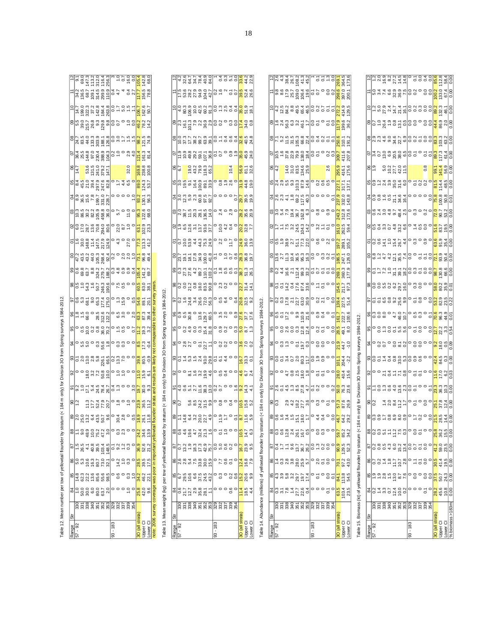Table 12. Mean number per tow of yellowtail flounder by stratum (< 184 m only) for Division 30 from Spring surveys 1984-2012. N HOR-2009 v S Gellow Eloun Of Consolion is highland to like tow your Division in The Division 3 for Division 3<br>Division is not Division and Division 2012 with the Spring Spring Spring Spring Spring Spring Spring Spring S

| Range                                   | 5                     | 84                                                       | 85                                                                                       |                                                        |                                                                                                                       |                                                                                                                                                                                                                                                                                                                     |                                                                                                                                                                                                                                    |                                            |                                             |                                                                          |                                                                                                                                                                                                                                                                                                                                                           |                                            |                                                                                                                                                                                                                                                  |                                                                                                    |                                                                                                                                                                                                                                 |                                                                                                                                                                                                                                                                                                                      |                                                                      |                                                                           |                                                                                                                                                                                                                                                            |                                                         |                                                                                                                                                                                                                                                                                                                      |                                                                                                                                                                                                                                                                                                                                                                                                                                                                                 |                                                               |                                                                                                                                                     |                                                                                                                                        |                                                                                          |                                                                                                                                                                                                                                  |
|-----------------------------------------|-----------------------|----------------------------------------------------------|------------------------------------------------------------------------------------------|--------------------------------------------------------|-----------------------------------------------------------------------------------------------------------------------|---------------------------------------------------------------------------------------------------------------------------------------------------------------------------------------------------------------------------------------------------------------------------------------------------------------------|------------------------------------------------------------------------------------------------------------------------------------------------------------------------------------------------------------------------------------|--------------------------------------------|---------------------------------------------|--------------------------------------------------------------------------|-----------------------------------------------------------------------------------------------------------------------------------------------------------------------------------------------------------------------------------------------------------------------------------------------------------------------------------------------------------|--------------------------------------------|--------------------------------------------------------------------------------------------------------------------------------------------------------------------------------------------------------------------------------------------------|----------------------------------------------------------------------------------------------------|---------------------------------------------------------------------------------------------------------------------------------------------------------------------------------------------------------------------------------|----------------------------------------------------------------------------------------------------------------------------------------------------------------------------------------------------------------------------------------------------------------------------------------------------------------------|----------------------------------------------------------------------|---------------------------------------------------------------------------|------------------------------------------------------------------------------------------------------------------------------------------------------------------------------------------------------------------------------------------------------------|---------------------------------------------------------|----------------------------------------------------------------------------------------------------------------------------------------------------------------------------------------------------------------------------------------------------------------------------------------------------------------------|---------------------------------------------------------------------------------------------------------------------------------------------------------------------------------------------------------------------------------------------------------------------------------------------------------------------------------------------------------------------------------------------------------------------------------------------------------------------------------|---------------------------------------------------------------|-----------------------------------------------------------------------------------------------------------------------------------------------------|----------------------------------------------------------------------------------------------------------------------------------------|------------------------------------------------------------------------------------------|----------------------------------------------------------------------------------------------------------------------------------------------------------------------------------------------------------------------------------|
| 92<br>- 29                              |                       |                                                          |                                                                                          | <b>B</b><br>Bungan San                                 |                                                                                                                       | $\frac{1}{2}$ $\frac{1}{2}$ $\frac{3}{2}$ $\frac{3}{2}$ $\frac{3}{2}$ $\frac{5}{2}$ $\frac{3}{2}$ $\frac{3}{2}$ $\frac{3}{2}$ $\frac{3}{2}$ $\frac{3}{2}$ $\frac{3}{2}$ $\frac{3}{2}$ $\frac{3}{2}$ $\frac{3}{2}$ $\frac{3}{2}$ $\frac{3}{2}$ $\frac{3}{2}$ $\frac{3}{2}$ $\frac{3}{2}$ $\frac{3}{2}$ $\frac{3}{2}$ |                                                                                                                                                                                                                                    |                                            |                                             |                                                                          |                                                                                                                                                                                                                                                                                                                                                           |                                            |                                                                                                                                                                                                                                                  |                                                                                                    |                                                                                                                                                                                                                                 |                                                                                                                                                                                                                                                                                                                      |                                                                      |                                                                           |                                                                                                                                                                                                                                                            |                                                         | $\frac{8}{14}$ $\frac{8}{3}$ $\frac{8}{3}$ $\frac{8}{3}$ $\frac{8}{3}$ $\frac{8}{3}$ $\frac{8}{3}$ $\frac{8}{3}$ $\frac{8}{3}$ $\frac{8}{3}$ $\frac{8}{3}$ $\frac{8}{3}$ $\frac{8}{3}$ $\frac{8}{3}$ $\frac{8}{3}$ $\frac{8}{3}$ $\frac{8}{3}$ $\frac{8}{3}$ $\frac{8}{3}$ $\frac{8}{3}$ $\frac{8}{3}$ $\frac{8}{3}$ |                                                                                                                                                                                                                                                                                                                                                                                                                                                                                 |                                                               |                                                                                                                                                     |                                                                                                                                        |                                                                                          |                                                                                                                                                                                                                                  |
|                                         |                       | 000000000<br>000000000                                   | a ci ci ci ci ci<br>A ci ci ci ci ci<br>A ci ci ci ci ci                                 |                                                        | 0<br>0 4 4 9 9 9 9 9 9 9 9 9 9 9 1<br>0 9 9 9 9 9 9 9 9 9 9 9 1 9 9 9 1 9 9 9 1 9 9 9 9 1 9 9 9 9 1 9 9 9 9 1 9 9 9 9 |                                                                                                                                                                                                                                                                                                                     |                                                                                                                                                                                                                                    |                                            |                                             |                                                                          |                                                                                                                                                                                                                                                                                                                                                           |                                            |                                                                                                                                                                                                                                                  |                                                                                                    |                                                                                                                                                                                                                                 |                                                                                                                                                                                                                                                                                                                      |                                                                      |                                                                           |                                                                                                                                                                                                                                                            |                                                         |                                                                                                                                                                                                                                                                                                                      |                                                                                                                                                                                                                                                                                                                                                                                                                                                                                 |                                                               |                                                                                                                                                     |                                                                                                                                        |                                                                                          |                                                                                                                                                                                                                                  |
|                                         |                       |                                                          |                                                                                          |                                                        |                                                                                                                       |                                                                                                                                                                                                                                                                                                                     |                                                                                                                                                                                                                                    |                                            |                                             |                                                                          |                                                                                                                                                                                                                                                                                                                                                           |                                            |                                                                                                                                                                                                                                                  |                                                                                                    |                                                                                                                                                                                                                                 |                                                                                                                                                                                                                                                                                                                      |                                                                      |                                                                           |                                                                                                                                                                                                                                                            |                                                         |                                                                                                                                                                                                                                                                                                                      |                                                                                                                                                                                                                                                                                                                                                                                                                                                                                 |                                                               |                                                                                                                                                     |                                                                                                                                        |                                                                                          |                                                                                                                                                                                                                                  |
|                                         |                       |                                                          |                                                                                          |                                                        |                                                                                                                       |                                                                                                                                                                                                                                                                                                                     |                                                                                                                                                                                                                                    |                                            |                                             |                                                                          |                                                                                                                                                                                                                                                                                                                                                           |                                            |                                                                                                                                                                                                                                                  |                                                                                                    |                                                                                                                                                                                                                                 |                                                                                                                                                                                                                                                                                                                      |                                                                      |                                                                           |                                                                                                                                                                                                                                                            |                                                         |                                                                                                                                                                                                                                                                                                                      |                                                                                                                                                                                                                                                                                                                                                                                                                                                                                 |                                                               |                                                                                                                                                     |                                                                                                                                        |                                                                                          |                                                                                                                                                                                                                                  |
|                                         |                       |                                                          |                                                                                          |                                                        |                                                                                                                       |                                                                                                                                                                                                                                                                                                                     |                                                                                                                                                                                                                                    |                                            |                                             |                                                                          |                                                                                                                                                                                                                                                                                                                                                           |                                            |                                                                                                                                                                                                                                                  |                                                                                                    |                                                                                                                                                                                                                                 |                                                                                                                                                                                                                                                                                                                      |                                                                      |                                                                           |                                                                                                                                                                                                                                                            |                                                         |                                                                                                                                                                                                                                                                                                                      |                                                                                                                                                                                                                                                                                                                                                                                                                                                                                 |                                                               |                                                                                                                                                     |                                                                                                                                        |                                                                                          |                                                                                                                                                                                                                                  |
|                                         |                       |                                                          |                                                                                          |                                                        |                                                                                                                       |                                                                                                                                                                                                                                                                                                                     |                                                                                                                                                                                                                                    |                                            |                                             |                                                                          |                                                                                                                                                                                                                                                                                                                                                           |                                            |                                                                                                                                                                                                                                                  |                                                                                                    |                                                                                                                                                                                                                                 |                                                                                                                                                                                                                                                                                                                      |                                                                      |                                                                           |                                                                                                                                                                                                                                                            |                                                         |                                                                                                                                                                                                                                                                                                                      |                                                                                                                                                                                                                                                                                                                                                                                                                                                                                 |                                                               |                                                                                                                                                     |                                                                                                                                        |                                                                                          |                                                                                                                                                                                                                                  |
|                                         |                       |                                                          |                                                                                          |                                                        |                                                                                                                       |                                                                                                                                                                                                                                                                                                                     |                                                                                                                                                                                                                                    |                                            |                                             |                                                                          |                                                                                                                                                                                                                                                                                                                                                           |                                            |                                                                                                                                                                                                                                                  |                                                                                                    |                                                                                                                                                                                                                                 |                                                                                                                                                                                                                                                                                                                      |                                                                      |                                                                           |                                                                                                                                                                                                                                                            |                                                         |                                                                                                                                                                                                                                                                                                                      |                                                                                                                                                                                                                                                                                                                                                                                                                                                                                 |                                                               |                                                                                                                                                     |                                                                                                                                        |                                                                                          |                                                                                                                                                                                                                                  |
| $-183$<br>3                             |                       |                                                          |                                                                                          |                                                        |                                                                                                                       |                                                                                                                                                                                                                                                                                                                     |                                                                                                                                                                                                                                    |                                            |                                             |                                                                          |                                                                                                                                                                                                                                                                                                                                                           |                                            |                                                                                                                                                                                                                                                  |                                                                                                    |                                                                                                                                                                                                                                 |                                                                                                                                                                                                                                                                                                                      |                                                                      |                                                                           |                                                                                                                                                                                                                                                            |                                                         |                                                                                                                                                                                                                                                                                                                      |                                                                                                                                                                                                                                                                                                                                                                                                                                                                                 |                                                               |                                                                                                                                                     |                                                                                                                                        |                                                                                          |                                                                                                                                                                                                                                  |
|                                         |                       |                                                          | ၀ ဖ္ ၀                                                                                   | 0.990                                                  |                                                                                                                       |                                                                                                                                                                                                                                                                                                                     |                                                                                                                                                                                                                                    |                                            |                                             |                                                                          |                                                                                                                                                                                                                                                                                                                                                           |                                            |                                                                                                                                                                                                                                                  |                                                                                                    |                                                                                                                                                                                                                                 |                                                                                                                                                                                                                                                                                                                      |                                                                      |                                                                           |                                                                                                                                                                                                                                                            |                                                         |                                                                                                                                                                                                                                                                                                                      |                                                                                                                                                                                                                                                                                                                                                                                                                                                                                 |                                                               |                                                                                                                                                     |                                                                                                                                        |                                                                                          |                                                                                                                                                                                                                                  |
|                                         |                       |                                                          |                                                                                          |                                                        |                                                                                                                       |                                                                                                                                                                                                                                                                                                                     |                                                                                                                                                                                                                                    |                                            |                                             |                                                                          |                                                                                                                                                                                                                                                                                                                                                           |                                            |                                                                                                                                                                                                                                                  |                                                                                                    |                                                                                                                                                                                                                                 |                                                                                                                                                                                                                                                                                                                      |                                                                      |                                                                           |                                                                                                                                                                                                                                                            |                                                         |                                                                                                                                                                                                                                                                                                                      |                                                                                                                                                                                                                                                                                                                                                                                                                                                                                 |                                                               |                                                                                                                                                     |                                                                                                                                        |                                                                                          |                                                                                                                                                                                                                                  |
|                                         | s<br>ssaarssassassa   | $\frac{1}{2}$ o                                          | $\frac{3}{2}$                                                                            | $_{\rm c}^{\rm 3}$                                     | 3                                                                                                                     |                                                                                                                                                                                                                                                                                                                     |                                                                                                                                                                                                                                    |                                            |                                             |                                                                          |                                                                                                                                                                                                                                                                                                                                                           |                                            |                                                                                                                                                                                                                                                  |                                                                                                    |                                                                                                                                                                                                                                 |                                                                                                                                                                                                                                                                                                                      |                                                                      |                                                                           |                                                                                                                                                                                                                                                            |                                                         | 32.0                                                                                                                                                                                                                                                                                                                 |                                                                                                                                                                                                                                                                                                                                                                                                                                                                                 |                                                               |                                                                                                                                                     |                                                                                                                                        |                                                                                          |                                                                                                                                                                                                                                  |
|                                         |                       |                                                          |                                                                                          |                                                        |                                                                                                                       |                                                                                                                                                                                                                                                                                                                     |                                                                                                                                                                                                                                    |                                            |                                             |                                                                          |                                                                                                                                                                                                                                                                                                                                                           |                                            |                                                                                                                                                                                                                                                  |                                                                                                    |                                                                                                                                                                                                                                 |                                                                                                                                                                                                                                                                                                                      |                                                                      |                                                                           |                                                                                                                                                                                                                                                            |                                                         |                                                                                                                                                                                                                                                                                                                      |                                                                                                                                                                                                                                                                                                                                                                                                                                                                                 |                                                               |                                                                                                                                                     |                                                                                                                                        |                                                                                          |                                                                                                                                                                                                                                  |
|                                         |                       |                                                          |                                                                                          |                                                        |                                                                                                                       |                                                                                                                                                                                                                                                                                                                     |                                                                                                                                                                                                                                    |                                            |                                             |                                                                          |                                                                                                                                                                                                                                                                                                                                                           |                                            |                                                                                                                                                                                                                                                  |                                                                                                    |                                                                                                                                                                                                                                 |                                                                                                                                                                                                                                                                                                                      |                                                                      |                                                                           |                                                                                                                                                                                                                                                            |                                                         |                                                                                                                                                                                                                                                                                                                      |                                                                                                                                                                                                                                                                                                                                                                                                                                                                                 |                                                               |                                                                                                                                                     |                                                                                                                                        |                                                                                          |                                                                                                                                                                                                                                  |
| 30 (all strata)<br>Upper Cl<br>Lower Cl |                       | 25.0<br>42.0                                             | 34.2 28.5 36.9 24.2<br>46.2 39.5 52.6 34.6<br>22.1 17.5 21.2 13.9<br>22.1 17.5 21.2 13.9 |                                                        |                                                                                                                       |                                                                                                                                                                                                                                                                                                                     | ၜႜၜ႞ၛၟၣၛၟၣၛၟၣၛၟၣၛၟၣၜႜၜႜၛၣ<br>ၜႜႜႜႜၛၟၣၛၟၣၛၣၛၣၛၣၣၜႜႜၛၣ                                                                                                                                                                               |                                            | sos = Englago = a <mark>os 8 a</mark>       | gloogada agoogada <mark>i</mark> agoogada ah<br>Bloogada agoogada iyo ah | ၜ <mark>ႜႜႜ</mark> ႞ၟၣၟၣၜၟၜၟၜၟၟၟၮၟၛၟၣၣၣၣၜ <mark>ႜႜႜႜႜႜၜၟၜၟၣႜႜႜႜႜႜႜၜ႞ႜႜႜႜႜၜ႞ႜၣႜႜႜႜႜႜႜႜႜၜႜႜႜႜႜႜၜၟၣ</mark>                                                                                                                                                                                                                                                   | ၛၟၣၟၑၟၣၟၜၟၛၟၣၣၟၣၣၣၣၣၣ<br>ၛၣၯၯၣၣၛၛၟၣၣၣၣၣၣၣၣ | alain: Source de Calaisia<br>Romana de Calaisia<br>Romana de Calaisia<br>ႜႜႜႜၜ႞ၜၟၣၛၟႜၛၟၛၟၣၛၟၣၛၣၣၣႜႜႜၛ႞                                                                                                                                           |                                                                                                    |                                                                                                                                                                                                                                 |                                                                                                                                                                                                                                                                                                                      | <u>elecced</u><br>clessaries de l'article<br>clessaries de l'article | aloon saasaloon so <mark>ol.</mark><br><mark>aloon saasal ah sool.</mark> | ္<br>၁၀ ေပးပါး ေရွာက္တို႔ ေတြ ေပးပါး<br>၁၀ ေပးပါး ေရွာက္တို႔ ေရွာက္တို႔ ေ                                                                                                                                                                                  |                                                         | $\frac{8}{169.8}$<br>238.8                                                                                                                                                                                                                                                                                           | $\bigcirc \frac{1}{2} \bigcirc \frac{1}{2} \bigcirc \frac{1}{2} \bigcirc \frac{1}{2} \bigcirc \frac{1}{2} \bigcirc \frac{1}{2} \bigcirc \frac{1}{2} \bigcirc \frac{1}{2} \bigcirc \frac{1}{2} \bigcirc \frac{1}{2} \bigcirc \frac{1}{2} \bigcirc \frac{1}{2} \bigcirc \frac{1}{2} \bigcirc \frac{1}{2} \bigcirc \frac{1}{2} \bigcirc \frac{1}{2} \bigcirc \frac{1}{2} \bigcirc \frac{1}{2} \bigcirc \frac{1}{2} \bigcirc \frac{1}{2} \bigcirc \frac{1}{2} \bigcirc \frac{1}{2}$ |                                                               | g<br><mark>le si ca sagolo o co<mark>di</mark>ción<br/>al codición de la codición de la codición de la codición de la codición de la codició</mark> |                                                                                                                                        | <u>Lide Sensel</u><br>Lide Sensel - On <mark>Li</mark> e<br>Lide 22 and 22 and 22 and 23 | al signation de la compagnie de la compagnie de la compagnie de la compagnie de la compagnie de la compagnie d<br>La compagnie de la compagnie de la compagnie de la compagnie de la compagnie de la compagnie de la compagnie d |
| note: 2006 survey                       |                       |                                                          |                                                                                          |                                                        |                                                                                                                       |                                                                                                                                                                                                                                                                                                                     |                                                                                                                                                                                                                                    |                                            |                                             |                                                                          |                                                                                                                                                                                                                                                                                                                                                           |                                            |                                                                                                                                                                                                                                                  |                                                                                                    |                                                                                                                                                                                                                                 |                                                                                                                                                                                                                                                                                                                      |                                                                      |                                                                           |                                                                                                                                                                                                                                                            |                                                         |                                                                                                                                                                                                                                                                                                                      |                                                                                                                                                                                                                                                                                                                                                                                                                                                                                 |                                                               |                                                                                                                                                     |                                                                                                                                        |                                                                                          |                                                                                                                                                                                                                                  |
|                                         |                       | coverage                                                 |                                                                                          |                                                        |                                                                                                                       |                                                                                                                                                                                                                                                                                                                     |                                                                                                                                                                                                                                    |                                            |                                             |                                                                          |                                                                                                                                                                                                                                                                                                                                                           |                                            |                                                                                                                                                                                                                                                  |                                                                                                    |                                                                                                                                                                                                                                 |                                                                                                                                                                                                                                                                                                                      |                                                                      |                                                                           |                                                                                                                                                                                                                                                            |                                                         |                                                                                                                                                                                                                                                                                                                      |                                                                                                                                                                                                                                                                                                                                                                                                                                                                                 |                                                               |                                                                                                                                                     |                                                                                                                                        |                                                                                          |                                                                                                                                                                                                                                  |
| Table 13. Mean weight (kg)              |                       |                                                          |                                                                                          |                                                        | per tow of yellowtail flound-                                                                                         |                                                                                                                                                                                                                                                                                                                     |                                                                                                                                                                                                                                    |                                            |                                             |                                                                          |                                                                                                                                                                                                                                                                                                                                                           |                                            | stratum (< 184 m only) for Division 3O from Spring surveys 1984-2012.                                                                                                                                                                            |                                                                                                    |                                                                                                                                                                                                                                 |                                                                                                                                                                                                                                                                                                                      |                                                                      |                                                                           |                                                                                                                                                                                                                                                            |                                                         |                                                                                                                                                                                                                                                                                                                      |                                                                                                                                                                                                                                                                                                                                                                                                                                                                                 |                                                               |                                                                                                                                                     |                                                                                                                                        |                                                                                          |                                                                                                                                                                                                                                  |
|                                         | ซิ                    |                                                          |                                                                                          |                                                        |                                                                                                                       |                                                                                                                                                                                                                                                                                                                     |                                                                                                                                                                                                                                    |                                            |                                             |                                                                          |                                                                                                                                                                                                                                                                                                                                                           |                                            |                                                                                                                                                                                                                                                  |                                                                                                    |                                                                                                                                                                                                                                 |                                                                                                                                                                                                                                                                                                                      |                                                                      |                                                                           |                                                                                                                                                                                                                                                            |                                                         |                                                                                                                                                                                                                                                                                                                      |                                                                                                                                                                                                                                                                                                                                                                                                                                                                                 |                                                               |                                                                                                                                                     |                                                                                                                                        |                                                                                          |                                                                                                                                                                                                                                  |
| Range<br>57 - 92                        |                       |                                                          |                                                                                          |                                                        |                                                                                                                       |                                                                                                                                                                                                                                                                                                                     |                                                                                                                                                                                                                                    |                                            |                                             |                                                                          |                                                                                                                                                                                                                                                                                                                                                           |                                            |                                                                                                                                                                                                                                                  |                                                                                                    |                                                                                                                                                                                                                                 |                                                                                                                                                                                                                                                                                                                      |                                                                      |                                                                           |                                                                                                                                                                                                                                                            |                                                         |                                                                                                                                                                                                                                                                                                                      |                                                                                                                                                                                                                                                                                                                                                                                                                                                                                 |                                                               |                                                                                                                                                     |                                                                                                                                        |                                                                                          |                                                                                                                                                                                                                                  |
|                                         |                       |                                                          |                                                                                          |                                                        |                                                                                                                       |                                                                                                                                                                                                                                                                                                                     |                                                                                                                                                                                                                                    |                                            |                                             |                                                                          |                                                                                                                                                                                                                                                                                                                                                           |                                            |                                                                                                                                                                                                                                                  |                                                                                                    |                                                                                                                                                                                                                                 |                                                                                                                                                                                                                                                                                                                      |                                                                      |                                                                           |                                                                                                                                                                                                                                                            |                                                         |                                                                                                                                                                                                                                                                                                                      |                                                                                                                                                                                                                                                                                                                                                                                                                                                                                 |                                                               |                                                                                                                                                     |                                                                                                                                        |                                                                                          |                                                                                                                                                                                                                                  |
|                                         |                       |                                                          |                                                                                          |                                                        |                                                                                                                       |                                                                                                                                                                                                                                                                                                                     |                                                                                                                                                                                                                                    |                                            |                                             |                                                                          |                                                                                                                                                                                                                                                                                                                                                           |                                            |                                                                                                                                                                                                                                                  |                                                                                                    |                                                                                                                                                                                                                                 |                                                                                                                                                                                                                                                                                                                      |                                                                      |                                                                           |                                                                                                                                                                                                                                                            |                                                         |                                                                                                                                                                                                                                                                                                                      |                                                                                                                                                                                                                                                                                                                                                                                                                                                                                 |                                                               |                                                                                                                                                     |                                                                                                                                        |                                                                                          |                                                                                                                                                                                                                                  |
|                                         |                       |                                                          |                                                                                          |                                                        |                                                                                                                       |                                                                                                                                                                                                                                                                                                                     |                                                                                                                                                                                                                                    |                                            |                                             |                                                                          |                                                                                                                                                                                                                                                                                                                                                           |                                            |                                                                                                                                                                                                                                                  |                                                                                                    |                                                                                                                                                                                                                                 |                                                                                                                                                                                                                                                                                                                      |                                                                      |                                                                           |                                                                                                                                                                                                                                                            |                                                         |                                                                                                                                                                                                                                                                                                                      |                                                                                                                                                                                                                                                                                                                                                                                                                                                                                 |                                                               |                                                                                                                                                     |                                                                                                                                        |                                                                                          |                                                                                                                                                                                                                                  |
|                                         |                       |                                                          |                                                                                          |                                                        |                                                                                                                       |                                                                                                                                                                                                                                                                                                                     |                                                                                                                                                                                                                                    |                                            |                                             |                                                                          |                                                                                                                                                                                                                                                                                                                                                           |                                            |                                                                                                                                                                                                                                                  |                                                                                                    |                                                                                                                                                                                                                                 |                                                                                                                                                                                                                                                                                                                      |                                                                      |                                                                           |                                                                                                                                                                                                                                                            |                                                         |                                                                                                                                                                                                                                                                                                                      |                                                                                                                                                                                                                                                                                                                                                                                                                                                                                 |                                                               |                                                                                                                                                     |                                                                                                                                        |                                                                                          |                                                                                                                                                                                                                                  |
|                                         | និន្ទ័ន្ទនិងនិងនិងនិង |                                                          |                                                                                          | ន <mark>ា</mark> ត្ត ដូច ដូច ដូច<br>នាក្តី ដូច ដូច ដូច | <u>ျား မိုင်း မိုင်း မိုင်း မိုင်း မိုင်း</u><br>အသုံး မိုင်း မိုင်း မိုင်း မိုင်း မိုင်း မိုင်း                      | ∞│० ४ ଡ़ं ४ % ☆ ~│                                                                                                                                                                                                                                                                                                  | ssiere de la de la de la de la de la de la de la de la de la de la de la de la de la de la de la de<br>Side de la de la de la de la de la de la de la de la de la de la de la de la de la de la de la de la de la de<br>Side de la | glo ne viriglo so 4 o <mark>lo</mark> 5 vi | ၜၟ႞<br>ၜၟ႞ၛၟၛၟၯၟၛၛၟၟၣၣၜၛ <mark>ၛ</mark> ၛၟၯ | woordwaaloo d <mark>e</mark> rd<br>Woordwaalowdoo <mark>d</mark>         | $\frac{1}{2}$ $\frac{1}{2}$ $\frac{1}{2}$ $\frac{1}{2}$ $\frac{1}{2}$ $\frac{1}{2}$ $\frac{1}{2}$ $\frac{1}{2}$ $\frac{1}{2}$ $\frac{1}{2}$ $\frac{1}{2}$ $\frac{1}{2}$ $\frac{1}{2}$ $\frac{1}{2}$ $\frac{1}{2}$ $\frac{1}{2}$ $\frac{1}{2}$ $\frac{1}{2}$ $\frac{1}{2}$ $\frac{1}{2}$ $\frac{1}{2}$ $\frac{1}{2}$ $\frac{1}{2}$ $\frac{1}{2}$ $\frac{1$ | alogue e diriographe al <mark>g</mark> era | elo o o o o cindo de o o <mark>o c</mark> indo<br>Roger de la de la de la de la della della della della della della della della della della della della della de<br>Roger de la della della della della della della della della della della dell | alo – 4 u 8 k 8 l o e e e <mark>8 8 u</mark> 9 d<br>Plo – 4 u 8 k 8 l o e e e <mark>8 8 u</mark> 9 | societis de la construcción de la construcción de la construcción de la construcción de la construcción de la<br>Societa de la construcción de la construcción de la construcción de la construcción de la construcción de la c | $8\frac{1}{2}$ $\frac{1}{2}$ $\frac{1}{2}$ $\frac{1}{2}$ $\frac{1}{2}$ $\frac{1}{2}$ $\frac{1}{2}$ $\frac{1}{2}$ $\frac{1}{2}$ $\frac{1}{2}$ $\frac{1}{2}$ $\frac{1}{2}$ $\frac{1}{2}$ $\frac{1}{2}$ $\frac{1}{2}$ $\frac{1}{2}$ $\frac{1}{2}$ $\frac{1}{2}$ $\frac{1}{2}$ $\frac{1}{2}$ $\frac{1}{2}$ $\frac{1}{2}$ | po 5 m 4 k g a 5 <mark>4 8 5</mark> 5 6 8 5                          | gla na a a a blog d'a gla shi                                             | glora a sigloro d <mark>ia</mark> no<br><sub>o</sub> ling traditional dia sigloro di la condia di la condia di la condia di la condia di la condia di la condia di<br>oli di la condia di la condia di la condia di la condia di la condia di la condia di | glu tru u 8 P 9 <br>Slu tru u 8 P 9 <br>Slu tru u 8 P 9 |                                                                                                                                                                                                                                                                                                                      |                                                                                                                                                                                                                                                                                                                                                                                                                                                                                 | ၜ႞ၣႍၛၟၣၛၟၟၜၟၣ႞ၜၟၣၛၜၟၛၛၟၛ<br>ၜ႞ၣၯၣၛၟၣၜၣၣၜၣႜၛ <mark>ၛ</mark> ၟၛ |                                                                                                                                                     | <mark>႕ ဒီ ၉ <del>၄ ၇</del> ၉ ၉ – <sub>မ</sub> ၀ ၀ <mark>၂၀</mark> ၉ <u>၄</u><br/>၁၀ မီ ၁ ၉ ၉ ၉ ၉ ၉ – မ ၀ ၀ <mark>၂၀</mark> ၉ ၉</mark> |                                                                                          | <u>gla ë ë shtatë që që a shtatë</u><br>La ë që zhën që që që dhe shtatë                                                                                                                                                         |
|                                         |                       |                                                          |                                                                                          |                                                        |                                                                                                                       |                                                                                                                                                                                                                                                                                                                     |                                                                                                                                                                                                                                    |                                            |                                             |                                                                          |                                                                                                                                                                                                                                                                                                                                                           |                                            |                                                                                                                                                                                                                                                  |                                                                                                    |                                                                                                                                                                                                                                 |                                                                                                                                                                                                                                                                                                                      |                                                                      |                                                                           |                                                                                                                                                                                                                                                            |                                                         |                                                                                                                                                                                                                                                                                                                      |                                                                                                                                                                                                                                                                                                                                                                                                                                                                                 |                                                               |                                                                                                                                                     |                                                                                                                                        |                                                                                          |                                                                                                                                                                                                                                  |
| $93 - 183$                              |                       |                                                          |                                                                                          |                                                        |                                                                                                                       |                                                                                                                                                                                                                                                                                                                     |                                                                                                                                                                                                                                    |                                            |                                             |                                                                          |                                                                                                                                                                                                                                                                                                                                                           |                                            |                                                                                                                                                                                                                                                  |                                                                                                    |                                                                                                                                                                                                                                 |                                                                                                                                                                                                                                                                                                                      |                                                                      |                                                                           |                                                                                                                                                                                                                                                            |                                                         |                                                                                                                                                                                                                                                                                                                      |                                                                                                                                                                                                                                                                                                                                                                                                                                                                                 |                                                               |                                                                                                                                                     |                                                                                                                                        |                                                                                          |                                                                                                                                                                                                                                  |
|                                         |                       |                                                          | $\frac{1}{2}$                                                                            |                                                        |                                                                                                                       |                                                                                                                                                                                                                                                                                                                     |                                                                                                                                                                                                                                    |                                            |                                             |                                                                          |                                                                                                                                                                                                                                                                                                                                                           |                                            |                                                                                                                                                                                                                                                  |                                                                                                    |                                                                                                                                                                                                                                 |                                                                                                                                                                                                                                                                                                                      |                                                                      |                                                                           |                                                                                                                                                                                                                                                            |                                                         |                                                                                                                                                                                                                                                                                                                      |                                                                                                                                                                                                                                                                                                                                                                                                                                                                                 |                                                               |                                                                                                                                                     |                                                                                                                                        |                                                                                          |                                                                                                                                                                                                                                  |
|                                         |                       |                                                          |                                                                                          | 597°<br>007                                            |                                                                                                                       |                                                                                                                                                                                                                                                                                                                     |                                                                                                                                                                                                                                    |                                            |                                             |                                                                          |                                                                                                                                                                                                                                                                                                                                                           |                                            |                                                                                                                                                                                                                                                  |                                                                                                    |                                                                                                                                                                                                                                 |                                                                                                                                                                                                                                                                                                                      |                                                                      |                                                                           |                                                                                                                                                                                                                                                            |                                                         |                                                                                                                                                                                                                                                                                                                      |                                                                                                                                                                                                                                                                                                                                                                                                                                                                                 |                                                               |                                                                                                                                                     |                                                                                                                                        |                                                                                          |                                                                                                                                                                                                                                  |
|                                         |                       | $\frac{6}{10}$                                           | 0.8                                                                                      |                                                        |                                                                                                                       |                                                                                                                                                                                                                                                                                                                     |                                                                                                                                                                                                                                    |                                            |                                             |                                                                          |                                                                                                                                                                                                                                                                                                                                                           |                                            |                                                                                                                                                                                                                                                  |                                                                                                    |                                                                                                                                                                                                                                 |                                                                                                                                                                                                                                                                                                                      |                                                                      |                                                                           |                                                                                                                                                                                                                                                            |                                                         | 10.4                                                                                                                                                                                                                                                                                                                 |                                                                                                                                                                                                                                                                                                                                                                                                                                                                                 |                                                               |                                                                                                                                                     |                                                                                                                                        |                                                                                          |                                                                                                                                                                                                                                  |
|                                         |                       |                                                          |                                                                                          |                                                        |                                                                                                                       |                                                                                                                                                                                                                                                                                                                     |                                                                                                                                                                                                                                    |                                            |                                             |                                                                          |                                                                                                                                                                                                                                                                                                                                                           |                                            |                                                                                                                                                                                                                                                  |                                                                                                    |                                                                                                                                                                                                                                 |                                                                                                                                                                                                                                                                                                                      |                                                                      |                                                                           |                                                                                                                                                                                                                                                            |                                                         |                                                                                                                                                                                                                                                                                                                      |                                                                                                                                                                                                                                                                                                                                                                                                                                                                                 |                                                               |                                                                                                                                                     |                                                                                                                                        |                                                                                          |                                                                                                                                                                                                                                  |
|                                         |                       |                                                          |                                                                                          |                                                        |                                                                                                                       |                                                                                                                                                                                                                                                                                                                     |                                                                                                                                                                                                                                    |                                            |                                             |                                                                          |                                                                                                                                                                                                                                                                                                                                                           |                                            |                                                                                                                                                                                                                                                  |                                                                                                    |                                                                                                                                                                                                                                 |                                                                                                                                                                                                                                                                                                                      |                                                                      |                                                                           |                                                                                                                                                                                                                                                            |                                                         |                                                                                                                                                                                                                                                                                                                      |                                                                                                                                                                                                                                                                                                                                                                                                                                                                                 |                                                               |                                                                                                                                                     |                                                                                                                                        |                                                                                          |                                                                                                                                                                                                                                  |
| 30 (all strata)<br>Upper Cl<br>Lower Cl |                       | $rac{1}{4}$ in 4<br>$rac{4}{4}$ in 4                     | <mark>ဖ္</mark> ဇွဲ စွဲ                                                                  | $\frac{1}{2}$<br>$\frac{1}{8}$<br>$\frac{1}{8}$        | <mark>ဇ</mark> ၁ ၁ ၁<br>၁ ၁ ၁                                                                                         |                                                                                                                                                                                                                                                                                                                     |                                                                                                                                                                                                                                    |                                            |                                             |                                                                          |                                                                                                                                                                                                                                                                                                                                                           |                                            |                                                                                                                                                                                                                                                  |                                                                                                    |                                                                                                                                                                                                                                 |                                                                                                                                                                                                                                                                                                                      |                                                                      |                                                                           |                                                                                                                                                                                                                                                            |                                                         | 8.788                                                                                                                                                                                                                                                                                                                |                                                                                                                                                                                                                                                                                                                                                                                                                                                                                 |                                                               |                                                                                                                                                     |                                                                                                                                        |                                                                                          |                                                                                                                                                                                                                                  |
|                                         |                       |                                                          |                                                                                          |                                                        |                                                                                                                       |                                                                                                                                                                                                                                                                                                                     |                                                                                                                                                                                                                                    |                                            |                                             |                                                                          |                                                                                                                                                                                                                                                                                                                                                           |                                            |                                                                                                                                                                                                                                                  |                                                                                                    |                                                                                                                                                                                                                                 |                                                                                                                                                                                                                                                                                                                      |                                                                      |                                                                           |                                                                                                                                                                                                                                                            |                                                         |                                                                                                                                                                                                                                                                                                                      |                                                                                                                                                                                                                                                                                                                                                                                                                                                                                 |                                                               |                                                                                                                                                     |                                                                                                                                        |                                                                                          |                                                                                                                                                                                                                                  |
|                                         |                       | Table 14. Abundance (millions) of yellowtail flounder by |                                                                                          |                                                        |                                                                                                                       |                                                                                                                                                                                                                                                                                                                     |                                                                                                                                                                                                                                    |                                            |                                             |                                                                          |                                                                                                                                                                                                                                                                                                                                                           |                                            | ratum (< 184 m only) for Division 3O from Spring surveys 1984-2012.                                                                                                                                                                              |                                                                                                    |                                                                                                                                                                                                                                 |                                                                                                                                                                                                                                                                                                                      |                                                                      |                                                                           |                                                                                                                                                                                                                                                            |                                                         |                                                                                                                                                                                                                                                                                                                      |                                                                                                                                                                                                                                                                                                                                                                                                                                                                                 |                                                               |                                                                                                                                                     |                                                                                                                                        |                                                                                          |                                                                                                                                                                                                                                  |
| Range<br>57.00                          | 하                     | $\frac{84}{6}$                                           | $\frac{85}{1}$                                                                           | 86                                                     | $\frac{1}{2}$                                                                                                         |                                                                                                                                                                                                                                                                                                                     |                                                                                                                                                                                                                                    |                                            |                                             | ଖା                                                                       | ႜႜၟ                                                                                                                                                                                                                                                                                                                                                       | 의.                                         |                                                                                                                                                                                                                                                  | န္တု                                                                                               |                                                                                                                                                                                                                                 |                                                                                                                                                                                                                                                                                                                      |                                                                      | 의;                                                                        |                                                                                                                                                                                                                                                            |                                                         | ိုင်                                                                                                                                                                                                                                                                                                                 |                                                                                                                                                                                                                                                                                                                                                                                                                                                                                 | $\frac{8}{10}$                                                |                                                                                                                                                     | ۵Ļ                                                                                                                                     |                                                                                          |                                                                                                                                                                                                                                  |
|                                         | <b>Doc</b>            |                                                          |                                                                                          |                                                        |                                                                                                                       |                                                                                                                                                                                                                                                                                                                     |                                                                                                                                                                                                                                    | ္တု                                        |                                             |                                                                          |                                                                                                                                                                                                                                                                                                                                                           |                                            |                                                                                                                                                                                                                                                  |                                                                                                    |                                                                                                                                                                                                                                 |                                                                                                                                                                                                                                                                                                                      |                                                                      |                                                                           |                                                                                                                                                                                                                                                            |                                                         |                                                                                                                                                                                                                                                                                                                      |                                                                                                                                                                                                                                                                                                                                                                                                                                                                                 |                                                               |                                                                                                                                                     |                                                                                                                                        |                                                                                          |                                                                                                                                                                                                                                  |

|          |               |                  |  |                                                                                                                                             |      |     | $\frac{1}{2}$ $\frac{1}{2}$ $\frac{1}{2}$ $\frac{1}{2}$ $\frac{1}{2}$ $\frac{1}{2}$ $\frac{1}{2}$ $\frac{1}{2}$ $\frac{1}{2}$ $\frac{1}{2}$ $\frac{1}{2}$ $\frac{1}{2}$ $\frac{1}{2}$ $\frac{1}{2}$ $\frac{1}{2}$ $\frac{1}{2}$ $\frac{1}{2}$ $\frac{1}{2}$ $\frac{1}{2}$ $\frac{1}{2}$ $\frac{1}{2}$ $\frac{1}{2}$ $\frac{1}{2}$ $\frac{1}{2}$ $\frac{1$ |     |                                                  |     | 269.          | 364.5               | $\overline{13}$            |  |
|----------|---------------|------------------|--|---------------------------------------------------------------------------------------------------------------------------------------------|------|-----|-----------------------------------------------------------------------------------------------------------------------------------------------------------------------------------------------------------------------------------------------------------------------------------------------------------------------------------------------------------|-----|--------------------------------------------------|-----|---------------|---------------------|----------------------------|--|
| F        |               |                  |  |                                                                                                                                             |      |     |                                                                                                                                                                                                                                                                                                                                                           |     |                                                  |     |               | 298.6               | 200                        |  |
|          |               |                  |  |                                                                                                                                             |      |     |                                                                                                                                                                                                                                                                                                                                                           |     |                                                  |     | 272.2         | 414.9               | ιņ<br>29                   |  |
|          |               |                  |  |                                                                                                                                             |      |     | $\frac{1}{2}$ $\frac{1}{2}$ $\frac{1}{2}$ $\frac{1}{2}$ $\frac{1}{2}$ $\frac{1}{2}$ $\frac{1}{2}$ $\frac{1}{2}$ $\frac{1}{2}$ $\frac{1}{2}$ $\frac{1}{2}$ $\frac{1}{2}$ $\frac{1}{2}$ $\frac{1}{2}$ $\frac{1}{2}$                                                                                                                                         |     |                                                  |     | 17.9          | 199.6               | 8                          |  |
|          |               |                  |  |                                                                                                                                             |      |     | $\frac{1}{2}$ $\frac{1}{2}$ $\frac{1}{2}$ $\frac{1}{2}$ $\frac{1}{2}$ $\frac{1}{2}$ $\frac{1}{2}$ $\frac{1}{2}$ $\frac{1}{2}$ $\frac{1}{2}$ $\frac{1}{2}$ $\frac{1}{2}$ $\frac{1}{2}$ $\frac{1}{2}$ $\frac{1}{2}$ $\frac{1}{2}$ $\frac{1}{2}$ $\frac{1}{2}$ $\frac{1}{2}$ $\frac{1}{2}$ $\frac{1}{2}$ $\frac{1}{2}$                                       |     |                                                  |     | 250.6         | $\frac{5}{2}$       | 191.2                      |  |
|          |               |                  |  |                                                                                                                                             |      |     | $\frac{5}{6}$ $\frac{5}{6}$ $\frac{2}{6}$ $\frac{2}{6}$ $\frac{2}{6}$ $\frac{3}{6}$ $\frac{3}{6}$ $\frac{3}{6}$ $\frac{5}{6}$ $\frac{6}{6}$ $\frac{3}{6}$ $\frac{6}{6}$ $\frac{3}{6}$ $\frac{6}{6}$ $\frac{6}{6}$ $\frac{3}{6}$ $\frac{6}{6}$ $\frac{6}{6}$ $\frac{6}{6}$ $\frac{6}{6}$ $\frac{6}{6}$                                                     |     |                                                  |     | 309.7         | 411.6               | 207.8                      |  |
| ဧလ့<br>ခ |               |                  |  | 005669<br>105858                                                                                                                            |      |     |                                                                                                                                                                                                                                                                                                                                                           |     |                                                  | 2.6 | 295.9         | 416.1               | 175.6                      |  |
|          |               |                  |  |                                                                                                                                             |      |     |                                                                                                                                                                                                                                                                                                                                                           |     |                                                  |     | 227.1         | 317.1               | 137.                       |  |
|          |               |                  |  |                                                                                                                                             |      |     |                                                                                                                                                                                                                                                                                                                                                           |     |                                                  |     | 237.9         | 332.0               | $\alpha$<br>$\frac{43}{5}$ |  |
|          |               |                  |  |                                                                                                                                             |      |     |                                                                                                                                                                                                                                                                                                                                                           |     |                                                  |     | 243.2         | 312.8               | 173.6                      |  |
|          |               |                  |  |                                                                                                                                             |      |     | $\frac{1}{2}$ $\frac{1}{2}$ $\frac{1}{2}$ $\frac{1}{2}$ $\frac{1}{2}$ $\frac{1}{2}$ $\frac{1}{2}$ $\frac{1}{2}$ $\frac{1}{2}$ $\frac{1}{2}$ $\frac{1}{2}$ $\frac{1}{2}$ $\frac{1}{2}$ $\frac{1}{2}$ $\frac{1}{2}$ $\frac{1}{2}$                                                                                                                           |     |                                                  |     | 161.0         | 262.5               | 59.                        |  |
|          |               |                  |  | 이 <mark>유행하고 보인</mark><br>이 도시 <u>이 보</u> 기                                                                                                 |      |     |                                                                                                                                                                                                                                                                                                                                                           |     | $\frac{1}{2}$                                    |     | 197.2         | 289.                | 105.2                      |  |
|          |               |                  |  |                                                                                                                                             |      |     | $\frac{1}{2}$ $\frac{1}{2}$ $\frac{1}{2}$ $\frac{1}{2}$ $\frac{1}{2}$ $\frac{1}{2}$ $\frac{1}{2}$ $\frac{1}{2}$ $\frac{1}{2}$ $\frac{1}{2}$ $\frac{1}{2}$ $\frac{1}{2}$ $\frac{1}{2}$ $\frac{1}{2}$ $\frac{1}{2}$ $\frac{1}{2}$ $\frac{1}{2}$                                                                                                             |     |                                                  |     | 186.5         | 247.1               | 126.0                      |  |
|          |               |                  |  |                                                                                                                                             |      |     | $\frac{1}{2}$                                                                                                                                                                                                                                                                                                                                             |     |                                                  |     | 269.1         | 360.3               | 177.9                      |  |
|          |               |                  |  |                                                                                                                                             |      |     |                                                                                                                                                                                                                                                                                                                                                           |     |                                                  |     | 154.5         | 211.7               | 97.3                       |  |
|          |               |                  |  | 이<br>이 이 유 지 다 이 이<br>이 이 다 지 않아 이                                                                                                          |      |     |                                                                                                                                                                                                                                                                                                                                                           |     | $\begin{array}{c} 0.01700 \\ 0.0100 \end{array}$ |     | 139.4         | 227.5               | 51.                        |  |
|          |               |                  |  |                                                                                                                                             |      |     |                                                                                                                                                                                                                                                                                                                                                           |     |                                                  |     | 161.7         | 222.7               | 100.6                      |  |
|          |               |                  |  | $\frac{1}{2}$ $\frac{1}{2}$ $\frac{1}{2}$ $\frac{1}{2}$ $\frac{1}{2}$ $\frac{1}{2}$ $\frac{1}{2}$ $\frac{1}{2}$ $\frac{1}{2}$ $\frac{1}{2}$ |      |     |                                                                                                                                                                                                                                                                                                                                                           |     | $\frac{1}{2}$                                    |     | 28.5          | 49.1                | $\breve{\circ}$            |  |
|          |               |                  |  |                                                                                                                                             |      |     | alo du o cipologico e<br>20 du o cipologico                                                                                                                                                                                                                                                                                                               |     |                                                  |     |               | $\frac{21.7}{44.7}$ |                            |  |
|          |               |                  |  |                                                                                                                                             |      |     |                                                                                                                                                                                                                                                                                                                                                           |     |                                                  |     | $\frac{1}{2}$ | 204.4               | $-2.2$                     |  |
|          |               |                  |  |                                                                                                                                             |      |     | $\frac{1}{2}$ $\frac{1}{2}$ $\frac{1}{2}$ $\frac{1}{2}$ $\frac{1}{2}$ $\frac{1}{2}$ $\frac{1}{2}$ $\frac{1}{2}$ $\frac{1}{2}$ $\frac{1}{2}$ $\frac{1}{2}$ $\frac{1}{2}$ $\frac{1}{2}$                                                                                                                                                                     |     |                                                  |     |               | $\frac{28.4}{49.6}$ |                            |  |
|          |               |                  |  |                                                                                                                                             |      |     | $\frac{1}{2}$ $\frac{1}{2}$ $\frac{1}{2}$ $\frac{1}{2}$ $\frac{1}{2}$ $\frac{1}{2}$ $\frac{1}{2}$ $\frac{1}{2}$ $\frac{1}{2}$ $\frac{1}{2}$ $\frac{1}{2}$ $\frac{1}{2}$ $\frac{1}{2}$ $\frac{1}{2}$ $\frac{1}{2}$ $\frac{1}{2}$ $\frac{1}{2}$ $\frac{1}{2}$ $\frac{1}{2}$ $\frac{1}{2}$ $\frac{1}{2}$ $\frac{1}{2}$ $\frac{1}{2}$                         |     |                                                  |     |               | 50.0<br>76.3        | 23.6                       |  |
|          | ္တုိ          |                  |  |                                                                                                                                             |      |     |                                                                                                                                                                                                                                                                                                                                                           |     |                                                  |     |               | 57.3                | 26.9                       |  |
|          |               |                  |  |                                                                                                                                             |      |     | $\frac{1}{2}$                                                                                                                                                                                                                                                                                                                                             |     |                                                  |     |               | $6722$<br>$842$     |                            |  |
|          |               |                  |  |                                                                                                                                             |      |     | ႜၜ <mark>ႜႜႜႜႜ</mark> ၜၟၜၟၟၜၟၟၜၟၟၜၟႜႜၜႜၜႜၜႜၛၟႜႜႜၜ                                                                                                                                                                                                                                                                                                         |     |                                                  |     |               | $\mathbf{v}$        | 4.2                        |  |
| 52       |               |                  |  | $\frac{6}{9}$ $\frac{6}{9}$ $\frac{7}{9}$ $\frac{8}{9}$ $\frac{8}{9}$ $\frac{1}{9}$                                                         |      |     |                                                                                                                                                                                                                                                                                                                                                           | 1.3 |                                                  |     |               |                     |                            |  |
| 86       |               |                  |  |                                                                                                                                             | 25.9 |     |                                                                                                                                                                                                                                                                                                                                                           |     |                                                  |     |               |                     |                            |  |
| 85       | $\frac{3}{4}$ |                  |  | 29.7<br>19.7                                                                                                                                |      |     |                                                                                                                                                                                                                                                                                                                                                           |     |                                                  |     |               |                     |                            |  |
| 84       | 0.3           |                  |  |                                                                                                                                             |      |     |                                                                                                                                                                                                                                                                                                                                                           |     |                                                  |     |               |                     |                            |  |
|          | 330           | $\overline{331}$ |  | 351                                                                                                                                         | 352  | 353 | 329                                                                                                                                                                                                                                                                                                                                                       | 332 |                                                  |     |               |                     |                            |  |
| št       |               |                  |  |                                                                                                                                             |      |     |                                                                                                                                                                                                                                                                                                                                                           |     |                                                  |     | stratal       |                     |                            |  |
|          | $\approx$     |                  |  |                                                                                                                                             |      |     | $3 - 183$                                                                                                                                                                                                                                                                                                                                                 |     |                                                  |     |               |                     |                            |  |

Table 15. Biomass (kt) of yellowtail flounder by stratum (< 184 m only) for Division 3O from Spring surveys 1984-2012. Table 15. Biomass (kt) of yellowtail flounder by stratum (< 184 m only) for Division 3O from Spring surveys 1984-2012.

|            | <u>s   – v ਨੌ a <i>V</i> 4 4</u><br><u>i – v ਨੌ a V 4 4</u><br><u>i – v ਨੌ a V 4 4</u><br><u>i – v ਨੌ a V 4 4</u>                                                                                                                                                                                            |                  |  |                                |                  |               |            |                                                                                                                                                                                                                                                                                                                     |     |                |     |                     |      |                                                                 |                 |  |
|------------|--------------------------------------------------------------------------------------------------------------------------------------------------------------------------------------------------------------------------------------------------------------------------------------------------------------|------------------|--|--------------------------------|------------------|---------------|------------|---------------------------------------------------------------------------------------------------------------------------------------------------------------------------------------------------------------------------------------------------------------------------------------------------------------------|-----|----------------|-----|---------------------|------|-----------------------------------------------------------------|-----------------|--|
| Ξ          |                                                                                                                                                                                                                                                                                                              |                  |  |                                |                  |               |            |                                                                                                                                                                                                                                                                                                                     |     |                |     |                     |      |                                                                 |                 |  |
|            |                                                                                                                                                                                                                                                                                                              |                  |  |                                |                  |               |            |                                                                                                                                                                                                                                                                                                                     |     |                |     |                     |      | $\frac{8}{8}$ $\frac{8}{8}$ $\frac{5}{8}$ $\frac{1}{8}$         |                 |  |
| පි         | 0 - 8 - 9 5 9 9 9 9 9 <mark>4 8 9 9</mark><br>Po - 8 - 9 5 9 9 9 9 9 9 9 9 9 9 9                                                                                                                                                                                                                             |                  |  |                                |                  |               |            |                                                                                                                                                                                                                                                                                                                     |     |                |     |                     |      |                                                                 |                 |  |
|            | ၜ႞<br>ၜ႞ၛၟၯၟၛၟၟၜၟ႞ၜၟၣၜၣၜ <mark>ႜႜႜႜႜႜႜႜႜႜႜႜႜႜၛၟႜႜႜႜႜႜၛၟႜႜႜၛ</mark> ၟၟၟၟၣ                                                                                                                                                                                                                                     |                  |  |                                |                  |               |            |                                                                                                                                                                                                                                                                                                                     |     |                |     |                     |      |                                                                 |                 |  |
|            | ၟႜႜႜႜႜႜႜႜႜႜႜႜႜႜႜႜၜၟႜႜၜၟႜႜၛၟႜၣၟၣၜၣႜႜႜႜႜႜႜႜႜၜ႞ၜၟ<br>ၣႜႜႜႜႜႜႜႜႜႜႜႜႜႜႜႜႜႜႜႜႜႜႜႜႜႜႜႜႜႜႜႜႜၟႜၟႜၣႜႜ                                                                                                                                                                                                                  |                  |  |                                |                  |               |            |                                                                                                                                                                                                                                                                                                                     |     |                |     |                     |      |                                                                 |                 |  |
|            | ဧြ                                                                                                                                                                                                                                                                                                           |                  |  | 0.017.05<br>0.07.05<br>0.07.05 |                  |               |            |                                                                                                                                                                                                                                                                                                                     |     | $\frac{8}{10}$ |     |                     |      | $rac{1}{9.4}$ $rac{4}{9.8}$ $rac{1}{9}$ $rac{1}{9}$ $rac{1}{9}$ |                 |  |
|            | ၛၜၟၯၯၟၯၟၯၟၯၟၯၟၣႜၯၟၯၟၣ<br>ႜၛၜၯၯၯၯၟၯၟၯၟၣၣၣၣၣၣၣၣၣၣၣၣၣၣၣၣၣၣၣၣၣ                                                                                                                                                                                                                                                   |                  |  |                                |                  |               |            |                                                                                                                                                                                                                                                                                                                     |     |                |     |                     |      |                                                                 |                 |  |
|            |                                                                                                                                                                                                                                                                                                              |                  |  |                                |                  |               |            |                                                                                                                                                                                                                                                                                                                     |     |                |     |                     |      |                                                                 |                 |  |
|            | ၜ႞ၜၟၯၟၯၟၣၜၟႜ႞ၛၜၟၟၜၟၟၣ႞ၜၟႜႜၛၟၜၟ<br>ၜ႞ၜၣၜၟၣၣၣၜၛၜၟၟၜၟၣၣၛၜ                                                                                                                                                                                                                                                       |                  |  |                                |                  |               |            |                                                                                                                                                                                                                                                                                                                     |     |                |     |                     |      |                                                                 |                 |  |
|            |                                                                                                                                                                                                                                                                                                              |                  |  |                                |                  |               |            |                                                                                                                                                                                                                                                                                                                     |     |                |     |                     |      |                                                                 |                 |  |
|            | $20.827$ $40.84$ $10.80$ $10.80$ $10.80$ $10.80$ $10.80$ $10.80$ $10.80$ $10.80$ $10.80$ $10.80$ $10.80$ $10.80$ $10.80$ $10.80$ $10.80$ $10.80$ $10.80$ $10.80$ $10.80$ $10.80$ $10.80$ $10.80$ $10.80$ $10.80$ $10.80$ $10.$                                                                               |                  |  |                                |                  |               |            |                                                                                                                                                                                                                                                                                                                     |     |                |     | $\frac{83.5}{83.5}$ |      |                                                                 |                 |  |
|            |                                                                                                                                                                                                                                                                                                              |                  |  |                                |                  |               |            |                                                                                                                                                                                                                                                                                                                     |     |                |     |                     |      |                                                                 |                 |  |
|            | <mark>이 그 너 그 온 그 의 이 이 이 이 이 이</mark>                                                                                                                                                                                                                                                                       |                  |  |                                |                  |               |            |                                                                                                                                                                                                                                                                                                                     |     |                |     |                     |      |                                                                 |                 |  |
|            | ၜ႞ၜၜၟၮၟၯၟၯၟၛၟၜၟၟၜၟၜ <mark>ၟၛ</mark> ၟၛၟၜ႞<br>ၜႜႜႜႜႜႜႜႜႜႜၜ႞ၜၟၟၜၟၟၜၟၟၜၟၟၜ                                                                                                                                                                                                                                      |                  |  |                                |                  |               |            |                                                                                                                                                                                                                                                                                                                     |     |                |     |                     |      |                                                                 |                 |  |
|            | ၛၟၣၣၟၟၜၟၜၟၜၟၜၟၣၟၟၟၟၜၟၜ <mark>ၟ</mark> ၟၟၟ<br>ၣၣၣၣၜၟၜၟၜၟၜၟၜၟၣ                                                                                                                                                                                                                                                 |                  |  |                                |                  |               |            |                                                                                                                                                                                                                                                                                                                     |     |                |     |                     |      |                                                                 |                 |  |
|            | ၜ႞ၜၜၜၟၟၟၟၟၜၟၟၜၟၟၜ <mark>ၟ</mark> ၜၟၛၟၣၜ                                                                                                                                                                                                                                                                      |                  |  |                                |                  |               |            |                                                                                                                                                                                                                                                                                                                     |     |                |     |                     |      |                                                                 |                 |  |
|            | ၛၟႝၜၟၟၯၟၯၟၯၟၯၟၯၟၯၟၯၟၯၟ<br>ၛၟႝၜၟၯၟၯၟၯၟၯၟၯၟၯၟၯၟၯၟၯၟ                                                                                                                                                                                                                                                            |                  |  |                                |                  |               |            |                                                                                                                                                                                                                                                                                                                     |     |                |     |                     |      |                                                                 |                 |  |
|            |                                                                                                                                                                                                                                                                                                              |                  |  |                                |                  |               |            |                                                                                                                                                                                                                                                                                                                     |     |                |     |                     |      |                                                                 |                 |  |
|            | ၜ႞ၜၟၟၣႍၣၜၛၟၛၜၜၜၟၜၟၜ <mark>ၛ</mark> ႜၛၟၜ႞ၜ                                                                                                                                                                                                                                                                    |                  |  |                                |                  |               |            |                                                                                                                                                                                                                                                                                                                     |     |                |     |                     |      |                                                                 |                 |  |
|            | 8 0 0 1 4 1 1 9 0 1 1 0 0 <mark>1 1</mark> 1 9 0<br>8 0 0 1 4 1 1 9 0 1 1 0 0 <mark>1 1</mark> 1 9 0                                                                                                                                                                                                         |                  |  |                                |                  |               |            |                                                                                                                                                                                                                                                                                                                     |     |                |     |                     |      |                                                                 |                 |  |
|            | ၜ႞ႍၟၣၟၣၛၟၣၛၟၯၟၣၣၣၣၣႜ <mark>ၯၟ</mark> ၛၟၣ႞ၜ<br>ႜႜႜႜႜႜႜႜႜႜႜႜႜႜႜႜၜ႞ၣၣၣၣၣၣၣၣ                                                                                                                                                                                                                                     |                  |  |                                |                  |               |            |                                                                                                                                                                                                                                                                                                                     |     |                |     |                     |      |                                                                 |                 |  |
|            | ရွား                                                                                                                                                                                                                                                                                                         |                  |  |                                |                  |               |            | $\frac{1}{4}$ $\frac{1}{3}$ $\frac{1}{3}$ $\frac{1}{3}$ $\frac{1}{3}$ $\frac{1}{3}$ $\frac{1}{3}$ $\frac{1}{3}$ $\frac{1}{3}$ $\frac{1}{3}$ $\frac{1}{3}$ $\frac{1}{3}$ $\frac{1}{3}$ $\frac{1}{3}$ $\frac{1}{3}$ $\frac{1}{3}$ $\frac{1}{3}$ $\frac{1}{3}$ $\frac{1}{3}$ $\frac{1}{3}$ $\frac{1}{3}$ $\frac{1}{3}$ |     |                |     |                     |      |                                                                 |                 |  |
|            |                                                                                                                                                                                                                                                                                                              |                  |  |                                |                  |               |            |                                                                                                                                                                                                                                                                                                                     |     |                |     |                     |      |                                                                 |                 |  |
|            | $\frac{80}{60}$ $\frac{1}{60}$ $\frac{1}{60}$ $\frac{1}{60}$ $\frac{1}{60}$ $\frac{1}{60}$ $\frac{1}{60}$ $\frac{1}{60}$ $\frac{1}{60}$ $\frac{1}{60}$ $\frac{1}{60}$ $\frac{1}{60}$ $\frac{1}{60}$ $\frac{1}{60}$ $\frac{1}{60}$ $\frac{1}{60}$ $\frac{1}{60}$ $\frac{1}{60}$ $\frac{1}{60}$ $\frac{1}{60}$ |                  |  |                                |                  |               |            |                                                                                                                                                                                                                                                                                                                     |     |                |     |                     |      |                                                                 |                 |  |
| 5          |                                                                                                                                                                                                                                                                                                              |                  |  |                                | <b>5.2</b>       | $\frac{4}{3}$ |            |                                                                                                                                                                                                                                                                                                                     |     |                |     |                     |      |                                                                 | $_{0.00}$       |  |
| 8          | 67                                                                                                                                                                                                                                                                                                           |                  |  |                                |                  |               |            |                                                                                                                                                                                                                                                                                                                     |     |                |     | 30.5                |      | 19.5                                                            | 0.00            |  |
| జ          |                                                                                                                                                                                                                                                                                                              |                  |  |                                | $\overline{8.7}$ | 7.6           |            |                                                                                                                                                                                                                                                                                                                     |     |                |     |                     |      | 24.3                                                            | $\frac{80}{20}$ |  |
| 84         |                                                                                                                                                                                                                                                                                                              |                  |  |                                |                  | $\frac{2}{3}$ |            |                                                                                                                                                                                                                                                                                                                     |     |                |     | 28.2                | 45.6 | 10.8                                                            | 0.00            |  |
|            | 330                                                                                                                                                                                                                                                                                                          | $\frac{33}{338}$ |  | 351                            | 352              | 353           | 329        | 332                                                                                                                                                                                                                                                                                                                 | 337 | 339            | 354 |                     |      |                                                                 | >183m           |  |
| ä<br>ange. | ္တ                                                                                                                                                                                                                                                                                                           |                  |  |                                |                  |               | $93 - 183$ |                                                                                                                                                                                                                                                                                                                     |     |                |     | strata<br>a         | pper | ower                                                            | <b>biomass</b>  |  |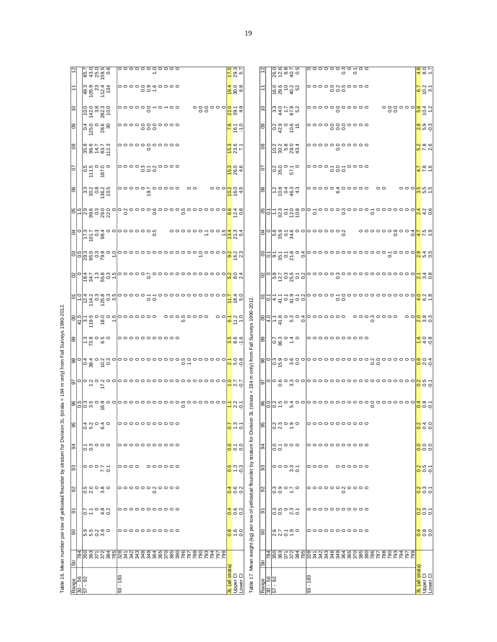|                                         | δĭ                   | ႙ၟ                                                                             | ò                              | 92                                        | ၶ                                        | 94            | 8                             |                                               | 5                                        |                                                      | 99                                                                                  |                                       | ò                                                                                                                             | 8                                                                                                                                                                       |                                        | 3                                                                         |                                    | 8                                                              | 5                                                                                 | 80                  | 80                | S                                     |                                   |                               |
|-----------------------------------------|----------------------|--------------------------------------------------------------------------------|--------------------------------|-------------------------------------------|------------------------------------------|---------------|-------------------------------|-----------------------------------------------|------------------------------------------|------------------------------------------------------|-------------------------------------------------------------------------------------|---------------------------------------|-------------------------------------------------------------------------------------------------------------------------------|-------------------------------------------------------------------------------------------------------------------------------------------------------------------------|----------------------------------------|---------------------------------------------------------------------------|------------------------------------|----------------------------------------------------------------|-----------------------------------------------------------------------------------|---------------------|-------------------|---------------------------------------|-----------------------------------|-------------------------------|
| Range<br>30 - 56<br>57 - 92             | -84                  |                                                                                |                                |                                           |                                          |               |                               |                                               |                                          |                                                      |                                                                                     | <u>ခြင်းမှ ခံ</u><br>ခြင်းမှ ခံ       |                                                                                                                               |                                                                                                                                                                         |                                        |                                                                           |                                    |                                                                |                                                                                   |                     |                   |                                       |                                   |                               |
|                                         |                      |                                                                                |                                |                                           |                                          |               |                               |                                               |                                          |                                                      |                                                                                     |                                       |                                                                                                                               |                                                                                                                                                                         |                                        |                                                                           |                                    |                                                                |                                                                                   |                     |                   |                                       |                                   |                               |
|                                         |                      |                                                                                |                                | o si                                      |                                          |               |                               |                                               |                                          |                                                      |                                                                                     |                                       |                                                                                                                               |                                                                                                                                                                         |                                        |                                                                           |                                    |                                                                |                                                                                   |                     |                   |                                       |                                   |                               |
|                                         |                      |                                                                                |                                |                                           |                                          |               |                               |                                               |                                          |                                                      |                                                                                     |                                       |                                                                                                                               |                                                                                                                                                                         |                                        |                                                                           |                                    |                                                                |                                                                                   |                     |                   |                                       |                                   |                               |
|                                         | និន្លី<br>ខេត្តបន្តិ | o n ci o o<br>ci ci ci ci                                                      | 01<br>01<br>01<br>01<br>01     | 90000<br>ကံ                               | 51<br>01<br>01                           | r nooo<br>oo  | 0 10 10<br>4 10 10<br>4 10 10 |                                               | $\sigma$ $\sigma$ $\vec{a}$ , $\vec{c}$  |                                                      | $\frac{1}{2}$ $\frac{1}{2}$ $\frac{1}{2}$ $\frac{1}{2}$ $\frac{1}{2}$ $\frac{1}{2}$ |                                       |                                                                                                                               |                                                                                                                                                                         |                                        | $\frac{155}{650}$ $\frac{8}{400}$                                         |                                    | n 8 0 8 5<br> u 8 0 8 5<br> u 8 0 8 5                          | $\frac{1}{2}$<br>$\frac{1}{2}$<br>$\frac{1}{2}$<br>$\frac{1}{2}$<br>$\frac{1}{2}$ |                     |                   | 0.0.8<br>142 80.0<br>142 80.0         | a a a a a<br>a a a a a<br>a a a a | 834 x m<br>200 m s<br>200 m s |
|                                         |                      |                                                                                |                                |                                           |                                          |               |                               |                                               |                                          |                                                      |                                                                                     |                                       |                                                                                                                               |                                                                                                                                                                         |                                        |                                                                           |                                    |                                                                |                                                                                   |                     |                   |                                       |                                   |                               |
|                                         |                      |                                                                                |                                |                                           |                                          |               |                               | ဖ <mark>ွ</mark> ေဖြေ့စစ္စစ<br>စစ္ပြဲမွ စစ္စစ |                                          |                                                      |                                                                                     | $\frac{1}{2}$                         | $\frac{1}{2}$ $\frac{1}{4}$ $\frac{1}{4}$ $\frac{1}{5}$ $\frac{1}{6}$ $\frac{1}{6}$ $\frac{1}{6}$ $\frac{1}{6}$ $\frac{1}{6}$ | $\frac{1}{2}$ $\frac{1}{2}$ $\frac{1}{2}$ $\frac{1}{2}$ $\frac{1}{2}$ $\frac{1}{2}$ $\frac{1}{2}$ $\frac{1}{2}$ $\frac{1}{2}$ $\frac{1}{2}$ $\frac{1}{2}$ $\frac{1}{2}$ | ျဖစ္ပြဲ အိမ္က ေတြ<br>အမြန္မာ အိမ္က ေတြ |                                                                           | များဖြစ္ပ်က္ ၁၀၀၀<br>မြန္ပါတီ ၁၀၁၀ |                                                                |                                                                                   |                     |                   |                                       |                                   |                               |
| $93 - 183$                              |                      |                                                                                |                                |                                           |                                          |               |                               |                                               |                                          |                                                      |                                                                                     |                                       |                                                                                                                               |                                                                                                                                                                         |                                        |                                                                           |                                    |                                                                |                                                                                   |                     |                   |                                       |                                   |                               |
|                                         |                      |                                                                                |                                |                                           |                                          |               |                               |                                               |                                          |                                                      |                                                                                     |                                       |                                                                                                                               |                                                                                                                                                                         |                                        |                                                                           |                                    |                                                                |                                                                                   |                     |                   |                                       |                                   |                               |
|                                         |                      |                                                                                |                                | oooooowoooo                               | 。。。                                      | °°°°°°°°°°    |                               |                                               | o o o o o o o o o o o o o o o o o        |                                                      | 。。。。。。。。。。。。                                                                        | $\circ \circ \circ \circ \circ \circ$ | °°° 00000<br>° 00                                                                                                             |                                                                                                                                                                         |                                        |                                                                           |                                    | $\begin{array}{c}\n 000000 \\  0 \\  \hline\n 0\n \end{array}$ |                                                                                   |                     | oooooooooo<br>ooo | $\circ \circ \circ \circ \circ \circ$ | °°°°°°°°                          | 。。。。。。。。。。。。                  |
|                                         |                      |                                                                                |                                |                                           |                                          |               |                               |                                               |                                          |                                                      |                                                                                     |                                       |                                                                                                                               |                                                                                                                                                                         |                                        |                                                                           |                                    |                                                                |                                                                                   |                     |                   |                                       |                                   |                               |
|                                         |                      |                                                                                |                                |                                           |                                          |               |                               |                                               |                                          |                                                      |                                                                                     |                                       |                                                                                                                               |                                                                                                                                                                         |                                        |                                                                           |                                    |                                                                |                                                                                   |                     |                   |                                       |                                   |                               |
|                                         |                      |                                                                                |                                |                                           |                                          |               |                               |                                               |                                          |                                                      |                                                                                     |                                       |                                                                                                                               |                                                                                                                                                                         |                                        |                                                                           |                                    |                                                                |                                                                                   |                     |                   |                                       |                                   |                               |
|                                         |                      |                                                                                |                                |                                           |                                          |               |                               |                                               |                                          |                                                      |                                                                                     |                                       |                                                                                                                               |                                                                                                                                                                         |                                        |                                                                           |                                    |                                                                |                                                                                   |                     |                   |                                       |                                   |                               |
|                                         |                      |                                                                                |                                |                                           | 000000                                   |               |                               |                                               |                                          |                                                      |                                                                                     |                                       |                                                                                                                               |                                                                                                                                                                         |                                        |                                                                           |                                    |                                                                |                                                                                   |                     |                   |                                       |                                   |                               |
|                                         |                      |                                                                                |                                |                                           |                                          |               |                               |                                               |                                          |                                                      |                                                                                     |                                       |                                                                                                                               |                                                                                                                                                                         |                                        |                                                                           |                                    |                                                                |                                                                                   |                     |                   | $\circ$ $\circ$ $\circ$               |                                   |                               |
|                                         |                      |                                                                                |                                |                                           |                                          |               |                               |                                               |                                          |                                                      |                                                                                     |                                       |                                                                                                                               |                                                                                                                                                                         |                                        |                                                                           |                                    |                                                                |                                                                                   |                     |                   |                                       |                                   |                               |
|                                         |                      |                                                                                |                                |                                           |                                          |               |                               |                                               |                                          |                                                      |                                                                                     |                                       |                                                                                                                               |                                                                                                                                                                         |                                        |                                                                           |                                    |                                                                |                                                                                   |                     |                   |                                       |                                   |                               |
|                                         |                      |                                                                                |                                |                                           |                                          |               |                               |                                               |                                          |                                                      |                                                                                     |                                       | $\begin{array}{c} \circ \circ \circ \circ \circ \circ \circ \circ \circ \circ \circ \end{array}$                              |                                                                                                                                                                         |                                        | <u>៰៰៰៰៰៰៰៎៰៰៳៓<mark>៹</mark>៓</u> ៷៷<br>៰៰៰៰៰៰៰៎៰៰៷ <mark>៓៓</mark> ៝៷៓៓ |                                    |                                                                |                                                                                   |                     |                   |                                       |                                   |                               |
|                                         |                      |                                                                                |                                |                                           |                                          |               |                               |                                               |                                          |                                                      |                                                                                     |                                       |                                                                                                                               |                                                                                                                                                                         |                                        |                                                                           |                                    | 00                                                             |                                                                                   |                     |                   |                                       |                                   |                               |
|                                         |                      |                                                                                |                                |                                           |                                          |               |                               |                                               |                                          |                                                      |                                                                                     |                                       |                                                                                                                               |                                                                                                                                                                         |                                        |                                                                           |                                    |                                                                |                                                                                   |                     |                   |                                       |                                   |                               |
|                                         |                      |                                                                                |                                |                                           |                                          |               |                               |                                               |                                          |                                                      |                                                                                     |                                       |                                                                                                                               |                                                                                                                                                                         |                                        |                                                                           |                                    |                                                                |                                                                                   |                     |                   | $\frac{1}{200}$                       |                                   |                               |
|                                         |                      |                                                                                |                                |                                           |                                          |               |                               |                                               |                                          |                                                      |                                                                                     |                                       |                                                                                                                               |                                                                                                                                                                         |                                        |                                                                           |                                    |                                                                |                                                                                   |                     |                   |                                       |                                   |                               |
|                                         |                      |                                                                                |                                |                                           |                                          |               |                               |                                               |                                          |                                                      |                                                                                     |                                       |                                                                                                                               |                                                                                                                                                                         |                                        |                                                                           |                                    |                                                                |                                                                                   |                     |                   |                                       |                                   |                               |
|                                         |                      |                                                                                |                                |                                           |                                          |               |                               |                                               |                                          |                                                      |                                                                                     |                                       |                                                                                                                               |                                                                                                                                                                         |                                        |                                                                           |                                    | $\circ \circ \circ$                                            |                                                                                   |                     |                   |                                       |                                   |                               |
|                                         |                      |                                                                                |                                |                                           |                                          |               |                               |                                               |                                          |                                                      |                                                                                     | $\circ$                               |                                                                                                                               |                                                                                                                                                                         |                                        |                                                                           |                                    |                                                                |                                                                                   |                     |                   |                                       |                                   |                               |
|                                         |                      |                                                                                |                                |                                           |                                          |               |                               |                                               |                                          |                                                      |                                                                                     |                                       |                                                                                                                               |                                                                                                                                                                         | <mark>၀</mark> ပုံ ပုံ<br>၁၉ ပုံ       |                                                                           | 0 0 4 8<br>0 4 8                   |                                                                |                                                                                   |                     |                   |                                       |                                   |                               |
| 3L (all strata)<br>Upper Cl<br>Lower Cl |                      | $\frac{8}{0}$ $\frac{6}{0}$ $\frac{6}{0}$                                      | $\frac{1}{4}$ (0 $\frac{1}{2}$ | $\frac{1}{9}$ $\frac{1}{9}$ $\frac{1}{9}$ | <mark>g</mark> a d<br><mark>p</mark> u d | $\frac{1}{2}$ | $\frac{5}{2}$ $\frac{2}{2}$   | <mark>ے</mark> کا ک                           |                                          | $\frac{1}{20}$<br>$\frac{1}{20}$                     | <mark>ရ</mark> ာဇ် (၁)<br><mark>(၁</mark> ) အ                                       | $\frac{6.1}{11.2}$                    |                                                                                                                               | $\frac{20}{5}$ $\frac{20}{5}$ $\frac{4}{5}$                                                                                                                             |                                        |                                                                           |                                    | $\frac{10.0}{16.4}$                                            | $\frac{15.0}{26.0}$                                                               | $\frac{15.8}{23.6}$ | $rac{6}{161}$     | 28 4.9                                |                                   | $\frac{7.5}{29.3}$            |
|                                         |                      |                                                                                |                                |                                           |                                          |               |                               |                                               | <mark>o</mark> N N<br><mark>-</mark> N Q |                                                      |                                                                                     |                                       | $\frac{1.7}{18.4}$                                                                                                            |                                                                                                                                                                         |                                        |                                                                           |                                    |                                                                |                                                                                   |                     |                   |                                       |                                   |                               |
|                                         |                      | able 17. Mean weight (kg) per tow of yellowtail flounder by stratum for Divisi |                                |                                           |                                          |               | δ                             |                                               |                                          | 3L (strata < 184 m only) from Fall Surveys 1990-2012 |                                                                                     |                                       |                                                                                                                               |                                                                                                                                                                         |                                        |                                                                           |                                    |                                                                |                                                                                   |                     |                   |                                       |                                   |                               |
|                                         | č                    | ξ                                                                              | k                              |                                           | č                                        | k             | č                             |                                               |                                          |                                                      |                                                                                     |                                       |                                                                                                                               |                                                                                                                                                                         |                                        |                                                                           |                                    |                                                                |                                                                                   |                     |                   |                                       |                                   |                               |

|                | Range<br>30 - 56<br>57 - 92 |                                                                                                                                                                                                                                  |                  |          |                |                             | 83 - 183 |      |  |  |             |  |  |         |  |  |                               | 3L ( <mark>all strata)</mark><br>Jpper Cl<br>-ower Cl |  |
|----------------|-----------------------------|----------------------------------------------------------------------------------------------------------------------------------------------------------------------------------------------------------------------------------|------------------|----------|----------------|-----------------------------|----------|------|--|--|-------------|--|--|---------|--|--|-------------------------------|-------------------------------------------------------|--|
| $\overline{5}$ | 784                         |                                                                                                                                                                                                                                  |                  |          |                | 885588887588888888888888888 |          |      |  |  |             |  |  |         |  |  |                               |                                                       |  |
| 8              |                             |                                                                                                                                                                                                                                  | ていいの<br>こくこう     |          |                |                             |          |      |  |  | 0000000000  |  |  |         |  |  |                               | $\frac{1}{4}$ $\frac{1}{8}$ $\frac{1}{9}$             |  |
| ଚ୍ଚ            |                             |                                                                                                                                                                                                                                  | sigont<br>Sigont |          |                |                             |          |      |  |  |             |  |  |         |  |  |                               | <mark>ನ್ನ</mark> ೆ ಬೆ                                 |  |
| S              |                             |                                                                                                                                                                                                                                  | agoro<br>unito   |          |                |                             |          |      |  |  |             |  |  |         |  |  |                               | <mark>ನ್ನ</mark> ೆ ಎ                                  |  |
| ဌ              |                             |                                                                                                                                                                                                                                  |                  | 35<br>35 |                |                             |          | 0000 |  |  | 。。。。。       |  |  |         |  |  |                               | <mark>ង</mark> ២ ។<br><mark>೦</mark> ೦ ೦              |  |
| 34             |                             |                                                                                                                                                                                                                                  | 0 – 0 0 0<br>0 0 |          |                |                             |          |      |  |  | 00000000000 |  |  |         |  |  |                               | ooo<br>ooo                                            |  |
| န္တ            |                             | 0.00000                                                                                                                                                                                                                          |                  |          |                |                             |          |      |  |  | 00000000000 |  |  |         |  |  |                               | $\frac{1}{2}$ o o                                     |  |
|                |                             |                                                                                                                                                                                                                                  |                  |          |                |                             |          |      |  |  |             |  |  |         |  |  |                               | $\frac{1}{4}$ $\frac{1}{8}$ $\frac{1}{2}$             |  |
|                |                             | plogo w oppooooooooooooooooo <mark>ld</mark> od                                                                                                                                                                                  |                  |          |                |                             |          |      |  |  |             |  |  |         |  |  |                               |                                                       |  |
|                |                             |                                                                                                                                                                                                                                  |                  |          |                |                             |          |      |  |  |             |  |  |         |  |  |                               |                                                       |  |
| ၜႜ             |                             |                                                                                                                                                                                                                                  |                  |          |                | 00000000000                 |          |      |  |  |             |  |  |         |  |  |                               | $\frac{6}{10}$ d $\frac{6}{10}$                       |  |
|                |                             | $\frac{1}{\sqrt{1-\frac{1}{6}}\sin \frac{1}{6}}$ $\frac{1}{\cos \frac{1}{6}}$                                                                                                                                                    |                  |          |                |                             |          |      |  |  |             |  |  |         |  |  |                               | ಂ <mark>ಂ</mark> ಂ ಇ ಇ                                |  |
|                |                             | 이 <mark>의</mark> 소측 음료 이                                                                                                                                                                                                         |                  |          |                |                             |          |      |  |  |             |  |  |         |  |  | 00000000000000000<br>00<br>00 | $rac{1}{6}$ $rac{1}{6}$ $rac{1}{6}$                   |  |
|                |                             |                                                                                                                                                                                                                                  |                  |          |                |                             |          |      |  |  |             |  |  |         |  |  |                               |                                                       |  |
|                |                             | $\frac{1}{\sqrt{2}}$                                                                                                                                                                                                             |                  |          |                |                             |          |      |  |  |             |  |  |         |  |  |                               |                                                       |  |
|                |                             |                                                                                                                                                                                                                                  |                  |          |                |                             |          |      |  |  |             |  |  |         |  |  |                               |                                                       |  |
|                |                             | glel e violado e o concelho de la divididad de la concelha de la divididad de la concelha de la concelha de la<br>Referències de la concelho de la concelha de la concelha de la concelha de la concelha de la concelha de la co |                  |          |                |                             |          |      |  |  |             |  |  |         |  |  |                               |                                                       |  |
| 8              |                             | $-5034$                                                                                                                                                                                                                          |                  |          |                |                             |          |      |  |  | $\circ$     |  |  | $\circ$ |  |  |                               | ooo <mark>n</mark> inini<br>→ a <mark>∞</mark>        |  |
| 5              |                             | 0.00000000                                                                                                                                                                                                                       |                  |          |                |                             |          |      |  |  |             |  |  |         |  |  |                               | $\frac{7}{7}$ $\frac{8}{7}$ $\frac{6}{7}$             |  |
| 8              |                             |                                                                                                                                                                                                                                  |                  |          |                |                             |          |      |  |  | 00000000000 |  |  |         |  |  |                               | <mark>∷</mark> ∞ ∞<br><mark>∽</mark> ∧ ∾              |  |
| 80             |                             | 03<br>03<br>04<br>04<br>05                                                                                                                                                                                                       |                  |          |                |                             |          |      |  |  |             |  |  |         |  |  |                               | <mark>္က</mark> တက္<br><mark>လ</mark> ဟု ထု           |  |
| $\tilde{c}$    |                             |                                                                                                                                                                                                                                  |                  |          | 24155<br>24155 |                             |          |      |  |  | 00000000000 |  |  |         |  |  |                               | ooooo <mark>oo</mark> gaa                             |  |
| ŕ              |                             | 0.0<br>0.0002<br>0.0002                                                                                                                                                                                                          |                  |          |                |                             |          |      |  |  |             |  |  |         |  |  |                               | $rac{1}{65}$<br>$rac{2}{3}$                           |  |
| $\approx$      |                             | 0<br>000875<br>00090                                                                                                                                                                                                             |                  |          |                |                             |          |      |  |  |             |  |  |         |  |  |                               | $rac{4}{9}$ $rac{6}{9}$ $rac{1}{7}$                   |  |

| l<br>i                                             |
|----------------------------------------------------|
| ١<br>l                                             |
| i<br>í<br>ì                                        |
| í<br>i<br>l                                        |
| ֖֖֢ׅ֖֖ׅׅׅׅ֖֚֚֚֚֚֚֚֚֚֚֚֚֚֚֚֚֚֚֚֚֚֚֡֝֝֝֝֝֬<br>Ĩ<br>ï |
| l                                                  |
|                                                    |
|                                                    |
|                                                    |
|                                                    |
| Table                                              |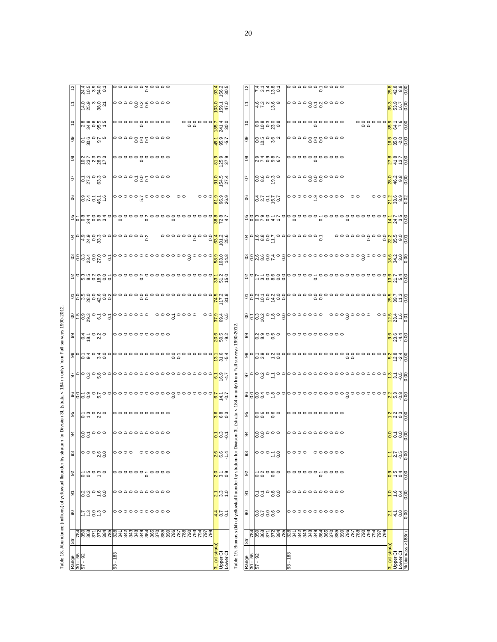|     | 24.5<br>25.9<br>25.95                                                                                                                                                                                                                                                                                               | 00000040000<br>O                                                                                                                                                                                                                                       | $\frac{4}{9}$ or $\frac{1}{9}$<br><mark>ಣೆ</mark> ಟೆ ಐ                                                  |                                                    |                             |                                                                 | $7.4$<br>$1.4$<br>$1.3$<br>$0.1$<br>$0.1$                                                                                                                                                                                                                  |        |      |                     |               |           |         |  |                                         | 88<br>2000<br>2000<br>2000                                                                          |   |
|-----|---------------------------------------------------------------------------------------------------------------------------------------------------------------------------------------------------------------------------------------------------------------------------------------------------------------------|--------------------------------------------------------------------------------------------------------------------------------------------------------------------------------------------------------------------------------------------------------|---------------------------------------------------------------------------------------------------------|----------------------------------------------------|-----------------------------|-----------------------------------------------------------------|------------------------------------------------------------------------------------------------------------------------------------------------------------------------------------------------------------------------------------------------------------|--------|------|---------------------|---------------|-----------|---------|--|-----------------------------------------|-----------------------------------------------------------------------------------------------------|---|
|     | 14.0<br>14.0<br>14.0<br>14.0<br>25.0                                                                                                                                                                                                                                                                                | 00000000000<br>000                                                                                                                                                                                                                                     | $Q = Q$<br><b>8</b><br>8<br>8<br>5                                                                      |                                                    |                             | $47288$<br>$758$                                                |                                                                                                                                                                                                                                                            |        |      | 000                 | °°0000°N 0000 |           |         |  |                                         | $\omega$ $\omega$ $\omega$<br>00 a<br><mark>8</mark> a e e <mark>8</mark><br>8 a e e <mark>8</mark> |   |
|     | 8<br>886656                                                                                                                                                                                                                                                                                                         | 0000000000<br>$\frac{1}{2} \frac{8}{2} \frac{2}{2}$<br>$\frac{8}{2} \frac{2}{2} \frac{1}{2}$<br>$\frac{8}{2} \frac{2}{2}$<br>$\Omega$                                                                                                                  |                                                                                                         |                                                    | OÞ.                         | ၜၜၟၜၟၣၜ<br>ၜၣႍၜၛၜ                                               |                                                                                                                                                                                                                                                            |        |      | $\circ$             | 0000000000    |           |         |  |                                         |                                                                                                     |   |
| 80  | 0.000 to                                                                                                                                                                                                                                                                                                            | 0000000000<br>$\circ\circ\circ$                                                                                                                                                                                                                        | $-$ بن $\overline{ }$<br>$\frac{1}{9}$ $\frac{1}{9}$ $\frac{1}{9}$                                      |                                                    | 80                          | $\frac{1}{2}$                                                   |                                                                                                                                                                                                                                                            |        |      | $\circ \circ \circ$ | 0000000000    |           |         |  |                                         | <mark>္မွ</mark> ီး ၁၉<br>မွန်း                                                                     |   |
| 80  | $27.7$<br>$27.7$<br>$28.7$<br>$29.7$<br>$29.7$                                                                                                                                                                                                                                                                      | 00000000000<br>$\circ$                                                                                                                                                                                                                                 | 00 00 00<br>$\frac{1}{8}$ $\frac{1}{2}$ $\frac{1}{2}$ $\frac{1}{2}$                                     |                                                    | $\frac{8}{6}$               | 0140187<br>017096                                               |                                                                                                                                                                                                                                                            |        |      | $\circ$             |               |           |         |  |                                         | 0<br><mark>si</mark> a ci <mark>si ve</mark><br><mark>si si si</mark> Si                            |   |
| S   | $\frac{1}{2}$ $\frac{1}{2}$ $\frac{1}{2}$ $\frac{1}{2}$ $\frac{1}{2}$ $\frac{1}{2}$ $\frac{1}{2}$ $\frac{1}{2}$                                                                                                                                                                                                     | 000000000000<br>$\circ \circ \circ$                                                                                                                                                                                                                    | 0<br>154.5<br>27.4                                                                                      |                                                    | 70                          | $Q$ $Q$ $Q$ $Q$ $Q$ $Q$ $Q$<br>$\circ$ $\circ$                  | ൗ                                                                                                                                                                                                                                                          |        |      | $\circ\circ\circ$   |               |           |         |  |                                         | <mark>၀</mark> ၀ ဗု ခု<br><mark>၁ </mark> ၀ ဗု ခု                                                   |   |
| 80  | 0.454                                                                                                                                                                                                                                                                                                               | $\circ$<br>$\circ$<br>၀၀၀ <mark>၈</mark> ၈၈<br><mark>စ</mark> စ်စီလ                                                                                                                                                                                    |                                                                                                         |                                                    | 8                           |                                                                 |                                                                                                                                                                                                                                                            |        |      |                     |               |           | $\circ$ |  | ಂಂ <mark>ಗ್ರ</mark> ಜಿ.ಇಂ<br>ನಿಜೆಪಿ ಪುಂ |                                                                                                     |   |
|     |                                                                                                                                                                                                                                                                                                                     | Rologica de la conservación de la conservación de la conservación de la conservación de la conservación de la<br>Referències de la conservación de la conservación de la conservación de la conservación de la conservación de                         | $\frac{8}{20}$ $\frac{1}{4}$                                                                            |                                                    |                             |                                                                 | glouver- e coooo-ooooooooooooo                                                                                                                                                                                                                             |        |      |                     |               |           |         |  |                                         | $\frac{1}{4}$ $\frac{4}{3}$ $\frac{1}{10}$ $\frac{1}{8}$ $\frac{1}{10}$                             |   |
|     | 4408                                                                                                                                                                                                                                                                                                                | $\frac{1}{2}$<br>0000000000 <mark>4</mark> N0<br>ö                                                                                                                                                                                                     | ី <mark>ឳ</mark> ៑ឪ                                                                                     |                                                    |                             |                                                                 | $\sigma$                                                                                                                                                                                                                                                   |        |      |                     |               |           |         |  |                                         |                                                                                                     |   |
|     |                                                                                                                                                                                                                                                                                                                     |                                                                                                                                                                                                                                                        | $\frac{68}{103}$                                                                                        |                                                    |                             |                                                                 |                                                                                                                                                                                                                                                            |        |      |                     |               |           |         |  |                                         |                                                                                                     |   |
|     |                                                                                                                                                                                                                                                                                                                     | glologique o concococococococo <mark>z</mark> ido                                                                                                                                                                                                      | 355                                                                                                     |                                                    |                             |                                                                 |                                                                                                                                                                                                                                                            |        |      |                     |               |           |         |  |                                         |                                                                                                     |   |
|     |                                                                                                                                                                                                                                                                                                                     | <u>ploju do do oj</u><br>Ploju do od od od od od od od od od <mark>ni</mark> vi vi                                                                                                                                                                     | $\frac{1}{4}$ $\approx$ $\approx$                                                                       |                                                    |                             |                                                                 | <u>plod sa fool aan oo oo oo oo oo oo da'da'da</u>                                                                                                                                                                                                         |        |      |                     |               |           |         |  |                                         |                                                                                                     |   |
|     | <mark>ျား</mark> ၁၈၀ - ၁၉၀ - ၁၉၀ - ၁၉၀ - ၁၉၀ - ၁၉၀ - ၁၉၀ - ၁၉၀ - ၁၉၀ - ၁၉၀ - ၁၉၀ - ၁၉၀ - ၁၉၀ - ၁၉၀ - ၁၉၀ - ၁၉၀ - ၁၉၀ - ၁၉၀<br>မြို့သို့                                                                                                                                                                             | 0000000<br>$\frac{1}{2}$                                                                                                                                                                                                                               | $\bigcirc$ $\bigcirc$ $\bigcirc$ $\overline{\bigcirc}$ $\overline{4}$ to<br>$\frac{1}{2}$ $\frac{1}{2}$ |                                                    |                             |                                                                 | $8 - 6$ $10 - 6$ $10 - 6$ $10 - 6$ $10 - 6$ $10 - 6$ $10 - 6$ $10 - 6$ $10 - 6$ $10 - 6$ $10 - 6$ $10 - 6$ $10 - 6$ $10 - 6$ $10 - 6$ $10 - 6$ $10 - 6$ $10 - 6$ $10 - 6$ $10 - 6$ $10 - 6$ $10 - 6$ $10 - 6$ $10 - 6$ $10 - 6$ $10 - 6$ $10 - 6$ $10 - 6$ |        |      |                     |               | 000000000 | $\circ$ |  | $\circ$                                 | $\frac{834}{234}$ $\frac{6}{9}$                                                                     |   |
| 8   | $\frac{4}{3}$ $\frac{5}{3}$ $\frac{6}{3}$ $\frac{6}{3}$ $\frac{1}{3}$ $\frac{6}{3}$ $\frac{1}{3}$ $\frac{1}{3}$ $\frac{1}{3}$ $\frac{1}{3}$ $\frac{1}{3}$ $\frac{1}{3}$ $\frac{1}{3}$ $\frac{1}{3}$ $\frac{1}{3}$ $\frac{1}{3}$ $\frac{1}{3}$ $\frac{1}{3}$ $\frac{1}{3}$ $\frac{1}{3}$ $\frac{1}{3}$ $\frac{1}{3}$ | 0000000000                                                                                                                                                                                                                                             | <mark>ឲ</mark> ចូន<br>សូម សូ                                                                            | surveys 1990-2012                                  | 8                           | $\begin{array}{ccc} 0 & 0 & 0 & 0 \\ 0 & 0 & 0 & 0 \end{array}$ |                                                                                                                                                                                                                                                            |        |      |                     | 0000000000    |           |         |  |                                         | <mark>္တ</mark> ီ ဗံု 4 ခြ                                                                          |   |
|     |                                                                                                                                                                                                                                                                                                                     | g   qu uo   que de cooper de <mark>áti</mark> ture   <mark>que de comptes   que de comptes   que de comptes de comptes de comptes de comptes de comptes de comptes de comptes de comptes de comptes de comptes de comptes de comptes de comptes</mark> |                                                                                                         |                                                    |                             |                                                                 | solding a cooperation of the set of the set of the set of the set of the set of the set of the set o<br>Set of the set of the set of the set of the set of the set of the set of the set of the set of the set of the s                                    |        |      |                     |               |           |         |  |                                         | <mark>စိုး</mark> အို ၁၀<br>မြန်မာ                                                                  |   |
|     | െ ഗ                                                                                                                                                                                                                                                                                                                 | plopäoäoolooooooooooooooool <mark>-</mark> er                                                                                                                                                                                                          | <mark>ල</mark> ලි 4                                                                                     | m only) from Fall                                  |                             |                                                                 |                                                                                                                                                                                                                                                            |        |      |                     |               |           |         |  |                                         |                                                                                                     |   |
|     |                                                                                                                                                                                                                                                                                                                     | $\circ$                                                                                                                                                                                                                                                | $-1$<br>$\frac{1}{2}$ $\frac{1}{2}$                                                                     |                                                    |                             |                                                                 | elolo de la proposación de la desenvación de la de la de la de la de la de la de la de la de la de la de la de<br>La de la de la de la de la de la de la de la de la de la de la de la de la de la de la de la de la de la de la                           |        |      |                     |               |           |         |  |                                         |                                                                                                     |   |
| 85  |                                                                                                                                                                                                                                                                                                                     | 0000000000                                                                                                                                                                                                                                             | $\frac{1}{2}$ ေတြ က<br>က် ဖဲ ဝ                                                                          | 184<br>(strata                                     | 99                          | 0.90000                                                         |                                                                                                                                                                                                                                                            |        |      |                     | 0000000000    |           |         |  |                                         | <mark>ပ္</mark> မွ အခြင့                                                                            | ö |
| 92  | 0.7000                                                                                                                                                                                                                                                                                                              | 00000000000                                                                                                                                                                                                                                            | - $\omega$ -<br>$\frac{1}{2}$                                                                           | ion 3L<br>.<br>w                                   | æ                           |                                                                 |                                                                                                                                                                                                                                                            |        |      |                     | 0000000000    |           |         |  |                                         | <mark>s</mark> asa                                                                                  | ö |
| ခြွ | 。。。。<br>N O                                                                                                                                                                                                                                                                                                         | 0000 000000                                                                                                                                                                                                                                            | $\circ$ $\circ$ $\circ$<br>$\overline{N}$ $\overline{N}$ $\overline{N}$                                 | ä                                                  | 93                          |                                                                 |                                                                                                                                                                                                                                                            |        | 0000 |                     | 000000        |           |         |  |                                         | $\frac{1}{2}$ $\frac{1}{2}$ $\frac{1}{2}$ $\frac{1}{2}$ $\frac{1}{2}$                               |   |
| SS  | $\frac{1}{2}$ is a signal $\frac{1}{2}$                                                                                                                                                                                                                                                                             |                                                                                                                                                                                                                                                        | $\frac{1}{20}$ $\frac{1}{20}$                                                                           |                                                    | 92                          | 50000                                                           |                                                                                                                                                                                                                                                            |        |      |                     | °°°°°°°°°°    |           |         |  |                                         | $\frac{ \mathbf{e} }{ \mathbf{e} }$ is $\frac{ \mathbf{e} }{ \mathbf{e} }$                          |   |
| 6   |                                                                                                                                                                                                                                                                                                                     | 0000000000                                                                                                                                                                                                                                             | $\frac{1}{2}$ $\frac{3}{2}$ $\frac{3}{2}$                                                               |                                                    | 5                           | 55088                                                           |                                                                                                                                                                                                                                                            |        |      |                     | 00000000000   |           |         |  |                                         | <mark>e</mark> e dele                                                                               |   |
| 8   | 7.0000000                                                                                                                                                                                                                                                                                                           |                                                                                                                                                                                                                                                        | $\frac{4}{4}$ $\frac{\infty}{6}$ $\frac{1}{2}$                                                          | Biomass (kt) of yellowtail flounder by stratum for | န္တ                         | $\infty \wedge \infty$<br>0000                                  |                                                                                                                                                                                                                                                            |        |      |                     |               |           |         |  |                                         | <mark>vi</mark> t 3 <mark>8)</mark>                                                                 |   |
|     |                                                                                                                                                                                                                                                                                                                     |                                                                                                                                                                                                                                                        |                                                                                                         |                                                    |                             |                                                                 |                                                                                                                                                                                                                                                            |        |      |                     |               |           |         |  |                                         |                                                                                                     |   |
| 贵   |                                                                                                                                                                                                                                                                                                                     | $-183$                                                                                                                                                                                                                                                 | 3L (all strata)<br>Upper Cl<br>Lower Cl                                                                 | able 19.                                           | ō                           |                                                                 |                                                                                                                                                                                                                                                            | $-183$ |      |                     |               |           |         |  |                                         | <mark>3L (all strata)</mark><br>Upper Cl<br>Lower Cl<br>% biomass >183m                             |   |
|     | Range<br>30 - 56<br>57 - 92                                                                                                                                                                                                                                                                                         | 3                                                                                                                                                                                                                                                      |                                                                                                         |                                                    | Range<br>30 - 56<br>57 - 92 |                                                                 |                                                                                                                                                                                                                                                            | 3      |      |                     |               |           |         |  |                                         |                                                                                                     |   |

Table 18. Abundance (millions) of yellowtail flounder by stratum for Division 3L (strata < 184 m only) from Fall surveys 1990-2012. Table 18. Abundance (millions) of yellow and the stratum of Superson of Abundance of Abundance (millions) of Division 2012.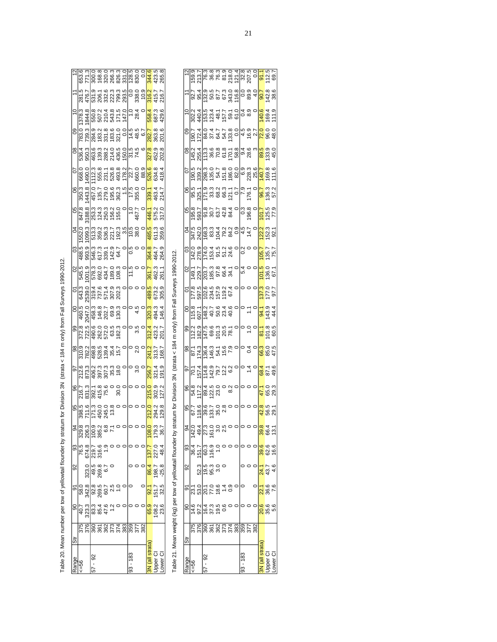| į                     |
|-----------------------|
| l<br>l                |
|                       |
| Ó<br>١                |
|                       |
| i                     |
|                       |
|                       |
| $\overline{a}$        |
|                       |
|                       |
|                       |
|                       |
|                       |
|                       |
| j                     |
|                       |
|                       |
| ֕<br>j<br>:<br>i<br>I |

| 531.9<br>476.7<br>844.8<br>550.8<br>378.3 |                         |                |                | 507.2                                                                     |                | 210.4<br>543.8<br>171.5      |       | 147.0         | 14.5              | 338.0<br>10.9<br>28.4 | $\tilde{\circ}$<br>6.7 | 344.6<br>316.2<br>558.4 | 423.5<br>265.5<br>415.7<br>216.7<br>687.3<br>429.6 |          |
|-------------------------------------------|-------------------------|----------------|----------------|---------------------------------------------------------------------------|----------------|------------------------------|-------|---------------|-------------------|-----------------------|------------------------|-------------------------|----------------------------------------------------|----------|
|                                           | 783.0<br>536.4          | 739.3<br>950.3 | 463.6          | 9<br>8323 900<br>8423 900<br>9000 900                                     |                | 7387436<br>2874365<br>28743  |       | 150.0         | 51 51<br>51<br>74 | 48.5                  |                        | 282.7<br>327.8          | 363.6<br>452.8                                     |          |
|                                           | 668.                    | .490.0         | 112.3          |                                                                           |                | 8511888<br>8518888<br>862887 |       |               |                   | 22.7<br>660.0<br>88.9 |                        | 526.6                   | 634.8<br>418.4                                     |          |
|                                           |                         | 443.8          | 457.0          | 135.7                                                                     |                | 279.0<br>195.3<br>382.3      |       | $\frac{1}{5}$ | 17.5              | 355.0                 |                        | 339.7                   | 463.4                                              | 14.7     |
|                                           |                         | 3188.8         | 253.3<br>124.3 |                                                                           | 250.3          | 156.2                        | 155.0 |               |                   | 467.7                 |                        | 446.1                   | 575.2                                              |          |
|                                           |                         | 099.3          | 513.3          | 359.2                                                                     | 536.3<br>221.7 |                              | 192.3 | 3.5           |                   | 38.0                  |                        | 485.5                   | 611.3                                              | 359.6    |
| S<br>$\delta$                             | 488.9<br>993.9          |                |                | 546.3<br>67.3<br>67.9<br>54.9<br>54.9<br>54.9                             |                |                              |       |               | s<br>O            |                       |                        | 364.8                   | 464.7<br>264.9                                     |          |
|                                           |                         | 001.9          |                | 62420<br>0007<br>0007<br>0007<br>0009                                     |                |                              |       |               | $\frac{5}{1}$     |                       |                        | 361.7                   | 462.3<br>261.1                                     |          |
|                                           | 643.3                   | 2539.0         | 319.4<br>737.6 |                                                                           |                | 571.4<br>302.3<br>202.3      |       |               |                   |                       |                        |                         | 489.3<br>673.9<br>305.9                            |          |
|                                           | 460.5                   | 2047.0         |                | 458.3<br>146.7<br>2005<br>2009                                            |                |                              | 130.3 |               |                   |                       |                        |                         | 320.3<br>494.3<br>146.4                            |          |
|                                           |                         | 372.5<br>722.5 |                |                                                                           |                |                              |       |               |                   |                       |                        |                         | 312.4<br>423.2<br>201.7                            |          |
|                                           |                         |                |                | 782 8<br>88 88 98 97<br>78 98 97 97 97                                    |                |                              |       |               |                   |                       |                        |                         | 241.2<br>313.7<br>168.7                            |          |
|                                           |                         |                |                | စ္ အသြက္ အို အို<br>မိုင္လာတြင္ အို အို အို<br>မိုင္လာတြင္ အို အို အို အိ |                |                              | 18.0  |               |                   |                       |                        |                         | 256.7<br>321.4<br>191.9                            |          |
| 96<br>95                                  | 216.7<br>831.3<br>398.5 | 711.6          |                | 392.1<br>415.8<br>75.6<br>$77.3$<br>450.0<br>4545                         |                |                              |       |               |                   |                       |                        | 212.0                   | 215.0<br>302.9<br>127.2<br>294.2<br>129.8          |          |
|                                           |                         |                |                |                                                                           |                |                              |       |               |                   |                       |                        | 108.0                   | 79.3                                               | .<br>36. |
| 3                                         | 76.5                    | 674.8<br>219.7 |                | 316.6                                                                     |                |                              |       |               |                   |                       |                        | 137.7                   |                                                    | 48.4     |
| $\frac{8}{2}$                             |                         | 323.0          |                | 269.8                                                                     | 55             |                              |       |               |                   |                       |                        | 86.4                    | 198.7                                              | $-25.8$  |
| ρ<br>9                                    | 58.0                    | 342.8          |                | 269.5                                                                     | 60.7           |                              |       |               |                   |                       |                        | $\frac{21}{3}$          | l51.7                                              | 32.5     |
| $\frac{8}{3}$                             | 40.7                    | 323.3          | 83.4<br>85.4   |                                                                           | 47.6           |                              |       |               |                   |                       |                        | 65.9                    | 108.2                                              | 23.6     |
| $\overline{5}$                            | 375<br>376              |                |                | 8527788<br>868578                                                         |                |                              |       |               |                   | 359<br>377<br>382     |                        |                         |                                                    |          |
| Range                                     | <=56                    |                | $57 - 92$      |                                                                           |                |                              |       |               | $93 - 183$        |                       |                        | N (all strata           | pper                                               | wer      |

Table 21. Mean weight (kg) per tow of yellowtail flounder by stratum for Division 3N (strata < 184 m only) from Fall Surveys 1990-2012. Table 21. Mean weight (kg) per tow of yellowtail flounder by stratum for Division 3N (strata < 184 m only) from Fall Surveys 1990-2012.

| 757489723<br>157429723<br>7574297<br>67.7<br>18.6                                                                                                                                                                                                                                                                                                                                              |
|------------------------------------------------------------------------------------------------------------------------------------------------------------------------------------------------------------------------------------------------------------------------------------------------------------------------------------------------------------------------------------------------|
| 93<br>36.4<br>151.7<br>16.9<br>19.9                                                                                                                                                                                                                                                                                                                                                            |
| က္ပ္ကြက္ တဲ့<br>ယူတြဲ မွာ ယူ                                                                                                                                                                                                                                                                                                                                                                   |
| 8<br>8 8 9 9 9<br>8 9 9 9 9<br>$\frac{1}{4}$<br>$\frac{1}{2}$<br>$\frac{1}{2}$<br>$\frac{1}{2}$<br>$\frac{1}{2}$<br>$\frac{1}{2}$<br>$\frac{1}{2}$<br>$\frac{1}{2}$<br>$\frac{1}{2}$<br>$\frac{1}{2}$<br>$\frac{1}{2}$<br>$\frac{1}{2}$<br>$\frac{1}{2}$<br>$\frac{1}{2}$<br>$\frac{1}{2}$<br>$\frac{1}{2}$<br>$\frac{1}{2}$<br>$\frac{1}{2}$<br>4 9 4 9 5 9 9<br>1 9 4 9 5 9 9<br>1 9 4 9 9 9 |
|                                                                                                                                                                                                                                                                                                                                                                                                |
|                                                                                                                                                                                                                                                                                                                                                                                                |
|                                                                                                                                                                                                                                                                                                                                                                                                |
|                                                                                                                                                                                                                                                                                                                                                                                                |
|                                                                                                                                                                                                                                                                                                                                                                                                |
|                                                                                                                                                                                                                                                                                                                                                                                                |
| 24.1<br>43.7<br>$\frac{22.1}{36.6}$                                                                                                                                                                                                                                                                                                                                                            |
| 47.0<br>65.3<br>29.3<br><mark>88</mark><br>583<br>593<br><mark>္က</mark> ် ဖွံ ဗုံ<br>8866<br>886<br>00<br>000<br>000<br>00                                                                                                                                                                                                                                                                    |
| 4.6                                                                                                                                                                                                                                                                                                                                                                                            |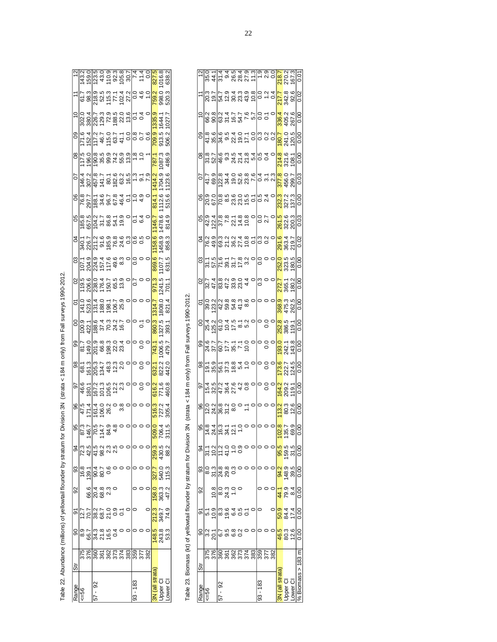| I<br>í<br>$\tilde{c}$<br>l<br>$\frac{1}{2}$<br>i<br>l<br>$\overline{a}$<br>$\vdots$<br>$\vdots$<br>İ<br>Tahle 22<br>$\vdots$ | į<br>ĺ |
|------------------------------------------------------------------------------------------------------------------------------|--------|
|                                                                                                                              |        |
|                                                                                                                              |        |
|                                                                                                                              |        |
|                                                                                                                              |        |
|                                                                                                                              |        |
|                                                                                                                              |        |
|                                                                                                                              |        |
|                                                                                                                              |        |
|                                                                                                                              |        |

| Range         | $56 = 56$            |                                                                                                                                                                                                                                                                                                               | 57 - 92        |                                          |           |  | 93 - 183       |                   |     | 3N (all strata) | Ipper Cl                             | ower (          |  |
|---------------|----------------------|---------------------------------------------------------------------------------------------------------------------------------------------------------------------------------------------------------------------------------------------------------------------------------------------------------------|----------------|------------------------------------------|-----------|--|----------------|-------------------|-----|-----------------|--------------------------------------|-----------------|--|
| Str           |                      |                                                                                                                                                                                                                                                                                                               |                |                                          |           |  |                | 357<br>382<br>382 |     |                 |                                      |                 |  |
| 8             |                      | ∞ (8) 14 12 16 14<br>∞ (8) 14 12 16 16 14<br>∞ 17 10 16 14                                                                                                                                                                                                                                                    |                |                                          |           |  |                |                   |     |                 | <mark>189</mark><br>243<br>253       |                 |  |
| δ             |                      |                                                                                                                                                                                                                                                                                                               |                |                                          |           |  |                |                   |     | 212.3           | 349.7                                | 74.9            |  |
| 92            |                      |                                                                                                                                                                                                                                                                                                               |                | ဖ <mark>ြ</mark> + စ က ဝ<br>ဖွံ့ဝြ စွဲ လ |           |  |                |                   |     | 158.0           | 363.3                                |                 |  |
|               | အ <mark>မြို့</mark> | $\frac{1904}{9080}$                                                                                                                                                                                                                                                                                           |                |                                          |           |  |                |                   |     |                 | 327.7<br>540.3<br>115.3              |                 |  |
| \$            |                      |                                                                                                                                                                                                                                                                                                               |                |                                          |           |  |                |                   |     |                 | <mark>259.</mark><br>2005<br>2008    |                 |  |
|               |                      |                                                                                                                                                                                                                                                                                                               |                |                                          |           |  |                |                   |     |                 | 509.0<br>706.4<br>311.5              |                 |  |
| 96            | 47.5                 | 71.4                                                                                                                                                                                                                                                                                                          | 161.4<br>'06.0 | 26.2                                     | ဝ ထု<br>က |  |                |                   |     | 516.3           |                                      | 305.4           |  |
| 56            | 46.6                 | 180.                                                                                                                                                                                                                                                                                                          |                | 023<br>023323<br>02523                   |           |  |                |                   |     | 616.2           | 771.6<br>460.8                       |                 |  |
|               |                      |                                                                                                                                                                                                                                                                                                               |                |                                          |           |  |                |                   |     | 632.1           | 822.0<br>442.0                       |                 |  |
| <u>ခ</u>      | 81.7                 | <u>០</u> ១. ១. ១. ១. <del>។</del><br>១. ២. ១. ១. ១. ។<br><u>១</u> . ២. ១. ១. ១. ១.                                                                                                                                                                                                                            |                |                                          |           |  |                |                   |     | 743.1           | 006.5                                | 479.7           |  |
| 8             |                      |                                                                                                                                                                                                                                                                                                               |                |                                          |           |  |                |                   |     | 860.3 1314.7    | 1327.5                               | 393.1           |  |
| δ             |                      |                                                                                                                                                                                                                                                                                                               |                |                                          |           |  |                |                   |     |                 | 1808.0<br>821.4                      |                 |  |
| $\infty$      |                      | 5<br>0 6 6 6 6 7 6 9 0<br>0 6 7 6 7 7 9 0<br>0 7 7 7 9 0 7                                                                                                                                                                                                                                                    |                |                                          |           |  | $\overline{0}$ |                   |     | 971.3           | 1241.5                               | 701.1           |  |
| CS            |                      | 1010116603<br>101011660<br>1010116603                                                                                                                                                                                                                                                                         |                |                                          |           |  | ွိ             |                   |     | 869.6           | 107.7                                | 631.5           |  |
| S<br>4        |                      | ಕ್ಷ ಗ್ರಗಳ ಪ್ರತಿ ಪ್ರಸ್ತ<br>ಕಾರ್ಥ ಪ್ರಶಸ್ತಿ<br>ಕಾರ್ಥ ಪ್ರಶಸ್ತಿ ರ                                                                                                                                                                                                                                                  |                |                                          |           |  | 0.5<br>0.0     |                   |     | 158.6           |                                      | 1458.9<br>858.3 |  |
| 8             |                      |                                                                                                                                                                                                                                                                                                               |                |                                          |           |  | 5 व<br>0       |                   |     | 1146.7          |                                      | 1478.6<br>814.9 |  |
| °             |                      |                                                                                                                                                                                                                                                                                                               |                |                                          |           |  |                |                   |     | 814.1           | 112.6                                | 515.6           |  |
| $\frac{2}{3}$ |                      |                                                                                                                                                                                                                                                                                                               |                |                                          |           |  |                |                   |     | 1414.2          | 1704.9                               | 1123.6          |  |
| g             |                      |                                                                                                                                                                                                                                                                                                               |                |                                          |           |  | $\frac{8}{1}$  |                   |     | 787.1           | 1087.3                               | 486.9           |  |
| 80            |                      | $\begin{array}{l} 71.6 \\ 72.4 \\ 17.7 \\ 17.6 \\ 18.7 \\ 19.7 \\ 19.7 \\ 19.7 \\ 10.7 \\ 19.7 \\ 19.7 \\ 19.7 \\ 19.7 \\ 19.7 \\ 19.7 \\ 19.7 \\ 19.7 \\ 19.7 \\ 19.7 \\ 19.7 \\ 19.7 \\ 19.7 \\ 19.7 \\ 19.7 \\ 19.7 \\ 19.7 \\ 19.7 \\ 19.7 \\ 19.7 \\ 19.7 \\ 19.7 \\ 19.7 \\ 19.7 \\ 19.7 \\ 19.7 \\ 19$ |                |                                          |           |  |                |                   | 0.6 | 709.9           | 913.5                                | 506.2           |  |
| $\tilde{=}$   |                      |                                                                                                                                                                                                                                                                                                               |                |                                          |           |  |                |                   |     | 1335.9          |                                      | 1027.7          |  |
|               |                      |                                                                                                                                                                                                                                                                                                               |                |                                          |           |  |                |                   |     |                 | <mark>759.</mark> 3<br>98.3<br>520.3 |                 |  |
| $\frac{1}{2}$ |                      |                                                                                                                                                                                                                                                                                                               |                |                                          |           |  |                |                   |     | 827.5           | 016.8                                | 638.2           |  |

Table 23. Biomass (kt) of yellowtail flounder by stratum for Division 3N (strata < 184 m only) from Fall surveys 1990-2012. Table 23. Biomass (kt) of yellow from your and the stratum for Division 4 determines from Fall surveys 1990-2012.

-l

|                      |          |                                                                                                                                                                                                                                                                                                                     |         | <u>  w 4  w 9 6 6 7 5 L q o</u><br>  m 4  <u>w 9 6 7 5 L q o</u>                                                                                                                                                                                                                                                                                                                             |  |                          |  | 218.7<br>270.2<br>167.3               |                                                  |                                                         |                 |  |
|----------------------|----------|---------------------------------------------------------------------------------------------------------------------------------------------------------------------------------------------------------------------------------------------------------------------------------------------------------------------|---------|----------------------------------------------------------------------------------------------------------------------------------------------------------------------------------------------------------------------------------------------------------------------------------------------------------------------------------------------------------------------------------------------|--|--------------------------|--|---------------------------------------|--------------------------------------------------|---------------------------------------------------------|-----------------|--|
| $\ddot{\phantom{0}}$ |          |                                                                                                                                                                                                                                                                                                                     |         |                                                                                                                                                                                                                                                                                                                                                                                              |  |                          |  | $\frac{17.8}{242.8}$                  |                                                  |                                                         |                 |  |
|                      |          |                                                                                                                                                                                                                                                                                                                     |         |                                                                                                                                                                                                                                                                                                                                                                                              |  |                          |  | 3 <mark>36.4</mark><br>405.2<br>267.6 |                                                  |                                                         | 0.00            |  |
|                      |          |                                                                                                                                                                                                                                                                                                                     |         |                                                                                                                                                                                                                                                                                                                                                                                              |  |                          |  |                                       |                                                  |                                                         |                 |  |
|                      |          |                                                                                                                                                                                                                                                                                                                     |         | ၜ <mark>ႜႜႜႜ</mark> ၜၟ႞ၜၟၑၟၟၯၟၯၟၯၟၣၜၟ<br>ၜႜႜႜႜၜၟ႞ၛၟၣၟၯၟၯၟၣၜၟၣၣ<br>ၜႜႜႜၜ႞ႜၛၣၣၜ                                                                                                                                                                                                                                                                                                                |  |                          |  |                                       |                                                  |                                                         |                 |  |
|                      |          |                                                                                                                                                                                                                                                                                                                     |         |                                                                                                                                                                                                                                                                                                                                                                                              |  |                          |  |                                       |                                                  | 299.7                                                   | 0.03            |  |
|                      |          |                                                                                                                                                                                                                                                                                                                     |         |                                                                                                                                                                                                                                                                                                                                                                                              |  |                          |  |                                       |                                                  | 232.3<br>327.3<br>137.3                                 | $\frac{0}{0}$   |  |
| 80                   |          |                                                                                                                                                                                                                                                                                                                     |         |                                                                                                                                                                                                                                                                                                                                                                                              |  |                          |  |                                       |                                                  | 261.5<br>322.6<br>200.3                                 | <b>0.03</b>     |  |
|                      |          |                                                                                                                                                                                                                                                                                                                     |         |                                                                                                                                                                                                                                                                                                                                                                                              |  |                          |  |                                       |                                                  | <mark>83450</mark><br>8837 <mark>0</mark><br>88700      |                 |  |
|                      |          |                                                                                                                                                                                                                                                                                                                     |         | $\frac{1}{2} \sum_{i=1}^{n} \frac{1}{2} \sum_{i=1}^{n} \frac{1}{2} \sum_{i=1}^{n} \frac{1}{2} \sum_{i=1}^{n} \frac{1}{2} \sum_{i=1}^{n} \frac{1}{2} \sum_{i=1}^{n} \frac{1}{2} \sum_{i=1}^{n} \frac{1}{2} \sum_{i=1}^{n} \frac{1}{2} \sum_{i=1}^{n} \frac{1}{2} \sum_{i=1}^{n} \frac{1}{2} \sum_{i=1}^{n} \frac{1}{2} \sum_{i=1}^{n} \frac{1}{2} \sum_{i=1}^{n$                              |  | 0 0 0<br> 0              |  |                                       |                                                  |                                                         |                 |  |
|                      |          |                                                                                                                                                                                                                                                                                                                     |         | $\sigma$ $\alpha$ $\beta$ $\alpha$ $\beta$ $\alpha$ $\beta$ $\alpha$ $\beta$ $\alpha$ $\beta$ $\alpha$ $\beta$ $\alpha$ $\beta$ $\alpha$ $\beta$ $\alpha$ $\beta$ $\alpha$ $\beta$ $\alpha$ $\beta$ $\alpha$ $\beta$ $\alpha$ $\beta$ $\alpha$ $\beta$ $\alpha$ $\beta$ $\alpha$ $\beta$ $\alpha$ $\beta$ $\alpha$ $\beta$ $\alpha$ $\beta$ $\alpha$ $\beta$ $\alpha$ $\beta$ $\alpha$ $\$   |  |                          |  |                                       |                                                  | 272.1<br>365.1<br>90.00<br>0.00                         |                 |  |
|                      |          |                                                                                                                                                                                                                                                                                                                     |         |                                                                                                                                                                                                                                                                                                                                                                                              |  |                          |  |                                       |                                                  | 368.9<br>475.3<br>262.5                                 | 0.00            |  |
|                      |          |                                                                                                                                                                                                                                                                                                                     |         | $\begin{array}{c}  g _{\alpha} \overline{\zeta_{0}} \mathop{\triangle}\limits_{\alpha} \overline{\zeta_{0}} \in \mathop{\mathcal{L}}\limits_{\alpha} \mathop{\mathcal{L}}\limits_{\alpha} \mathop{\mathcal{L}}\limits_{\alpha} \mathop{\mathcal{L}}\limits_{\alpha} \left  \mathop{\mathcal{L}}\limits_{\alpha} \mathop{\mathcal{L}}\limits_{\alpha} \right  > 0 \end{array}$                |  |                          |  |                                       | 252.8<br>386.5                                   | 19.                                                     |                 |  |
|                      |          |                                                                                                                                                                                                                                                                                                                     |         |                                                                                                                                                                                                                                                                                                                                                                                              |  |                          |  |                                       |                                                  | 1 <mark>93.0</mark><br>242.8<br>143.8                   |                 |  |
|                      |          |                                                                                                                                                                                                                                                                                                                     |         |                                                                                                                                                                                                                                                                                                                                                                                              |  |                          |  |                                       |                                                  | 173.6<br>222.7<br>124.5                                 | ŏs              |  |
|                      |          |                                                                                                                                                                                                                                                                                                                     |         | $\frac{1}{2} \frac{1}{2} \frac{1}{2} \frac{1}{2} \frac{1}{2} \frac{1}{2} \frac{1}{2} \frac{1}{2} \frac{1}{2} \frac{1}{2} \frac{1}{2} \frac{1}{2} \frac{1}{2} \frac{1}{2} \frac{1}{2} \frac{1}{2} \frac{1}{2} \frac{1}{2} \frac{1}{2} \frac{1}{2} \frac{1}{2} \frac{1}{2} \frac{1}{2} \frac{1}{2} \frac{1}{2} \frac{1}{2} \frac{1}{2} \frac{1}{2} \frac{1}{2} \frac{1}{2} \frac{1}{2} \frac{$ |  | $\overline{\phantom{a}}$ |  | 164.2                                 |                                                  | 209.2                                                   |                 |  |
|                      |          |                                                                                                                                                                                                                                                                                                                     |         |                                                                                                                                                                                                                                                                                                                                                                                              |  | $\circ$ $\circ$ $\circ$  |  | 13.2                                  |                                                  | $\frac{3}{200}$                                         |                 |  |
|                      |          |                                                                                                                                                                                                                                                                                                                     |         |                                                                                                                                                                                                                                                                                                                                                                                              |  |                          |  |                                       |                                                  |                                                         | 00.             |  |
| g<br>2               |          |                                                                                                                                                                                                                                                                                                                     |         |                                                                                                                                                                                                                                                                                                                                                                                              |  |                          |  |                                       |                                                  | <mark>်မှ</mark> ာ ကို ကို<br><mark>တို့</mark> ကို ကို | 0.00            |  |
|                      |          | စ္တုိ အို <mark>အို အို အို</mark><br>အို အို အို အို ၁                                                                                                                                                                                                                                                             |         |                                                                                                                                                                                                                                                                                                                                                                                              |  |                          |  | 94.2                                  |                                                  | 148.9<br>39.5                                           | 0.00            |  |
| $\approx$            |          | $\frac{1}{2}$ $\frac{1}{2}$ $\frac{1}{2}$ $\frac{1}{2}$ $\frac{1}{2}$ $\frac{1}{2}$ $\frac{1}{2}$ $\frac{1}{2}$ $\frac{1}{2}$ $\frac{1}{2}$ $\frac{1}{2}$ $\frac{1}{2}$ $\frac{1}{2}$ $\frac{1}{2}$ $\frac{1}{2}$ $\frac{1}{2}$ $\frac{1}{2}$ $\frac{1}{2}$ $\frac{1}{2}$ $\frac{1}{2}$ $\frac{1}{2}$ $\frac{1}{2}$ |         |                                                                                                                                                                                                                                                                                                                                                                                              |  |                          |  |                                       | $\frac{4}{10}$<br>0 3 4<br>2 9 4                 |                                                         | 3.00            |  |
|                      |          |                                                                                                                                                                                                                                                                                                                     |         | စာ <mark>ပြင် ဖြစ် စုံ စုံ ၁ ၁</mark><br>ရက် ၁ <mark>၈ စုံ စုံ စုံ</mark> ၁ ၁                                                                                                                                                                                                                                                                                                                |  |                          |  |                                       | $\frac{847}{944}$                                |                                                         | $\frac{0}{0}$   |  |
|                      |          |                                                                                                                                                                                                                                                                                                                     |         | <mark>ခ</mark> ါကို ဘိုင်္ဂြိဳက္ခံ အို တို<br>ခါကို ခိုင္ပြဲ စံုစံုတဲ့                                                                                                                                                                                                                                                                                                                       |  |                          |  |                                       | <mark>မ</mark> ္မာ မဲ အိ<br><mark>(၁</mark> ) မိ |                                                         | 0.00            |  |
| $rac{1}{3}$          |          |                                                                                                                                                                                                                                                                                                                     |         |                                                                                                                                                                                                                                                                                                                                                                                              |  |                          |  |                                       |                                                  |                                                         |                 |  |
| Range                | $56 = 5$ |                                                                                                                                                                                                                                                                                                                     | 57 - 92 |                                                                                                                                                                                                                                                                                                                                                                                              |  | $93 - 183$               |  | N (all strata)                        | Ipper CI                                         | ower CI                                                 | Biomass > 183 m |  |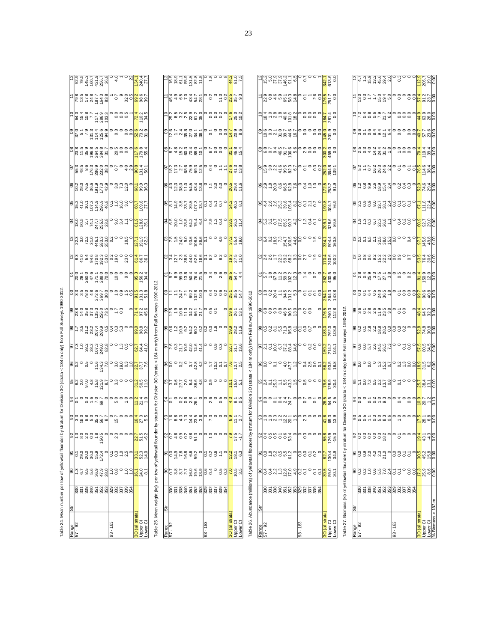| į                                       |
|-----------------------------------------|
| $\ddot{\phantom{0}}$                    |
|                                         |
| l<br>I                                  |
| į                                       |
| <br>í<br>Į                              |
| ċ                                       |
| an OC follows:                          |
|                                         |
| l                                       |
|                                         |
|                                         |
|                                         |
|                                         |
|                                         |
|                                         |
|                                         |
|                                         |
|                                         |
| i<br>֚֚֚֚֚֚֚֚֚֚֚֚֚֚֚֚֚֚֚֞֝֝֝֝֝֝֝֝֝֝֬֝֝֬ |
|                                         |
| Table 24.                               |
|                                         |

Ŀ

|                  |                                        | <u>Lista de la condice l'a</u><br>Lista de la condice l'algebre<br>Lista de la condice l'<br><b>SURFACE SURFACE</b><br>SURFACE SURFACE SURFACE<br>SURFACE SURFACE<br>sortaria e e e <mark>qu</mark> rz<br>Sortaria e e e <mark>qu</mark> rz<br>Sortaria e e e e e e e e e                                                                                                                                                                                                    |                                                      |                              | $\left[\begin{array}{c} \left  \begin{array}{c} \alpha & \beta \\ \gamma & \gamma \end{array} \right _{\mathcal{G}} \left  \begin{array}{c} \alpha & \beta \\ \gamma & \gamma \end{array} \right _{\mathcal{G}} \left  \begin{array}{c} \alpha & \beta \\ \gamma & \gamma \end{array} \right _{\mathcal{G}} \left  \begin{array}{c} \alpha & \beta \\ \gamma & \gamma \end{array} \right _{\mathcal{G}} \left  \begin{array}{c} \alpha \\ \gamma & \gamma \end{array} \right _{\mathcal{G}} \left  \begin{array}{c} \alpha \\ \gamma & \gamma \end{array} \right _{\mathcal{G}} \$<br>$\left[\begin{array}{ccc c}\n\text{S1} & \text{S2} & \text{S3} & \text{S4} & \text{S5} & \text{S6} & \text{S7} & \text{S8} \\ \text{S1} & \text{S2} & \text{S3} & \text{S4} & \text{S5} & \text{S7} & \text{S8} & \text{S8} \\ \text{S2} & \text{S3} & \text{S4} & \text{S5} & \text{S6} & \text{S7} & \text{S8} & \text{S8} & \text{S8} & \text{S8} \\ \text{S1} & \text{S2} & \text{S3} & \text{S4$<br>$\frac{1}{\sqrt{2}}$ |        |                                                      |                                                          | $\frac{1}{8882252226}$                                                                                                                                                                                                                                                                                                                                                                                                                                                                                                                                                           |              |                                                      |                                | List List of Oberation List List<br>List List de la col <mark>e</mark> rnie<br>List de la cole d <mark>e</mark> list list<br>$\frac{1}{6}$ $\frac{1}{2}$ $\frac{1}{2}$ $\frac{1}{2}$ $\frac{1}{2}$ $\frac{1}{2}$ $\frac{1}{2}$ $\frac{1}{2}$ $\frac{1}{2}$ $\frac{1}{2}$ $\frac{1}{2}$ $\frac{1}{2}$ $\frac{1}{2}$ $\frac{1}{2}$ $\frac{1}{2}$ $\frac{1}{2}$ $\frac{1}{2}$ $\frac{1}{2}$ $\frac{1}{2}$ $\frac{1}{2}$ $\frac{1}{2}$ $\frac{1}{2}$                                                                                                                                                  |              |                                                      |
|------------------|----------------------------------------|------------------------------------------------------------------------------------------------------------------------------------------------------------------------------------------------------------------------------------------------------------------------------------------------------------------------------------------------------------------------------------------------------------------------------------------------------------------------------|------------------------------------------------------|------------------------------|---------------------------------------------------------------------------------------------------------------------------------------------------------------------------------------------------------------------------------------------------------------------------------------------------------------------------------------------------------------------------------------------------------------------------------------------------------------------------------------------------------------------------------------------------------------------------------------------------------------------------------------------------------------------------------------------------------------------------------------------------------------------------------------------------------------------------------------------------------------------------------------------------------------------------------------------------------------------------------------------------------------------|--------|------------------------------------------------------|----------------------------------------------------------|----------------------------------------------------------------------------------------------------------------------------------------------------------------------------------------------------------------------------------------------------------------------------------------------------------------------------------------------------------------------------------------------------------------------------------------------------------------------------------------------------------------------------------------------------------------------------------|--------------|------------------------------------------------------|--------------------------------|---------------------------------------------------------------------------------------------------------------------------------------------------------------------------------------------------------------------------------------------------------------------------------------------------------------------------------------------------------------------------------------------------------------------------------------------------------------------------------------------------------------------------------------------------------------------------------------------------|--------------|------------------------------------------------------|
|                  |                                        | gland and a long on the parties of the parties of the parties of the parties of the parties of the parties of t<br>Supplies the parties of the parties of the parties of the parties of the parties of the parties of the parties                                                                                                                                                                                                                                            |                                                      |                              | $\frac{1}{2}$ $\frac{1}{2}$ $\frac{1}{2}$ $\frac{1}{2}$ $\frac{1}{2}$ $\frac{1}{2}$ $\frac{1}{2}$ $\frac{1}{2}$ $\frac{1}{2}$ $\frac{1}{2}$ $\frac{1}{2}$ $\frac{1}{2}$ $\frac{1}{2}$ $\frac{1}{2}$ $\frac{1}{2}$ $\frac{1}{2}$ $\frac{1}{2}$ $\frac{1}{2}$ $\frac{1}{2}$ $\frac{1}{2}$ $\frac{1}{2}$ $\frac{1}{2}$<br><u>postage de la descritación</u>                                                                                                                                                                                                                                                                                                                                                                                                                                                                                                                                                                                                                                                            |        |                                                      |                                                          |                                                                                                                                                                                                                                                                                                                                                                                                                                                                                                                                                                                  |              |                                                      |                                |                                                                                                                                                                                                                                                                                                                                                                                                                                                                                                                                                                                                   |              |                                                      |
|                  |                                        | eld d'aniera de la de la de la de la de la de la de la de la de la de la de<br>La de la de la de la de la de la de la de la de la de la de la de la de la de la de la de la de la de la de la                                                                                                                                                                                                                                                                                |                                                      |                              | $\left  \frac{1}{2} \right $ $\left  \frac{4}{3} \right $ $\left  \frac{5}{3} \right $ $\left  \frac{4}{3} \right $ $\left  \frac{5}{3} \right $ $\left  \frac{5}{3} \right $ $\left  \frac{5}{3} \right $ $\left  \frac{5}{3} \right $ $\left  \frac{5}{3} \right $ $\left  \frac{5}{3} \right $ $\left  \frac{5}{3} \right $ $\left  \frac{5}{3} \right $ $\left  \frac{5}{3} \right $ $\left  \frac{5}{3} \right$                                                                                                                                                                                                                                                                                                                                                                                                                                                                                                                                                                                                |        |                                                      |                                                          |                                                                                                                                                                                                                                                                                                                                                                                                                                                                                                                                                                                  |              |                                                      |                                |                                                                                                                                                                                                                                                                                                                                                                                                                                                                                                                                                                                                   |              |                                                      |
|                  |                                        | 8  2223  223  222 <br>  2223  223  223  222 <br>  2223  232  232 <br>don't ringloog t - o <mark>n</mark> ger<br>algebrirgelese - <mark>s</mark> ed<br>algebrirgelese - onge                                                                                                                                                                                                                                                                                                  |                                                      |                              | $\frac{1}{2}$ $\frac{1}{2}$ $\frac{1}{2}$ $\frac{1}{2}$ $\frac{1}{2}$ $\frac{1}{2}$ $\frac{1}{2}$ $\frac{1}{2}$ $\frac{1}{2}$ $\frac{1}{2}$ $\frac{1}{2}$ $\frac{1}{2}$ $\frac{1}{2}$ $\frac{1}{2}$ $\frac{1}{2}$ $\frac{1}{2}$ $\frac{1}{2}$ $\frac{1}{2}$ $\frac{1}{2}$ $\frac{1}{2}$ $\frac{1}{2}$ $\frac{1}{2}$ $\frac{1}{2}$ $\frac{1}{2}$ $\frac{1$                                                                                                                                                                                                                                                                                                                                                                                                                                                                                                                                                                                                                                                           |        |                                                      |                                                          | $\frac{1}{8}$ $\frac{4}{4}$ $\frac{4}{8}$ $\frac{6}{8}$ $\frac{8}{8}$ $\frac{6}{8}$ $\frac{6}{8}$ $\frac{1}{8}$ $\frac{6}{8}$ $\frac{6}{8}$ $\frac{1}{8}$ $\frac{6}{8}$ $\frac{6}{8}$ $\frac{6}{8}$ $\frac{6}{8}$ $\frac{6}{8}$ $\frac{6}{8}$ $\frac{6}{8}$ $\frac{6}{8}$ $\frac{6}{8}$ $\frac{6}{8}$ $\frac{6}{8}$                                                                                                                                                                                                                                                              |              |                                                      |                                |                                                                                                                                                                                                                                                                                                                                                                                                                                                                                                                                                                                                   |              |                                                      |
|                  |                                        | <u>oldisch de discussion de discussion de discussion de discussion de discussion de discussion de discussion de d</u><br>Discussion de discussion de discussion de discussion de discussion de discussion de discussion de discussion                                                                                                                                                                                                                                        |                                                      |                              | $\frac{1}{\sqrt{2}}$ $\frac{1}{2}$ $\frac{1}{2}$ $\frac{1}{2}$ $\frac{1}{2}$ $\frac{1}{2}$ $\frac{1}{2}$ $\frac{1}{2}$ $\frac{1}{2}$ $\frac{1}{2}$ $\frac{1}{2}$ $\frac{1}{2}$ $\frac{1}{2}$ $\frac{1}{2}$ $\frac{1}{2}$ $\frac{1}{2}$ $\frac{1}{2}$ $\frac{1}{2}$ $\frac{1}{2}$ $\frac{1}{2}$ $\frac{1}{2}$ $\frac{1}{2}$                                                                                                                                                                                                                                                                                                                                                                                                                                                                                                                                                                                                                                                                                          |        |                                                      |                                                          | $\begin{array}{r} \n\text{log 6} \\ \text{log 6} \\ \text{log 6} \\ \text{log 6} \\ \text{log 6} \\ \text{log 6} \\ \text{log 6} \\ \text{log 6} \\ \text{log 6} \\ \text{log 6} \\ \text{log 6} \\ \text{log 6} \\ \text{log 6} \\ \text{log 6} \\ \text{log 6} \\ \text{log 6} \\ \text{log 6} \\ \text{log 6} \\ \text{log 6} \\ \text{log 6} \\ \text{log 6} \\ \text{log 6} \\ \text{log 6} \\ \text{log 6} \\ \text{log 6} \\ \text{log 6} \\ \text{$                                                                                                                      |              |                                                      |                                | $\frac{1}{2}$ $\frac{1}{2}$ $\frac{1}{2}$ $\frac{1}{2}$ $\frac{1}{2}$ $\frac{1}{2}$ $\frac{1}{2}$ $\frac{1}{2}$ $\frac{1}{2}$ $\frac{1}{2}$ $\frac{1}{2}$ $\frac{1}{2}$ $\frac{1}{2}$ $\frac{1}{2}$ $\frac{1}{2}$ $\frac{1}{2}$ $\frac{1}{2}$ $\frac{1}{2}$ $\frac{1}{2}$ $\frac{1}{2}$ $\frac{1}{2}$ $\frac{1}{2}$ $\frac{1}{2}$ $\frac{1}{2}$ $\frac{1$<br>gical estivato o gical de la colonidad de la colonidad de la colonidad de la colonidad de la colonidad de la c<br>Distritta de la colonidad de la colonidad de la colonidad de la colonidad de la colonidad de la colonidad de l<br> |              |                                                      |
|                  |                                        | ploster and be a series of the series of the planet of the series of the series of the series of the series of<br>Ploster and be a series of the series of the series of the series of the series of the series of the series of<br><br>gland and the state of the state of the state of the state of the state of the state of the state of the state<br>Shand and the state of the state of the state of the state of the state of the state of the state of the state<br> |                                                      |                              | <u>ologographyl</u> w gladia<br>8555388903389 <mark>85</mark>                                                                                                                                                                                                                                                                                                                                                                                                                                                                                                                                                                                                                                                                                                                                                                                                                                                                                                                                                       |        |                                                      | $-2012$                                                  |                                                                                                                                                                                                                                                                                                                                                                                                                                                                                                                                                                                  |              |                                                      |                                |                                                                                                                                                                                                                                                                                                                                                                                                                                                                                                                                                                                                   |              |                                                      |
|                  |                                        |                                                                                                                                                                                                                                                                                                                                                                                                                                                                              |                                                      |                              |                                                                                                                                                                                                                                                                                                                                                                                                                                                                                                                                                                                                                                                                                                                                                                                                                                                                                                                                                                                                                     |        |                                                      | eys 199<br>Falls                                         |                                                                                                                                                                                                                                                                                                                                                                                                                                                                                                                                                                                  |              |                                                      | 90-2012                        | <u>solo e quando e que e el e</u>                                                                                                                                                                                                                                                                                                                                                                                                                                                                                                                                                                 |              |                                                      |
|                  |                                        | plu <i>a sub di</i> glo a di glo a t<br>Plu a sub di glo a di glo a di glo a t<br>Plu a sub di glo a di glo a di glo a di glo a di glo a di glo a di glo a di glo a di glo a di glo a di glo a d                                                                                                                                                                                                                                                                             |                                                      | from<br>ε                    | eles seggedo es <mark>gr</mark> es                                                                                                                                                                                                                                                                                                                                                                                                                                                                                                                                                                                                                                                                                                                                                                                                                                                                                                                                                                                  |        |                                                      | only)                                                    | $\frac{1}{2}$ $\frac{1}{2}$ $\frac{1}{2}$ $\frac{1}{2}$ $\frac{1}{2}$ $\frac{1}{2}$ $\frac{1}{2}$ $\frac{1}{2}$ $\frac{1}{2}$ $\frac{1}{2}$ $\frac{1}{2}$ $\frac{1}{2}$ $\frac{1}{2}$ $\frac{1}{2}$ $\frac{1}{2}$ $\frac{1}{2}$ $\frac{1}{2}$ $\frac{1}{2}$ $\frac{1}{2}$ $\frac{1}{2}$ $\frac{1}{2}$ $\frac{1}{2}$                                                                                                                                                                                                                                                              |              |                                                      |                                | <u>gloonustaar</u><br><mark> elender</mark> oonustaar <mark>d</mark> e                                                                                                                                                                                                                                                                                                                                                                                                                                                                                                                            |              |                                                      |
|                  |                                        | egla d'Arabitique de la partida de la partida de la partida de la partida de la partida de la partida de la pa<br>Regista de la partida de la partida de la partida de la partida de la partida de la partida de la partida de l                                                                                                                                                                                                                                             |                                                      |                              |                                                                                                                                                                                                                                                                                                                                                                                                                                                                                                                                                                                                                                                                                                                                                                                                                                                                                                                                                                                                                     |        |                                                      | 3O (strat                                                | $\begin{vmatrix} 8 & 8 & 8 & 8 & 8 \ 8 & 8 & 8 & 8 & 8 \ 8 & 8 & 8 & 8 & 8 \ 8 & 8 & 8 & 8 & 8 \ \end{vmatrix}$<br>$\begin{array}{r l}  {\bf e}  & {\bf e} & {\bf e} & {\bf e} \\  {\bf e}  & {\bf e} & {\bf e} & {\bf e} \\  {\bf e}  & {\bf e} & {\bf e} & {\bf e} \\  {\bf e}  & {\bf e} & {\bf e} & {\bf e} \\  {\bf e}   & {\bf e} & {\bf e} & {\bf e} \\  {\bf e}   & {\bf e} & {\bf e} & {\bf e} \\  {\bf e}   & {\bf e} & {\bf e} & {\bf e} \\  {\bf e}   & {\bf e} & {\bf e} & {\bf e} \\  {\bf e}   & {\bf e} & {\bf e} & {\bf e} & {\bf e} \\  {\bf e}   & {\bf e} &$ |              |                                                      |                                | $\frac{8}{8}$ $\frac{1}{2}$ $\frac{3}{2}$ $\frac{6}{2}$ $\frac{6}{2}$ $\frac{6}{2}$ $\frac{6}{2}$ $\frac{6}{2}$ $\frac{6}{2}$ $\frac{1}{2}$ $\frac{6}{2}$ $\frac{6}{2}$ $\frac{6}{2}$ $\frac{1}{2}$ $\frac{6}{2}$                                                                                                                                                                                                                                                                                                                                                                                 |              |                                                      |
|                  |                                        | glo otro la tradición de la contrata del de la contrata del contro de la contrata del contro de la contro de l<br>Altra de la contro de la contro de la col <mark>ida</mark> de la colla de la colla de la colla de la colla de la colla de l<br>ျဖစ္ပြဲ အမွတ္တို႔ ေတြက ေတြကို ေပး<br>အျပစ္ပြဲ အမွတ္တို႔ ေတြက ေတြက ေပး                                                                                                                                                       |                                                      | by stratu                    |                                                                                                                                                                                                                                                                                                                                                                                                                                                                                                                                                                                                                                                                                                                                                                                                                                                                                                                                                                                                                     |        |                                                      | ratum fo                                                 |                                                                                                                                                                                                                                                                                                                                                                                                                                                                                                                                                                                  |              |                                                      |                                | $\frac{1}{2}$ $\frac{1}{2}$ $\frac{1}{2}$ $\frac{1}{2}$ $\frac{1}{2}$ $\frac{1}{2}$ $\frac{1}{2}$ $\frac{1}{2}$ $\frac{1}{2}$ $\frac{1}{2}$ $\frac{1}{2}$ $\frac{1}{2}$ $\frac{1}{2}$ $\frac{1}{2}$ $\frac{1}{2}$ $\frac{1}{2}$ $\frac{1}{2}$ $\frac{1}{2}$ $\frac{1}{2}$ $\frac{1}{2}$ $\frac{1}{2}$ $\frac{1}{2}$                                                                                                                                                                                                                                                                               |              |                                                      |
|                  | elessessis<br><mark>elessessi</mark> s | $\begin{picture}(180,10) \put(0,0){\line(1,0){15}} \put(10,0){\line(1,0){15}} \put(10,0){\line(1,0){15}} \put(10,0){\line(1,0){15}} \put(10,0){\line(1,0){15}} \put(10,0){\line(1,0){15}} \put(10,0){\line(1,0){15}} \put(10,0){\line(1,0){15}} \put(10,0){\line(1,0){15}} \put(10,0){\line(1,0){15}} \put(10,0){\line(1,0){15}} \put(10,0){\line($<br>coccoco <mark>co</mark><br> <br> coccoco <mark>co</mark> co                                                           |                                                      | per tow of yellowtail flound |                                                                                                                                                                                                                                                                                                                                                                                                                                                                                                                                                                                                                                                                                                                                                                                                                                                                                                                                                                                                                     |        |                                                      |                                                          | <u>b</u> ocone e populario <mark>(</mark>                                                                                                                                                                                                                                                                                                                                                                                                                                                                                                                                        |              | 82.4<br>130.4<br>34.9                                | stratum                        | pooutur oooo                                                                                                                                                                                                                                                                                                                                                                                                                                                                                                                                                                                      |              | າ <mark>ທ</mark> ຊຶ່ນ ສ່ອງ<br><mark>ສ</mark> ິສສິສ   |
|                  |                                        | ႜၜ႞ၣၛၟၟၛၟၣၛၟၣၛၟၣၛႜႜၜႜႜၛၣ<br>ႜၜ႞ၣၛၟၣၛၟၣၣၜၣၣၣၣၣၣၣၣၣၣၣၣၣၣၣၣၣၣၣႜႜႜႜႜႜႜႜႜႜ                                                                                                                                                                                                                                                                                                                                                                                                        |                                                      |                              | ျှေဝယ္ထမ်းသို့တို့တွင် ဝတ္ထ <mark>ာ ဝိ</mark> မိုးမယ်<br>များများ များများ များများ များများ                                                                                                                                                                                                                                                                                                                                                                                                                                                                                                                                                                                                                                                                                                                                                                                                                                                                                                                        |        |                                                      | Table 26. Abundance (millions) of yellowtail flounder by | society contraction of the sea                                                                                                                                                                                                                                                                                                                                                                                                                                                                                                                                                   |              |                                                      | (kt) of yellowtail flounder by |                                                                                                                                                                                                                                                                                                                                                                                                                                                                                                                                                                                                   |              |                                                      |
| ŏ                |                                        | ន្ត្រី និង ក្នុង ក្នុង ក្នុង ក្នុង ក្នុង                                                                                                                                                                                                                                                                                                                                                                                                                                     |                                                      | Table 25. Mean weight (kg)   | និងមិនមិនមិនមិនមិនមិន                                                                                                                                                                                                                                                                                                                                                                                                                                                                                                                                                                                                                                                                                                                                                                                                                                                                                                                                                                                               |        |                                                      |                                                          | និងមន្ត្រីប្លូងប្លូងប្អូនមួ                                                                                                                                                                                                                                                                                                                                                                                                                                                                                                                                                      |              |                                                      | <b>Biomass</b>                 | ន្ទ្រីន្ទ្ទីក្នុងនាំនួនដូច្នូ                                                                                                                                                                                                                                                                                                                                                                                                                                                                                                                                                                     |              |                                                      |
| Range<br>57 - 92 |                                        | $-183$<br>S.                                                                                                                                                                                                                                                                                                                                                                                                                                                                 | <mark>3O (all strata)</mark><br>Upper Cl<br>Lower Cl |                              | Range<br>57 - 92                                                                                                                                                                                                                                                                                                                                                                                                                                                                                                                                                                                                                                                                                                                                                                                                                                                                                                                                                                                                    | $-183$ | <mark>3O (all strata)</mark><br>Upper Cl<br>Lower Cl |                                                          | Range<br>57 - 92                                                                                                                                                                                                                                                                                                                                                                                                                                                                                                                                                                 | $-183$<br>ခြ | <mark>3O (all strata)</mark><br>Upper Cl<br>Lower Cl | Table 27.                      | Range<br>57 - 92                                                                                                                                                                                                                                                                                                                                                                                                                                                                                                                                                                                  | $-183$<br>63 | <mark>3O (all strata)</mark><br>Upper Cl<br>Lower Cl |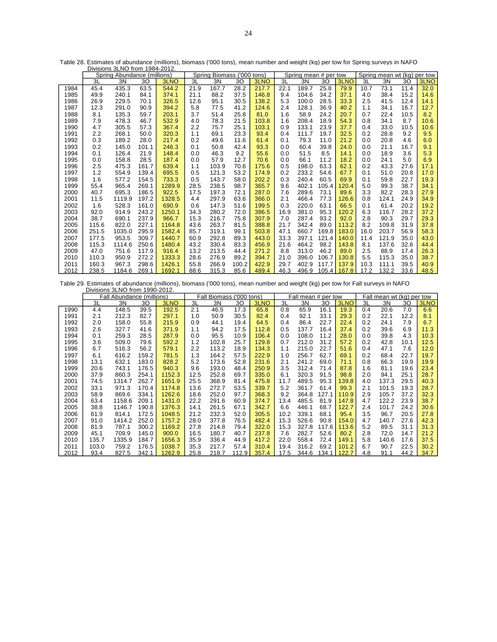|      |       | <b>DIVISIONS SLIVO HUIH 1904-ZUTZ.</b> |       |        |                            |       |       |       |      |                       |       |       |                     |         |      |      |
|------|-------|----------------------------------------|-------|--------|----------------------------|-------|-------|-------|------|-----------------------|-------|-------|---------------------|---------|------|------|
|      |       | Spring Abundance (millions)            |       |        | Spring Biomass ('000 tons) |       |       |       |      | Spring mean # per tow |       |       | Spring mean wt (kg) | per tow |      |      |
|      | 3L    | 3N                                     | 30    | 3LNO   | 3L                         | 3N    | 30    | 3LNO  | 3L   | 3N                    | 30    | 3LNO  | 3L                  | 3N      | 30   | 3LNO |
| 1984 | 45.4  | 435.3                                  | 63.5  | 544.2  | 21.9                       | 167.7 | 28.2  | 217.7 | 22.1 | 189.7                 | 25.8  | 79.9  | 10.7                | 73.1    | 11.4 | 32.0 |
| 1985 | 49.9  | 240.1                                  | 84.1  | 374.1  | 21.1                       | 88.2  | 37.5  | 146.8 | 9.4  | 104.6                 | 34.2  | 37.1  | 4.0                 | 38.4    | 15.2 | 14.6 |
| 1986 | 26.9  | 229.5                                  | 70.1  | 326.5  | 12.6                       | 95.1  | 30.5  | 138.2 | 5.3  | 100.0                 | 28.5  | 33.3  | 2.5                 | 41.5    | 12.4 | 14.1 |
| 1987 | 12.3  | 291.0                                  | 90.9  | 394.2  | 5.8                        | 77.5  | 41.2  | 124.6 | 2.4  | 128.1                 | 36.9  | 40.2  | 1.1                 | 34.1    | 16.7 | 12.7 |
| 1988 | 8.1   | 135.3                                  | 59.7  | 203.1  | 3.7                        | 51.4  | 25.8  | 81.0  | 1.6  | 58.9                  | 24.2  | 20.7  | 0.7                 | 22.4    | 10.5 | 8.2  |
| 1989 | 7.9   | 478.3                                  | 46.7  | 532.9  | 4.0                        | 78.3  | 21.5  | 103.8 | 1.6  | 208.4                 | 18.9  | 54.3  | 0.8                 | 34.1    | 8.7  | 10.6 |
| 1990 | 4.7   | 305.5                                  | 57.3  | 367.4  | 2.2                        | 75.7  | 25.1  | 103.1 | 0.9  | 133.1                 | 23.9  | 37.7  | 0.4                 | 33.0    | 10.5 | 10.6 |
| 1991 | 2.2   | 268.1                                  | 50.0  | 320.3  | 1.1                        | 69.1  | 23.3  | 93.4  | 0.4  | 111.7                 | 19.7  | 32.5  | 0.2                 | 28.8    | 9.2  | 9.5  |
| 1992 | 0.3   | 189.2                                  | 28.0  | 217.4  | 0.2                        | 49.6  | 11.6  | 61.4  | 0.1  | 79.3                  | 11.0  | 21.2  | 0.0                 | 20.8    | 4.6  | 6.0  |
| 1993 | 0.2   | 145.0                                  | 101.1 | 246.3  | 0.1                        | 50.8  | 42.4  | 93.3  | 0.0  | 60.4                  | 39.8  | 24.0  | 0.0                 | 21.1    | 16.7 | 9.1  |
| 1994 | 0.1   | 126.4                                  | 21.9  | 148.4  | 0.0                        | 46.3  | 9.2   | 55.6  | 0.0  | 51.5                  | 8.5   | 14.1  | 0.0                 | 18.9    | 3.6  | 5.3  |
| 1995 | 0.0   | 158.8                                  | 28.5  | 187.4  | 0.0                        | 57.9  | 12.7  | 70.6  | 0.0  | 66.1                  | 11.2  | 18.2  | 0.0                 | 24.1    | 5.0  | 6.9  |
| 1996 | 2.5   | 475.3                                  | 161.7 | 639.4  | 1.1                        | 103.9 | 70.6  | 175.6 | 0.5  | 198.0                 | 63.3  | 62.1  | 0.2                 | 43.3    | 27.6 | 17.1 |
| 1997 | 1.2   | 554.9                                  | 139.4 | 695.5  | 0.5                        | 121.3 | 53.2  | 174.9 | 0.2  | 233.2                 | 54.6  | 67.7  | 0.1                 | 51.0    | 20.8 | 17.0 |
| 1998 | 1.6   | 577.2                                  | 154.5 | 733.3  | 0.5                        | 143.7 | 58.0  | 202.2 | 0.3  | 240.4                 | 60.5  | 69.9  | 0.1                 | 59.8    | 22.7 | 19.3 |
| 1999 | 55.4  | 965.4                                  | 269.1 | 1289.9 | 28.5                       | 238.5 | 98.7  | 365.7 | 9.6  | 402.1                 | 105.4 | 120.4 | 5.0                 | 99.3    | 38.7 | 34.1 |
| 2000 | 40.7  | 695.3                                  | 186.5 | 922.5  | 17.5                       | 197.3 | 72.1  | 287.0 | 7.6  | 289.6                 | 73.1  | 89.6  | 3.3                 | 82.2    | 28.3 | 27.9 |
| 2001 | 11.5  | 1119.9                                 | 197.2 | 1328.5 | 4.4                        | 297.9 | 63.6  | 366.0 | 2.1  | 466.4                 | 77.3  | 126.6 | 0.8                 | 124.1   | 24.9 | 34.9 |
| 2002 | 1.6   | 528.3                                  | 161.0 | 690.9  | 0.6                        | 147.3 | 51.6  | 199.5 | 0.3  | 220.0                 | 63.1  | 66.5  | 0.1                 | 61.4    | 20.2 | 19.2 |
| 2003 | 92.0  | 914.9                                  | 243.2 | 1250.1 | 34.3                       | 280.2 | 72.0  | 386.5 | 16.9 | 381.0                 | 95.3  | 120.2 | 6.3                 | 116.7   | 28.2 | 37.2 |
| 2004 | 38.7  | 690.1                                  | 237.9 | 966.7  | 15.3                       | 216.7 | 75.8  | 307.9 | 7.0  | 287.4                 | 93.2  | 92.0  | 2.8                 | 90.3    | 29.7 | 29.3 |
| 2005 | 115.6 | 822.0                                  | 227.1 | 1164.8 | 43.6                       | 263.7 | 81.5  | 388.8 | 21.7 | 342.4                 | 89.0  | 113.2 | 8.2                 | 109.8   | 31.9 | 37.8 |
| 2006 | 251.5 | 1035.0                                 | 295.9 | 1582.4 | 85.7                       | 319.1 | 99.1  | 503.8 | 47.1 | 660.7                 | 169.8 | 183.0 | 16.0                | 203.7   | 56.9 | 58.3 |
| 2007 | 177.5 | 953.5                                  | 309.7 | 1440.7 | 60.9                       | 292.8 | 89.3  | 443.0 | 33.3 | 397.1                 | 121.4 | 140.0 | 11.4                | 121.9   | 35.0 | 43.0 |
| 2008 | 115.3 | 1114.6                                 | 250.6 | 1480.4 | 43.2                       | 330.4 | 83.3  | 456.9 | 21.6 | 464.2                 | 98.2  | 143.8 | 8.1                 | 137.6   | 32.6 | 44.4 |
| 2009 | 47.0  | 751.6                                  | 117.9 | 916.4  | 13.2                       | 213.5 | 44.4  | 271.2 | 8.8  | 313.0                 | 46.2  | 89.0  | 2.5                 | 88.9    | 17.4 | 26.3 |
| 2010 | 110.3 | 950.9                                  | 272.2 | 1333.3 | 28.6                       | 276.9 | 89.2  | 394.7 | 21.0 | 396.0                 | 106.7 | 130.8 | 5.5                 | 115.3   | 35.0 | 38.7 |
| 2011 | 160.3 | 967.3                                  | 298.6 | 1426.1 | 55.8                       | 266.9 | 100.2 | 422.9 | 29.7 | 402.9                 | 117.7 | 137.9 | 10.3                | 111.1   | 39.5 | 40.9 |
| 2012 | 238.5 | 1184.6                                 | 269.1 | 1692.1 | 88.6                       | 315.3 | 85.6  | 489.4 | 46.3 | 496.9                 | 105.4 | 167.8 | 17.2                | 132.2   | 33.6 | 48.5 |

Table 28. Estimates of abundance (millions), biomass ('000 tons), mean number and weight (kg) per tow for Spring surveys in NAFO Divisions 3LNO from 1984-2012.

Table 29. Estimates of abundance (millions), biomass ('000 tons), mean number and weight (kg) per tow for Fall surveys in NAFO Divisions 3LNO from 1990-2012.

|      |       | Fall Abundance (millions) |       |        | Fall Biomass ('000 tons) |       |       |       |      | Fall mean # per tow |       |       | Fall mean wt (kg) per tow |       |      |      |
|------|-------|---------------------------|-------|--------|--------------------------|-------|-------|-------|------|---------------------|-------|-------|---------------------------|-------|------|------|
|      | 3L    | 3N                        | 30    | 3LNO   | 3L                       | 3N    | 30    | 3LNO  | 3L   | 3N                  | 30    | 3LNO  | 3L                        | 3N    | 30   | 3LNO |
| 1990 | 4.4   | 148.5                     | 39.5  | 192.5  | 2.1                      | 46.5  | 17.3  | 65.8  | 0.8  | 65.9                | 16.1  | 19.3  | 0.4                       | 20.6  | 7.0  | 6.6  |
| 1991 | 2.1   | 212.3                     | 82.7  | 297.1  | 1.0                      | 50.9  | 30.5  | 82.4  | 0.4  | 92.1                | 33.1  | 29.3  | 0.2                       | 22.1  | 12.2 | 8.1  |
| 1992 | 2.0   | 158.0                     | 55.8  | 215.9  | 0.9                      | 44.1  | 19.4  | 64.5  | 0.4  | 86.4                | 22.7  | 22.4  | 0.2                       | 24.1  | 7.9  | 6.7  |
| 1993 | 2.6   | 327.7                     | 41.6  | 371.9  | 1.1                      | 94.2  | 17.5  | 112.8 | 0.5  | 137.7               | 16.4  | 37.4  | 0.2                       | 39.6  | 6.9  | 11.3 |
| 1994 | 0.1   | 259.3                     | 28.5  | 287.9  | 0.0                      | 95.5  | 10.9  | 106.4 | 0.0  | 108.0               | 11.2  | 28.0  | 0.0                       | 39.8  | 4.3  | 10.3 |
| 1995 | 3.6   | 509.0                     | 79.6  | 592.2  | 1.2                      | 102.8 | 25.7  | 129.8 | 0.7  | 212.0               | 31.2  | 57.2  | 0.2                       | 42.8  | 10.1 | 12.5 |
| 1996 | 6.7   | 516.3                     | 56.2  | 579.1  | 2.2                      | 113.2 | 18.9  | 134.3 | 1.1  | 215.0               | 22.7  | 51.6  | 0.4                       | 47.1  | 7.6  | 12.0 |
| 1997 | 6.1   | 616.2                     | 159.2 | 781.5  | 1.3                      | 164.2 | 57.5  | 222.9 | 1.0  | 256.7               | 62.7  | 69.1  | 0.2                       | 68.4  | 22.7 | 19.7 |
| 1998 | 13.1  | 632.1                     | 183.0 | 828.2  | 5.2                      | 173.6 | 52.8  | 231.6 | 2.1  | 241.2               | 69.0  | 71.1  | 0.8                       | 66.3  | 19.9 | 19.9 |
| 1999 | 20.6  | 743.1                     | 176.5 | 940.3  | 9.6                      | 193.0 | 48.4  | 250.9 | 3.5  | 312.4               | 71.4  | 87.8  | 1.6                       | 81.1  | 19.6 | 23.4 |
| 2000 | 37.9  | 860.3                     | 254.1 | 1152.3 | 12.5                     | 252.8 | 69.7  | 335.0 | 6.1  | 320.3               | 91.5  | 98.8  | 2.0                       | 94.1  | 25.1 | 28.7 |
| 2001 | 74.5  | 1314.7                    | 262.7 | 1651.9 | 25.5                     | 368.9 | 81.4  | 475.8 | 11.7 | 489.5               | 95.3  | 139.8 | 4.0                       | 137.3 | 29.5 | 40.3 |
| 2002 | 33.1  | 971.3                     | 170.4 | 1174.8 | 13.6                     | 272.7 | 53.5  | 339.7 | 5.2  | 361.7               | 61.4  | 99.3  | 2.1                       | 101.5 | 19.3 | 28.7 |
| 2003 | 58.9  | 869.6                     | 334.1 | 1262.6 | 18.6                     | 252.0 | 97.7  | 368.3 | 9.2  | 364.8               | 127.1 | 110.9 | 2.9                       | 105.7 | 37.2 | 32.3 |
| 2004 | 63.4  | 1158.6                    | 209.1 | 1431.0 | 22.2                     | 291.6 | 60.9  | 374.7 | 13.4 | 485.5               | 81.9  | 147.8 | 4.7                       | 122.2 | 23.9 | 38.7 |
| 2005 | 38.8  | 1146.7                    | 190.8 | 1376.3 | 14.1                     | 261.5 | 67.1  | 342.7 | 6.6  | 446.1               | 68.7  | 122.7 | 2.4                       | 101.7 | 24.2 | 30.6 |
| 2006 | 61.9  | 814.1                     | 172.5 | 1048.5 | 21.2                     | 232.3 | 52.0  | 305.5 | 10.2 | 339.1               | 68.1  | 95.4  | 3.5                       | 96.7  | 20.5 | 27.8 |
| 2007 | 91.0  | 1414.2                    | 252.0 | 1757.2 | 28.0                     | 377.8 | 76.5  | 482.4 | 15.3 | 526.6               | 90.8  | 154.0 | 4.7                       | 140.7 | 27.6 | 42.3 |
| 2008 | 81.9  | 787.1                     | 300.2 | 1169.2 | 27.8                     | 214.8 | 79.4  | 322.0 | 15.3 | 327.8               | 117.6 | 113.6 | 5.2                       | 89.5  | 31.1 | 31.3 |
| 2009 | 45.1  | 709.9                     | 145.0 | 900.0  | 16.5                     | 180.7 | 40.7  | 237.8 | 7.6  | 282.7               | 52.6  | 80.2  | 2.8                       | 72.0  | 14.7 | 21.2 |
| 2010 | 135.7 | 1335.9                    | 184.7 | 1656.3 | 35.9                     | 336.4 | 44.9  | 417.2 | 22.0 | 558.4               | 72.4  | 149.1 | 5.8                       | 140.6 | 17.6 | 37.5 |
| 2011 | 103.0 | 759.2                     | 176.5 | 1038.7 | 35.3                     | 217.7 | 57.4  | 310.4 | 19.4 | 316.2               | 69.2  | 101.2 | 6.7                       | 90.7  | 22.5 | 30.2 |
| 2012 | 93.4  | 827.5                     | 342.1 | 1262.9 | 25.8                     | 218.7 | 112.9 | 357.4 | 17.5 | 344.6               | 134.1 | 122.7 | 4.8                       | 91.1  | 44.2 | 34.7 |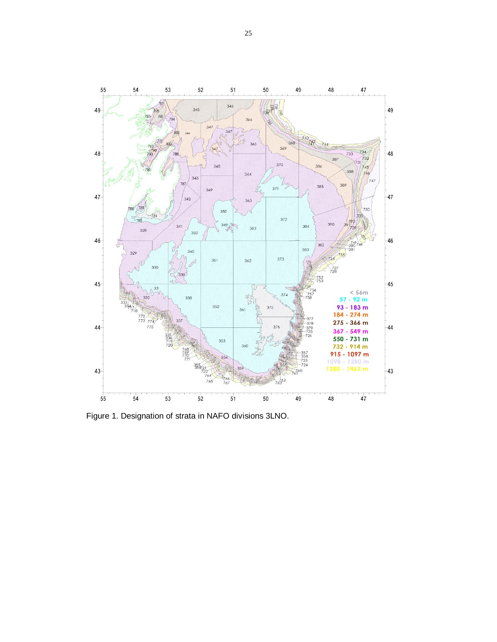

Figure 1. Designation of strata in NAFO divisions 3LNO.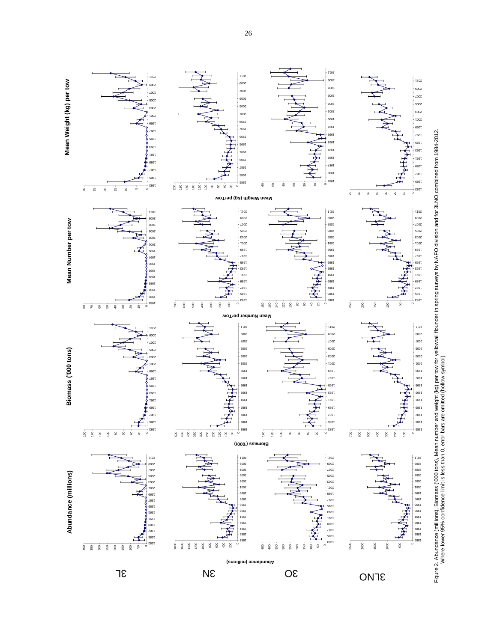

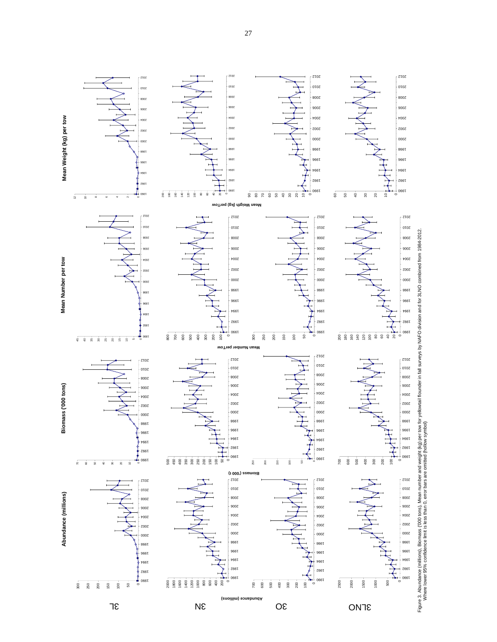

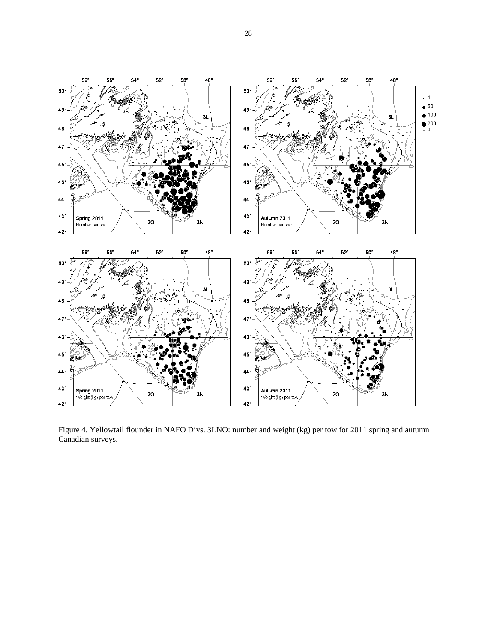

Figure 4. Yellowtail flounder in NAFO Divs. 3LNO: number and weight (kg) per tow for 2011 spring and autumn Canadian surveys.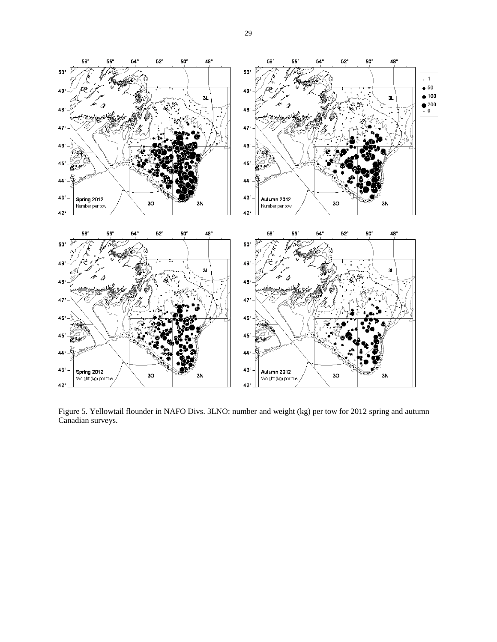



Figure 5. Yellowtail flounder in NAFO Divs. 3LNO: number and weight (kg) per tow for 2012 spring and autumn Canadian surveys.